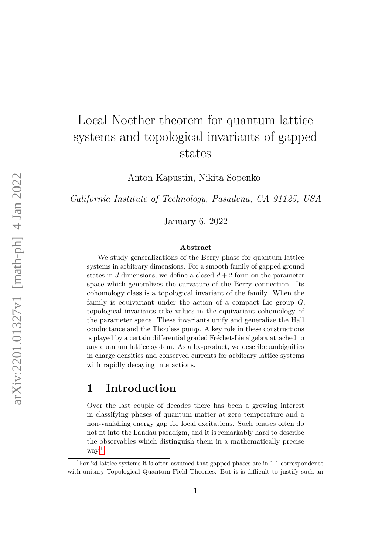# Local Noether theorem for quantum lattice systems and topological invariants of gapped states

Anton Kapustin, Nikita Sopenko

*California Institute of Technology, Pasadena, CA 91125, USA*

January 6, 2022

#### **Abstract**

We study generalizations of the Berry phase for quantum lattice systems in arbitrary dimensions. For a smooth family of gapped ground states in *d* dimensions, we define a closed  $d + 2$ -form on the parameter space which generalizes the curvature of the Berry connection. Its cohomology class is a topological invariant of the family. When the family is equivariant under the action of a compact Lie group *G*, topological invariants take values in the equivariant cohomology of the parameter space. These invariants unify and generalize the Hall conductance and the Thouless pump. A key role in these constructions is played by a certain differential graded Fréchet-Lie algebra attached to any quantum lattice system. As a by-product, we describe ambiguities in charge densities and conserved currents for arbitrary lattice systems with rapidly decaying interactions.

### **1 Introduction**

Over the last couple of decades there has been a growing interest in classifying phases of quantum matter at zero temperature and a non-vanishing energy gap for local excitations. Such phases often do not fit into the Landau paradigm, and it is remarkably hard to describe the observables which distinguish them in a mathematically precise way.<sup>[1](#page-0-0)</sup>

<span id="page-0-0"></span><sup>1</sup>For 2d lattice systems it is often assumed that gapped phases are in 1-1 correspondence with unitary Topological Quantum Field Theories. But it is difficult to justify such an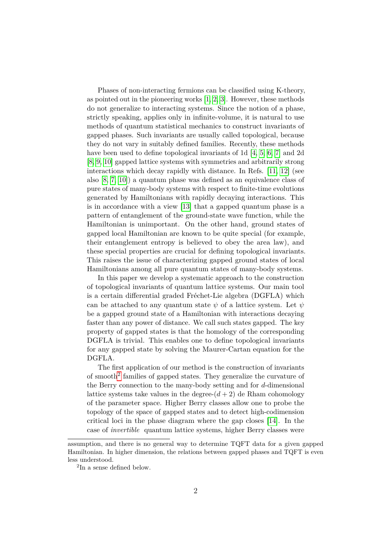Phases of non-interacting fermions can be classified using K-theory, as pointed out in the pioneering works [\[1,](#page-49-0) [2,](#page-49-1) [3\]](#page-49-2). However, these methods do not generalize to interacting systems. Since the notion of a phase, strictly speaking, applies only in infinite-volume, it is natural to use methods of quantum statistical mechanics to construct invariants of gapped phases. Such invariants are usually called topological, because they do not vary in suitably defined families. Recently, these methods have been used to define topological invariants of 1d [\[4,](#page-49-3) [5,](#page-49-4) [6,](#page-49-5) [7\]](#page-49-6) and 2d [\[8,](#page-49-7) [9,](#page-49-8) [10\]](#page-50-0) gapped lattice systems with symmetries and arbitrarily strong interactions which decay rapidly with distance. In Refs. [\[11,](#page-50-1) [12\]](#page-50-2) (see also [\[8,](#page-49-7) [7,](#page-49-6) [10\]](#page-50-0)) a quantum phase was defined as an equivalence class of pure states of many-body systems with respect to finite-time evolutions generated by Hamiltonians with rapidly decaying interactions. This is in accordance with a view [\[13\]](#page-50-3) that a gapped quantum phase is a pattern of entanglement of the ground-state wave function, while the Hamiltonian is unimportant. On the other hand, ground states of gapped local Hamiltonian are known to be quite special (for example, their entanglement entropy is believed to obey the area law), and these special properties are crucial for defining topological invariants. This raises the issue of characterizing gapped ground states of local Hamiltonians among all pure quantum states of many-body systems.

In this paper we develop a systematic approach to the construction of topological invariants of quantum lattice systems. Our main tool is a certain differential graded Fréchet-Lie algebra (DGFLA) which can be attached to any quantum state *ψ* of a lattice system. Let *ψ* be a gapped ground state of a Hamiltonian with interactions decaying faster than any power of distance. We call such states gapped. The key property of gapped states is that the homology of the corresponding DGFLA is trivial. This enables one to define topological invariants for any gapped state by solving the Maurer-Cartan equation for the DGFLA.

The first application of our method is the construction of invariants of smooth[2](#page-1-0) families of gapped states. They generalize the curvature of the Berry connection to the many-body setting and for *d*-dimensional lattice systems take values in the degree- $(d+2)$  de Rham cohomology of the parameter space. Higher Berry classes allow one to probe the topology of the space of gapped states and to detect high-codimension critical loci in the phase diagram where the gap closes [\[14\]](#page-50-4). In the case of *invertible* quantum lattice systems, higher Berry classes were

assumption, and there is no general way to determine TQFT data for a given gapped Hamiltonian. In higher dimension, the relations between gapped phases and TQFT is even less understood.

<span id="page-1-0"></span><sup>2</sup> In a sense defined below.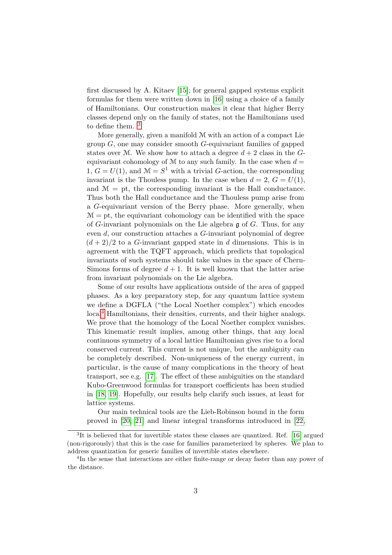first discussed by A. Kitaev [\[15\]](#page-50-5); for general gapped systems explicit formulas for them were written down in [\[16\]](#page-50-6) using a choice of a family of Hamiltonians. Our construction makes it clear that higher Berry classes depend only on the family of states, not the Hamiltonians used to define them. [3](#page-2-0)

More generally, given a manifold M with an action of a compact Lie group *G*, one may consider smooth *G*-equivariant families of gapped states over M. We show how to attach a degree  $d+2$  class in the  $G$ equivariant cohomology of  $M$  to any such family. In the case when  $d =$ 1,  $G = U(1)$ , and  $M = S<sup>1</sup>$  with a trivial *G*-action, the corresponding invariant is the Thouless pump. In the case when  $d = 2$ ,  $G = U(1)$ , and  $\mathcal{M} = \text{pt}$ , the corresponding invariant is the Hall conductance. Thus both the Hall conductance and the Thouless pump arise from a *G*-equivariant version of the Berry phase. More generally, when  $M = pt$ , the equivariant cohomology can be identified with the space of *G*-invariant polynomials on the Lie algebra g of *G*. Thus, for any even *d*, our construction attaches a *G*-invariant polynomial of degree  $(d+2)/2$  to a *G*-invariant gapped state in *d* dimensions. This is in agreement with the TQFT approach, which predicts that topological invariants of such systems should take values in the space of Chern-Simons forms of degree  $d + 1$ . It is well known that the latter arise from invariant polynomials on the Lie algebra.

Some of our results have applications outside of the area of gapped phases. As a key preparatory step, for any quantum lattice system we define a DGFLA ("the Local Noether complex") which encodes local<sup>[4](#page-2-1)</sup> Hamiltonians, their densities, currents, and their higher analogs. We prove that the homology of the Local Noether complex vanishes. This kinematic result implies, among other things, that any local continuous symmetry of a local lattice Hamiltonian gives rise to a local conserved current. This current is not unique, but the ambiguity can be completely described. Non-uniqueness of the energy current, in particular, is the cause of many complications in the theory of heat transport, see e.g. [\[17\]](#page-50-7). The effect of these ambiguities on the standard Kubo-Greenwood formulas for transport coefficients has been studied in [\[18,](#page-50-8) [19\]](#page-50-9). Hopefully, our results help clarify such issues, at least for lattice systems.

Our main technical tools are the Lieb-Robinson bound in the form proved in [\[20,](#page-51-0) [21\]](#page-51-1) and linear integral transforms introduced in [\[22,](#page-51-2)

<span id="page-2-0"></span><sup>&</sup>lt;sup>3</sup>It is believed that for invertible states these classes are quantized. Ref. [\[16\]](#page-50-6) argued (non-rigorously) that this is the case for families parameterized by spheres. We plan to address quantization for generic families of invertible states elsewhere.

<span id="page-2-1"></span><sup>&</sup>lt;sup>4</sup>In the sense that interactions are either finite-range or decay faster than any power of the distance.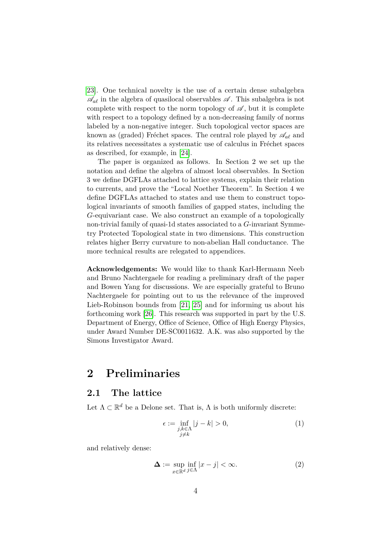[23\]](#page-51-3). One technical novelty is the use of a certain dense subalgebra  $\mathscr{A}_{a\ell}$  in the algebra of quasilocal observables  $\mathscr{A}$ . This subalgebra is not complete with respect to the norm topology of  $\mathscr A$ , but it is complete with respect to a topology defined by a non-decreasing family of norms labeled by a non-negative integer. Such topological vector spaces are known as (graded) Fréchet spaces. The central role played by  $\mathscr{A}_{a\ell}$  and its relatives necessitates a systematic use of calculus in Fréchet spaces as described, for example, in [\[24\]](#page-51-4).

The paper is organized as follows. In Section 2 we set up the notation and define the algebra of almost local observables. In Section 3 we define DGFLAs attached to lattice systems, explain their relation to currents, and prove the "Local Noether Theorem". In Section 4 we define DGFLAs attached to states and use them to construct topological invariants of smooth families of gapped states, including the *G*-equivariant case. We also construct an example of a topologically non-trivial family of quasi-1d states associated to a *G*-invariant Symmetry Protected Topological state in two dimensions. This construction relates higher Berry curvature to non-abelian Hall conductance. The more technical results are relegated to appendices.

**Acknowledgements:** We would like to thank Karl-Hermann Neeb and Bruno Nachtergaele for reading a preliminary draft of the paper and Bowen Yang for discussions. We are especially grateful to Bruno Nachtergaele for pointing out to us the relevance of the improved Lieb-Robinson bounds from [\[21,](#page-51-1) [25\]](#page-51-5) and for informing us about his forthcoming work [\[26\]](#page-51-6). This research was supported in part by the U.S. Department of Energy, Office of Science, Office of High Energy Physics, under Award Number DE-SC0011632. A.K. was also supported by the Simons Investigator Award.

## **2 Preliminaries**

### **2.1 The lattice**

Let  $\Lambda \subset \mathbb{R}^d$  be a Delone set. That is,  $\Lambda$  is both uniformly discrete:

$$
\epsilon := \inf_{\substack{j,k \in \Lambda \\ j \neq k}} |j - k| > 0,\tag{1}
$$

and relatively dense:

$$
\Delta := \sup_{x \in \mathbb{R}^d} \inf_{j \in \Lambda} |x - j| < \infty. \tag{2}
$$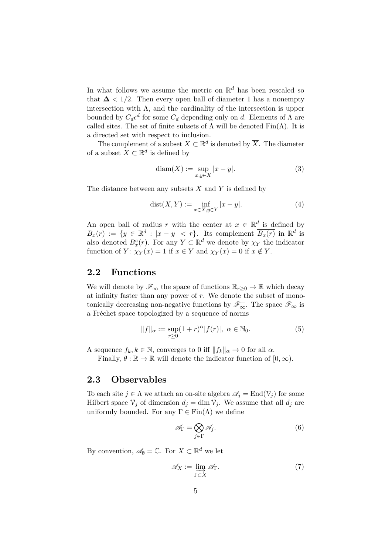In what follows we assume the metric on  $\mathbb{R}^d$  has been rescaled so that  $\Delta$  < 1/2. Then every open ball of diameter 1 has a nonempty intersection with  $\Lambda$ , and the cardinality of the intersection is upper bounded by  $C_d \epsilon^d$  for some  $C_d$  depending only on *d*. Elements of  $\Lambda$  are called sites. The set of finite subsets of  $\Lambda$  will be denoted Fin( $\Lambda$ ). It is a directed set with respect to inclusion.

The complement of a subset  $X \subset \mathbb{R}^d$  is denoted by  $\overline{X}$ . The diameter of a subset  $X \subset \mathbb{R}^d$  is defined by

$$
diam(X) := \sup_{x,y \in X} |x - y|.
$$
 (3)

The distance between any subsets *X* and *Y* is defined by

$$
dist(X, Y) := \inf_{x \in X, y \in Y} |x - y|.
$$
 (4)

An open ball of radius *r* with the center at  $x \in \mathbb{R}^d$  is defined by  $B_x(r) := \{ y \in \mathbb{R}^d : |x - y| < r \}.$  Its complement  $\overline{B_x(r)}$  in  $\mathbb{R}^d$  is also denoted  $B_x^c(r)$ . For any  $Y \subset \mathbb{R}^d$  we denote by  $\chi_Y$  the indicator function of *Y*:  $\chi_Y(x) = 1$  if  $x \in Y$  and  $\chi_Y(x) = 0$  if  $x \notin Y$ .

### **2.2 Functions**

We will denote by  $\mathscr{F}_{\infty}$  the space of functions  $\mathbb{R}_{r>0} \to \mathbb{R}$  which decay at infinity faster than any power of *r*. We denote the subset of monotonically decreasing non-negative functions by  $\mathscr{F}_{\infty}^+$ . The space  $\mathscr{F}_{\infty}$  is a Fréchet space topologized by a sequence of norms

$$
||f||_{\alpha} := \sup_{r \ge 0} (1+r)^{\alpha} |f(r)|, \ \alpha \in \mathbb{N}_0.
$$
 (5)

A sequence  $f_k, k \in \mathbb{N}$ , converges to 0 iff  $||f_k||_{\alpha} \to 0$  for all  $\alpha$ .

Finally,  $\theta : \mathbb{R} \to \mathbb{R}$  will denote the indicator function of  $[0, \infty)$ .

#### **2.3 Observables**

To each site  $j \in \Lambda$  we attach an on-site algebra  $\mathscr{A}_j = \text{End}(\mathcal{V}_j)$  for some Hilbert space  $\mathcal{V}_j$  of dimension  $d_j = \dim \mathcal{V}_j$ . We assume that all  $d_j$  are uniformly bounded. For any  $\Gamma \in \text{Fin}(\Lambda)$  we define

$$
\mathscr{A}_{\Gamma} = \bigotimes_{j \in \Gamma} \mathscr{A}_{j}.\tag{6}
$$

By convention,  $\mathscr{A}_{\emptyset} = \mathbb{C}$ . For  $X \subset \mathbb{R}^d$  we let

$$
\mathscr{A}_X := \varinjlim_{\Gamma \subset X} \mathscr{A}_{\Gamma}. \tag{7}
$$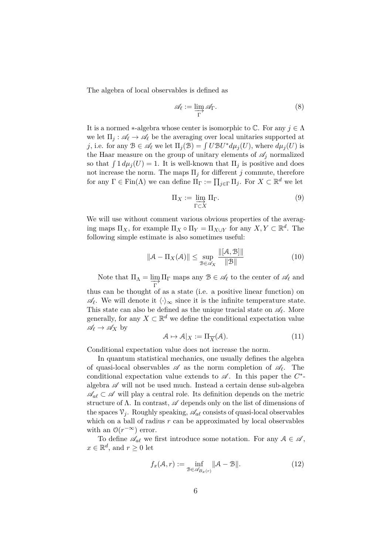The algebra of local observables is defined as

$$
\mathscr{A}_{\ell} := \varinjlim_{\Gamma} \mathscr{A}_{\Gamma}. \tag{8}
$$

It is a normed  $*$ -algebra whose center is isomorphic to  $\mathbb{C}$ . For any  $j \in \Lambda$ we let  $\Pi_j$ :  $\mathscr{A}_{\ell} \to \mathscr{A}_{\ell}$  be the averaging over local unitaries supported at *j*, i.e. for any  $B \in \mathcal{A}_{\ell}$  we let  $\Pi_j(B) = \int U \mathcal{B} U^* d\mu_j(U)$ , where  $d\mu_j(U)$  is the Haar measure on the group of unitary elements of  $\mathscr{A}_i$  normalized so that  $\int 1 d\mu_j(U) = 1$ . It is well-known that  $\Pi_j$  is positive and does not increase the norm. The maps  $\Pi_i$  for different *j* commute, therefore for any  $\Gamma \in \text{Fin}(\Lambda)$  we can define  $\Pi_{\Gamma} := \prod_{j \in \Gamma} \Pi_j$ . For  $X \subset \mathbb{R}^d$  we let

$$
\Pi_X := \varinjlim_{\Gamma \subset X} \Pi_{\Gamma}. \tag{9}
$$

We will use without comment various obvious properties of the averaging maps  $\Pi_X$ , for example  $\Pi_X \circ \Pi_Y = \Pi_{X \cup Y}$  for any  $X, Y \subset \mathbb{R}^d$ . The following simple estimate is also sometimes useful:

<span id="page-5-1"></span>
$$
\|\mathcal{A} - \Pi_X(\mathcal{A})\| \le \sup_{\mathcal{B} \in \mathscr{A}_X} \frac{\|[\mathcal{A}, \mathcal{B}]\|}{\|\mathcal{B}\|} \tag{10}
$$

Note that  $\Pi_{\Lambda} = \lim_{\Gamma}$  $\Pi_{\Gamma}$  maps any  $\mathcal{B} \in \mathscr{A}_{\ell}$  to the center of  $\mathscr{A}_{\ell}$  and

thus can be thought of as a state (i.e. a positive linear function) on  $\mathscr{A}_{\ell}$ . We will denote it  $\langle \cdot \rangle_{\infty}$  since it is the infinite temperature state. This state can also be defined as the unique tracial state on  $\mathscr{A}_{\ell}$ . More generally, for any  $X \subset \mathbb{R}^d$  we define the conditional expectation value  $\mathscr{A}_{\ell} \to \mathscr{A}_X$  by

$$
\mathcal{A} \mapsto \mathcal{A}|_X := \Pi_{\overline{X}}(\mathcal{A}). \tag{11}
$$

Conditional expectation value does not increase the norm.

In quantum statistical mechanics, one usually defines the algebra of quasi-local observables  $\mathscr A$  as the norm completion of  $\mathscr A_{\ell}$ . The conditional expectation value extends to  $\mathscr A$ . In this paper the  $C^*$ algebra  $\mathscr A$  will not be used much. Instead a certain dense sub-algebra  $\mathscr{A}_{a\ell} \subset \mathscr{A}$  will play a central role. Its definition depends on the metric structure of  $\Lambda$ . In contrast,  $\mathscr A$  depends only on the list of dimensions of the spaces  $\mathcal{V}_i$ . Roughly speaking,  $\mathcal{A}_{a\ell}$  consists of quasi-local observables which on a ball of radius  $r$  can be approximated by local observables with an  $\mathcal{O}(r^{-\infty})$  error.

To define  $\mathscr{A}_{al}$  we first introduce some notation. For any  $A \in \mathscr{A}$ ,  $x \in \mathbb{R}^d$ , and  $r \geq 0$  let

<span id="page-5-0"></span>
$$
f_x(\mathcal{A}, r) := \inf_{\mathcal{B} \in \mathscr{A}_{B_x(r)}} \|\mathcal{A} - \mathcal{B}\|.
$$
 (12)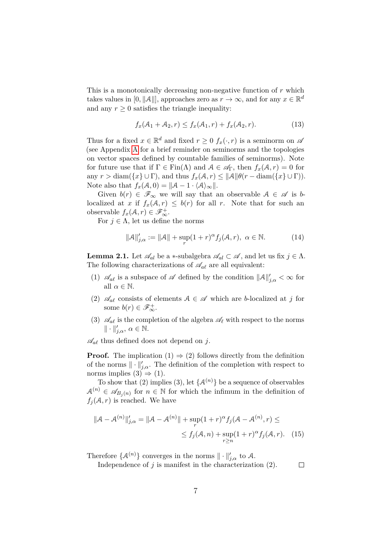This is a monotonically decreasing non-negative function of *r* which takes values in  $[0, ||\mathcal{A}||]$ , approaches zero as  $r \to \infty$ , and for any  $x \in \mathbb{R}^d$ and any  $r \geq 0$  satisfies the triangle inequality:

$$
f_x(\mathcal{A}_1 + \mathcal{A}_2, r) \le f_x(\mathcal{A}_1, r) + f_x(\mathcal{A}_2, r). \tag{13}
$$

Thus for a fixed  $x \in \mathbb{R}^d$  and fixed  $r \geq 0$   $f_x(\cdot, r)$  is a seminorm on  $\mathscr A$ (see Appendix [A](#page-33-0) for a brief reminder on seminorms and the topologies on vector spaces defined by countable families of seminorms). Note for future use that if  $\Gamma \in \text{Fin}(\Lambda)$  and  $\mathcal{A} \in \mathscr{A}_{\Gamma}$ , then  $f_x(\mathcal{A}, r) = 0$  for any  $r > \text{diam}(\{x\} \cup \Gamma)$ , and thus  $f_x(\mathcal{A}, r) \leq ||\mathcal{A}|| \theta(r - \text{diam}(\{x\} \cup \Gamma))$ . Note also that  $f_x(\mathcal{A}, 0) = ||\mathcal{A} - 1 \cdot \langle \mathcal{A} \rangle_{\infty}||.$ 

Given  $b(r) \in \mathscr{F}_{\infty}$  we will say that an observable  $A \in \mathscr{A}$  is *b*localized at *x* if  $f_x(\mathcal{A}, r) \leq b(r)$  for all *r*. Note that for such an observable  $f_x(\mathcal{A}, r) \in \mathscr{F}_{\infty}^+$ .

For  $j \in \Lambda$ , let us define the norms

<span id="page-6-1"></span>
$$
\|\mathcal{A}\|'_{j,\alpha} := \|\mathcal{A}\| + \sup_r (1+r)^\alpha f_j(\mathcal{A}, r), \ \alpha \in \mathbb{N}.
$$
 (14)

<span id="page-6-0"></span>**Lemma 2.1.** Let  $\mathscr{A}_{al}$  be a  $*$ -subalgebra  $\mathscr{A}_{al} \subset \mathscr{A}$ , and let us fix  $j \in \Lambda$ . The following characterizations of  $\mathscr{A}_{a\ell}$  are all equivalent:

- (1)  $\mathscr{A}_{a\ell}$  is a subspace of  $\mathscr A$  defined by the condition  $||\mathscr A||'_{j,\alpha} < \infty$  for all  $\alpha \in \mathbb{N}$ .
- (2)  $\mathscr{A}_{\alpha\ell}$  consists of elements  $A \in \mathscr{A}$  which are *b*-localized at *j* for some  $b(r) \in \mathscr{F}^+_{\infty}$ .
- (3)  $\mathscr{A}_{\alpha\ell}$  is the completion of the algebra  $\mathscr{A}_{\ell}$  with respect to the norms  $\|\cdot\|'_{j,\alpha}, \ \alpha \in \mathbb{N}.$

 $\mathscr{A}_{a\ell}$  thus defined does not depend on *j*.

**Proof.** The implication  $(1) \Rightarrow (2)$  follows directly from the definition of the norms  $\|\cdot\|'_{j,\alpha}$ . The definition of the completion with respect to norms implies  $(3) \Rightarrow (1)$ .

To show that (2) implies (3), let  $\{A^{(n)}\}$  be a sequence of observables  $A^{(n)} \in \mathscr{A}_{B_j(n)}$  for  $n \in \mathbb{N}$  for which the infimum in the definition of  $f_i(\mathcal{A}, r)$  is reached. We have

$$
\|\mathcal{A} - \mathcal{A}^{(n)}\|_{j,\alpha}^{\prime} = \|\mathcal{A} - \mathcal{A}^{(n)}\| + \sup_{r} (1+r)^{\alpha} f_j(\mathcal{A} - \mathcal{A}^{(n)}, r) \le
$$
  

$$
\le f_j(\mathcal{A}, n) + \sup_{r \ge n} (1+r)^{\alpha} f_j(\mathcal{A}, r). \quad (15)
$$

Therefore  $\{\mathcal{A}^{(n)}\}$  converges in the norms  $\|\cdot\|'_{j,\alpha}$  to A.

Independence of *j* is manifest in the characterization (2).  $\Box$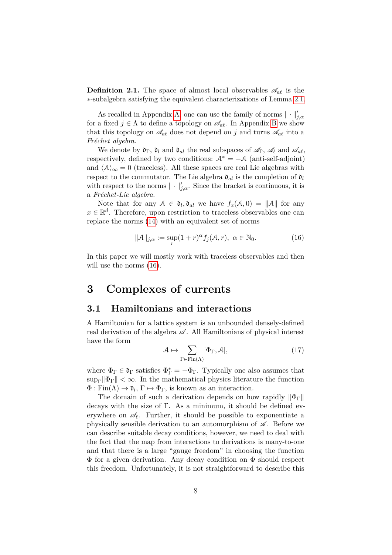**Definition 2.1.** The space of almost local observables  $\mathscr{A}_{a\ell}$  is the ∗-subalgebra satisfying the equivalent characterizations of Lemma [2.1.](#page-6-0)

As recalled in Appendix [A,](#page-33-0) one can use the family of norms  $\|\cdot\|'_{j,\alpha}$ for a fixed  $j \in \Lambda$  to define a topology on  $\mathscr{A}_{a\ell}$ . In Appendix [B](#page-34-0) we show that this topology on  $\mathscr{A}_{a\ell}$  does not depend on *j* and turns  $\mathscr{A}_{a\ell}$  into a  $Fréchet algebra.$ 

We denote by  $\mathfrak{d}_{\Gamma}$ ,  $\mathfrak{d}_{l}$  and  $\mathfrak{d}_{al}$  the real subspaces of  $\mathscr{A}_{\Gamma}$ ,  $\mathscr{A}_{\ell}$  and  $\mathscr{A}_{al}$ , respectively, defined by two conditions:  $A^* = -A$  (anti-self-adjoint) and  $\langle A \rangle_{\infty} = 0$  (traceless). All these spaces are real Lie algebras with respect to the commutator. The Lie algebra  $\mathfrak{d}_{al}$  is the completion of  $\mathfrak{d}_l$ with respect to the norms  $\|\cdot\|'_{j,\alpha}$ . Since the bracket is continuous, it is a *Fr´echet-Lie algebra*.

Note that for any  $A \in \mathfrak{d}_l, \mathfrak{d}_{al}$  we have  $f_x(A,0) = ||A||$  for any  $x \in \mathbb{R}^d$ . Therefore, upon restriction to traceless observables one can replace the norms [\(14\)](#page-6-1) with an equivalent set of norms

<span id="page-7-0"></span>
$$
\|\mathcal{A}\|_{j,\alpha} := \sup_r (1+r)^\alpha f_j(\mathcal{A}, r), \ \alpha \in \mathbb{N}_0. \tag{16}
$$

In this paper we will mostly work with traceless observables and then will use the norms  $(16)$ .

## **3 Complexes of currents**

#### **3.1 Hamiltonians and interactions**

A Hamiltonian for a lattice system is an unbounded densely-defined real derivation of the algebra  $\mathscr A$ . All Hamiltonians of physical interest have the form

$$
\mathcal{A} \mapsto \sum_{\Gamma \in \text{Fin}(\Lambda)} [\Phi_{\Gamma}, \mathcal{A}], \tag{17}
$$

where  $\Phi_{\Gamma} \in \mathfrak{d}_{\Gamma}$  satisfies  $\Phi_{\Gamma}^* = -\Phi_{\Gamma}$ . Typically one also assumes that  $\sup_{\Gamma} ||\Phi_{\Gamma}|| < \infty$ . In the mathematical physics literature the function  $\Phi: \text{Fin}(\Lambda) \to \mathfrak{d}_l, \Gamma \mapsto \Phi_{\Gamma}$ , is known as an interaction.

The domain of such a derivation depends on how rapidly  $\|\Phi_{\Gamma}\|$ decays with the size of Γ. As a minimum, it should be defined everywhere on  $\mathscr{A}_{\ell}$ . Further, it should be possible to exponentiate a physically sensible derivation to an automorphism of  $\mathscr A$ . Before we can describe suitable decay conditions, however, we need to deal with the fact that the map from interactions to derivations is many-to-one and that there is a large "gauge freedom" in choosing the function Φ for a given derivation. Any decay condition on Φ should respect this freedom. Unfortunately, it is not straightforward to describe this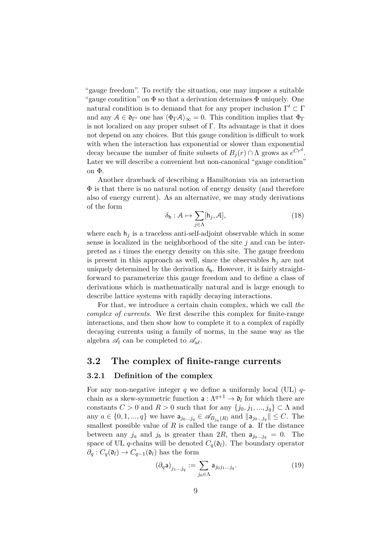"gauge freedom". To rectify the situation, one may impose a suitable "gauge condition" on  $\Phi$  so that a derivation determines  $\Phi$  uniquely. One natural condition is to demand that for any proper inclusion  $\Gamma' \subset \Gamma$ and any  $A \in \mathfrak{d}_{\Gamma'}$  one has  $\langle \Phi_{\Gamma} A \rangle_{\infty} = 0$ . This condition implies that  $\Phi_{\Gamma}$ is not localized on any proper subset of Γ. Its advantage is that it does not depend on any choices. But this gauge condition is difficult to work with when the interaction has exponential or slower than exponential decay because the number of finite subsets of  $B_j(r) \cap \Lambda$  grows as  $e^{Cr^d}$ . Later we will describe a convenient but non-canonical "gauge condition" on Φ.

Another drawback of describing a Hamiltonian via an interaction Φ is that there is no natural notion of energy density (and therefore also of energy current). As an alternative, we may study derivations of the form

<span id="page-8-0"></span>
$$
\delta_{\mathsf{h}} : \mathcal{A} \mapsto \sum_{j \in \Lambda} [\mathsf{h}_j, \mathcal{A}], \tag{18}
$$

where each  $h_i$  is a traceless anti-self-adjoint observable which in some sense is localized in the neighborhood of the site *j* and can be interpreted as *i* times the energy density on this site. The gauge freedom is present in this approach as well, since the observables  $h_i$  are not uniquely determined by the derivation  $\delta_{h}$ . However, it is fairly straightforward to parameterize this gauge freedom and to define a class of derivations which is mathematically natural and is large enough to describe lattice systems with rapidly decaying interactions.

For that, we introduce a certain chain complex, which we call *the complex of currents*. We first describe this complex for finite-range interactions, and then show how to complete it to a complex of rapidly decaying currents using a family of norms, in the same way as the algebra  $\mathscr{A}_{\ell}$  can be completed to  $\mathscr{A}_{a\ell}$ .

#### **3.2 The complex of finite-range currents**

#### **3.2.1 Definition of the complex**

For any non-negative integer *q* we define a uniformly local (UL) *q*chain as a skew-symmetric function  $a: \Lambda^{q+1} \to \mathfrak{d}_l$  for which there are constants  $C > 0$  and  $R > 0$  such that for any  $\{j_0, j_1, ..., j_q\} \subset \Lambda$  and any  $a \in \{0, 1, ..., q\}$  we have  $a_{j_0...j_q} \in \mathscr{A}_{B_{j_a}(R)}$  and  $||a_{j_0...j_q}|| \leq C$ . The smallest possible value of  $R$  is called the range of  $a$ . If the distance between any  $j_a$  and  $j_b$  is greater than 2*R*, then  $a_{j_0...j_q} = 0$ . The space of UL *q*-chains will be denoted  $C_q(\mathfrak{d}_l)$ . The boundary operator  $\partial_q: C_q(\mathfrak{d}_l) \to C_{q-1}(\mathfrak{d}_l)$  has the form

$$
(\partial_q \mathsf{a})_{j_1 \dots j_q} := \sum_{j_0 \in \Lambda} \mathsf{a}_{j_0 j_1 \dots j_q}.
$$
 (19)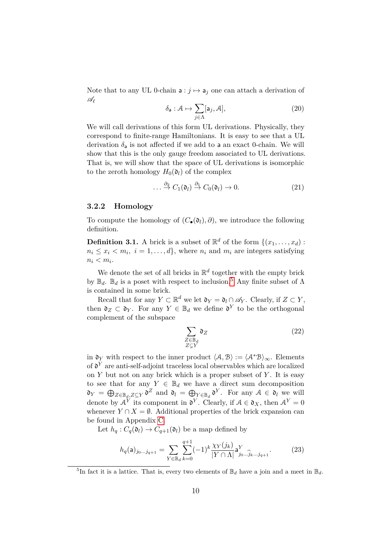Note that to any UL 0-chain  $a : j \mapsto a_j$  one can attach a derivation of A*`*

$$
\delta_{\mathsf{a}} : \mathcal{A} \mapsto \sum_{j \in \Lambda} [\mathsf{a}_j, \mathcal{A}], \tag{20}
$$

We will call derivations of this form UL derivations. Physically, they correspond to finite-range Hamiltonians. It is easy to see that a UL derivation  $\delta_{\mathsf{a}}$  is not affected if we add to a an exact 0-chain. We will show that this is the only gauge freedom associated to UL derivations. That is, we will show that the space of UL derivations is isomorphic to the zeroth homology  $H_0(\mathfrak{d}_l)$  of the complex

$$
\dots \stackrel{\partial_2}{\to} C_1(\mathfrak{d}_l) \stackrel{\partial_1}{\to} C_0(\mathfrak{d}_l) \to 0. \tag{21}
$$

#### **3.2.2 Homology**

To compute the homology of  $(C_{\bullet}(\mathfrak{d}_l), \partial)$ , we introduce the following definition.

**Definition 3.1.** A brick is a subset of  $\mathbb{R}^d$  of the form  $\{(x_1, \ldots, x_d):$  $n_i \leq x_i \leq m_i$ ,  $i = 1, \ldots, d$ , where  $n_i$  and  $m_i$  are integers satisfying  $n_i < m_i$ .

We denote the set of all bricks in  $\mathbb{R}^d$  together with the empty brick by  $\mathbb{B}_d$ .  $\mathbb{B}_d$  is a poset with respect to inclusion.<sup>[5](#page-9-0)</sup> Any finite subset of  $\Lambda$ is contained in some brick.

Recall that for any  $Y \subset \mathbb{R}^d$  we let  $\mathfrak{d}_Y = \mathfrak{d}_l \cap \mathscr{A}_Y$ . Clearly, if  $Z \subset Y$ , then  $\mathfrak{d}_Z \subset \mathfrak{d}_Y$ . For any  $Y \in \mathbb{B}_d$  we define  $\mathfrak{d}^Y$  to be the orthogonal complement of the subspace

$$
\sum_{\substack{Z \in \mathbb{B}_d \\ Z \subsetneq Y}} \mathfrak{d}_Z \tag{22}
$$

in  $\mathfrak{d}_V$  with respect to the inner product  $\langle A, B \rangle := \langle A^* B \rangle_{\infty}$ . Elements of  $\mathfrak{d}^Y$  are anti-self-adjoint traceless local observables which are localized on  $Y$  but not on any brick which is a proper subset of  $Y$ . It is easy to see that for any  $Y \in \mathbb{B}_d$  we have a direct sum decomposition  $\mathfrak{d}_Y = \bigoplus_{Z \in \mathbb{B}_d, Z \subseteq Y} \mathfrak{d}^Z$  and  $\mathfrak{d}_l = \bigoplus_{Y \in \mathbb{B}_d} \mathfrak{d}^Y$ . For any  $A \in \mathfrak{d}_l$  we will denote by  $A^Y$  its component in  $\mathfrak{d}^Y$ . Clearly, if  $A \in \mathfrak{d}_X$ , then  $A^Y = 0$ whenever  $Y \cap X = \emptyset$ . Additional properties of the brick expansion can be found in Appendix [C.](#page-35-0)

Let  $h_q: C_q(\mathfrak{d}_l) \to C_{q+1}(\mathfrak{d}_l)$  be a map defined by

$$
h_q(\mathbf{a})_{j_0...j_{q+1}} = \sum_{Y \in \mathbb{B}_d} \sum_{k=0}^{q+1} (-1)^k \frac{\chi_Y(j_k)}{|Y \cap \Lambda|} \mathbf{a}_{j_0...j_k...j_{q+1}}^Y.
$$
 (23)

<span id="page-9-0"></span><sup>&</sup>lt;sup>5</sup>In fact it is a lattice. That is, every two elements of  $\mathbb{B}_d$  have a join and a meet in  $\mathbb{B}_d$ .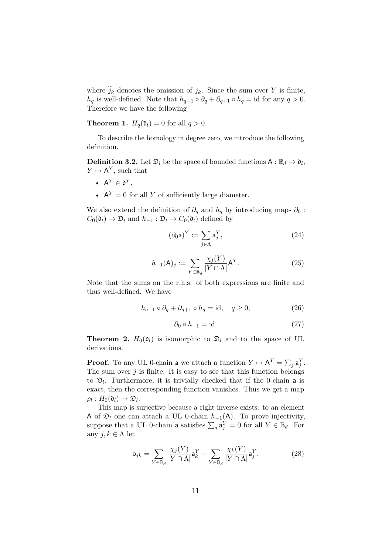where  $\hat{j}_k$  denotes the omission of  $j_k$ . Since the sum over *Y* is finite, *h*<sup>*q*</sup> is well-defined. Note that  $h_{q-1} \circ \partial_q + \partial_{q+1} \circ h_q = \text{id}$  for any  $q > 0$ . Therefore we have the following

**Theorem 1.**  $H_q(\mathfrak{d}_l) = 0$  for all  $q > 0$ .

To describe the homology in degree zero, we introduce the following definition.

**Definition 3.2.** Let  $\mathfrak{D}_l$  be the space of bounded functions  $A: \mathbb{B}_d \to \mathfrak{d}_l$ ,  $Y \mapsto A^Y$ , such that

- $A^Y \in \mathfrak{d}^Y,$
- $A^Y = 0$  for all *Y* of sufficiently large diameter.

We also extend the definition of  $\partial_q$  and  $h_q$  by introducing maps  $\partial_0$ :  $C_0(\mathfrak{d}_l) \to \mathfrak{D}_l$  and  $h_{-1} : \mathfrak{D}_l \to C_0(\mathfrak{d}_l)$  defined by

$$
(\partial_0 \mathsf{a})^Y := \sum_{j \in \Lambda} \mathsf{a}_j^Y,\tag{24}
$$

$$
h_{-1}(\mathsf{A})_j := \sum_{Y \in \mathbb{B}_d} \frac{\chi_j(Y)}{|Y \cap \Lambda|} \mathsf{A}^Y.
$$
 (25)

Note that the sums on the r.h.s. of both expressions are finite and thus well-defined. We have

$$
h_{q-1} \circ \partial_q + \partial_{q+1} \circ h_q = \text{id}, \quad q \ge 0,
$$
\n(26)

$$
\partial_0 \circ h_{-1} = \text{id}.\tag{27}
$$

<span id="page-10-0"></span>**Theorem 2.**  $H_0(\mathfrak{d}_l)$  is isomorphic to  $\mathfrak{D}_l$  and to the space of UL derivations.

**Proof.** To any UL 0-chain a we attach a function  $Y \mapsto A^Y = \sum_j a_j^Y$ . The sum over  $j$  is finite. It is easy to see that this function belongs to  $\mathfrak{D}_l$ . Furthermore, it is trivially checked that if the 0-chain a is exact, then the corresponding function vanishes. Thus we get a map  $\rho_l: H_0(\mathfrak{d}_l) \to \mathfrak{D}_l.$ 

This map is surjective because a right inverse exists: to an element A of  $\mathfrak{D}_l$  one can attach a UL 0-chain  $h_{-1}(\mathsf{A})$ . To prove injectivity, suppose that a UL 0-chain a satisfies  $\sum_j a_j^Y = 0$  for all  $Y \in \mathbb{B}_d$ . For any  $j, k \in \Lambda$  let

$$
\mathbf{b}_{jk} = \sum_{Y \in \mathbb{B}_d} \frac{\chi_j(Y)}{|Y \cap \Lambda|} \mathbf{a}_k^Y - \sum_{Y \in \mathbb{B}_d} \frac{\chi_k(Y)}{|Y \cap \Lambda|} \mathbf{a}_j^Y. \tag{28}
$$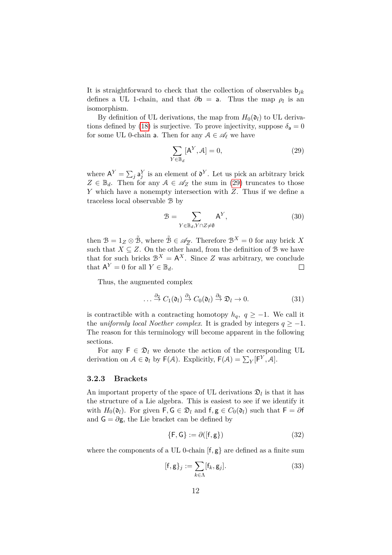It is straightforward to check that the collection of observables  $\mathbf{b}_{ik}$ defines a UL 1-chain, and that  $\partial \mathbf{b} = \mathbf{a}$ . Thus the map  $\rho_l$  is an isomorphism.

By definition of UL derivations, the map from  $H_0(\mathfrak{d}_l)$  to UL deriva-tions defined by [\(18\)](#page-8-0) is surjective. To prove injectivity, suppose  $\delta_{a} = 0$ for some UL 0-chain a. Then for any  $A \in \mathcal{A}_{\ell}$  we have

<span id="page-11-0"></span>
$$
\sum_{Y \in \mathbb{B}_d} [\mathsf{A}^Y, \mathcal{A}] = 0,\tag{29}
$$

where  $A^Y = \sum_j a_j^Y$  is an element of  $\mathfrak{d}^Y$ . Let us pick an arbitrary brick  $Z \in \mathbb{B}_d$ . Then for any  $A \in \mathscr{A}_Z$  the sum in [\(29\)](#page-11-0) truncates to those *Y* which have a nonempty intersection with *Z*. Thus if we define a traceless local observable B by

$$
\mathcal{B} = \sum_{Y \in \mathbb{B}_d, Y \cap Z \neq \emptyset} \mathsf{A}^Y,\tag{30}
$$

then  $\mathcal{B} = 1_Z \otimes \tilde{\mathcal{B}}$ , where  $\tilde{\mathcal{B}} \in \mathscr{A}_{\overline{Z}}$ . Therefore  $\mathcal{B}^X = 0$  for any brick X such that  $X \subseteq Z$ . On the other hand, from the definition of B we have that for such bricks  $\mathcal{B}^X = \mathsf{A}^X$ . Since *Z* was arbitrary, we conclude that  $A^Y = 0$  for all  $Y \in \mathbb{B}_d$ .  $\Box$ 

Thus, the augmented complex

<span id="page-11-2"></span>
$$
\dots \stackrel{\partial_2}{\to} C_1(\mathfrak{d}_l) \stackrel{\partial_1}{\to} C_0(\mathfrak{d}_l) \stackrel{\partial_0}{\to} \mathfrak{D}_l \to 0. \tag{31}
$$

is contractible with a contracting homotopy  $h_q$ ,  $q \geq -1$ . We call it the *uniformly local Noether complex*. It is graded by integers  $q \geq -1$ . The reason for this terminology will become apparent in the following sections.

For any  $F \in \mathfrak{D}_l$  we denote the action of the corresponding UL derivation on  $A \in \mathfrak{d}_l$  by  $\mathsf{F}(\mathcal{A})$ . Explicitly,  $\mathsf{F}(\mathcal{A}) = \sum_Y [\mathsf{F}^Y, \mathcal{A}]$ .

#### **3.2.3 Brackets**

An important property of the space of UL derivations  $\mathfrak{D}_l$  is that it has the structure of a Lie algebra. This is easiest to see if we identify it with  $H_0(\mathfrak{d}_l)$ . For given  $\mathsf{F}, \mathsf{G} \in \mathfrak{D}_l$  and  $\mathsf{f}, \mathsf{g} \in C_0(\mathfrak{d}_l)$  such that  $\mathsf{F} = \partial \mathsf{f}$ and  $G = \partial g$ , the Lie bracket can be defined by

<span id="page-11-1"></span>
$$
\{\mathsf{F},\mathsf{G}\} := \partial([\mathsf{f},\mathsf{g}])\tag{32}
$$

where the components of a UL 0-chain  $[f, g]$  are defined as a finite sum

$$
[\mathsf{f}, \mathsf{g}]_j := \sum_{k \in \Lambda} [\mathsf{f}_k, \mathsf{g}_j]. \tag{33}
$$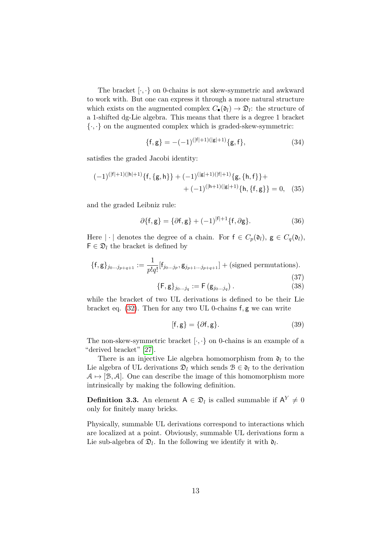The bracket  $[\cdot, \cdot]$  on 0-chains is not skew-symmetric and awkward to work with. But one can express it through a more natural structure which exists on the augmented complex  $C_{\bullet}(\mathfrak{d}_l) \to \mathfrak{D}_l$ : the structure of a 1-shifted dg-Lie algebra. This means that there is a degree 1 bracket  $\{\cdot,\cdot\}$  on the augmented complex which is graded-skew-symmetric:

$$
\{f,g\} = -(-1)^{(|f|+1)(|g|+1)}\{g,f\},\tag{34}
$$

satisfies the graded Jacobi identity:

$$
(-1)^{(|f|+1)(|h|+1)}{f, {g, h}} + (-1)^{(|g|+1)(|f|+1)}{g, {h, f}} + (-1)^{(|h+1)(|g|+1)}{h, {f, g}} = 0, (35)
$$

and the graded Leibniz rule:

$$
\partial \{f, g\} = \{\partial f, g\} + (-1)^{|f|+1} \{f, \partial g\}.
$$
 (36)

Here  $|\cdot|$  denotes the degree of a chain. For  $f \in C_p(\mathfrak{d}_l)$ ,  $g \in C_q(\mathfrak{d}_l)$ ,  $F \in \mathfrak{D}_l$  the bracket is defined by

$$
\{\mathsf{f}, \mathsf{g}\}_{j_0...j_{p+q+1}} := \frac{1}{p!q!} [\mathsf{f}_{j_0...j_p}, \mathsf{g}_{j_{p+1}...j_{p+q+1}}] + (\text{signed permutations}).
$$
\n
$$
\{\mathsf{F}, \mathsf{g}\}_{j_0...j_q} := \mathsf{F}\left(\mathsf{g}_{j_0...j_q}\right). \tag{38}
$$

while the bracket of two UL derivations is defined to be their Lie bracket eq. [\(32\)](#page-11-1). Then for any two UL 0-chains f*,* g we can write

$$
[f, g] = \{\partial f, g\}.
$$
 (39)

The non-skew-symmetric bracket  $[\cdot, \cdot]$  on 0-chains is an example of a "derived bracket" [\[27\]](#page-51-7).

There is an injective Lie algebra homomorphism from  $\mathfrak{d}_l$  to the Lie algebra of UL derivations  $\mathfrak{D}_l$  which sends  $\mathfrak{B} \in \mathfrak{d}_l$  to the derivation  $A \mapsto [\mathcal{B}, \mathcal{A}]$ . One can describe the image of this homomorphism more intrinsically by making the following definition.

**Definition 3.3.** An element  $A \in \mathfrak{D}_l$  is called summable if  $A^Y \neq 0$ only for finitely many bricks.

Physically, summable UL derivations correspond to interactions which are localized at a point. Obviously, summable UL derivations form a Lie sub-algebra of  $\mathfrak{D}_l$ . In the following we identify it with  $\mathfrak{d}_l$ .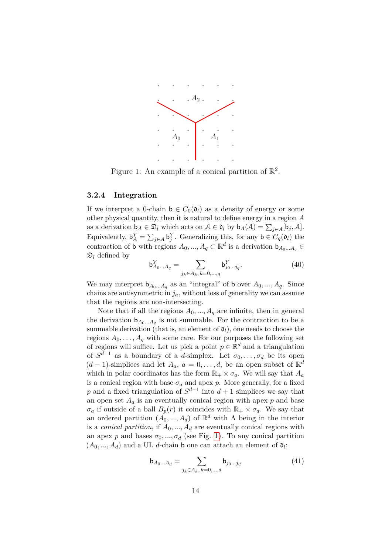<span id="page-13-0"></span>

Figure 1: An example of a conical partition of  $\mathbb{R}^2$ .

#### **3.2.4 Integration**

If we interpret a 0-chain  $\mathbf{b} \in C_0(\mathfrak{d}_l)$  as a density of energy or some other physical quantity, then it is natural to define energy in a region *A* as a derivation  $\mathbf{b}_A \in \mathfrak{D}_l$  which acts on  $\mathcal{A} \in \mathfrak{d}_l$  by  $\mathbf{b}_A(\mathcal{A}) = \sum_{j \in A} [\mathbf{b}_j, \mathcal{A}]$ . Equivalently,  $\mathbf{b}_A^Y = \sum_{j \in A} \mathbf{b}_j^Y$ . Generalizing this, for any  $\mathbf{b} \in C_q(\mathfrak{d}_l)$  the contraction of **b** with regions  $A_0, ..., A_q \subset \mathbb{R}^d$  is a derivation  $\mathbf{b}_{A_0...A_q} \in$  $\mathfrak{D}_l$  defined by

$$
\mathbf{b}_{A_0...A_q}^Y = \sum_{j_k \in A_k, k=0,...,q} \mathbf{b}_{j_0...j_q}^Y.
$$
 (40)

We may interpret  $b_{A_0...A_q}$  as an "integral" of b over  $A_0, ..., A_q$ . Since chains are antisymmetric in *ja*, without loss of generality we can assume that the regions are non-intersecting.

Note that if all the regions  $A_0, ..., A_q$  are infinite, then in general the derivation  $\mathbf{b}_{A_0...A_q}$  is not summable. For the contraction to be a summable derivation (that is, an element of  $\mathfrak{d}_l$ ), one needs to choose the regions  $A_0, \ldots, A_q$  with some care. For our purposes the following set of regions will suffice. Let us pick a point  $p \in \mathbb{R}^d$  and a triangulation of  $S^{d-1}$  as a boundary of a *d*-simplex. Let  $\sigma_0, \ldots, \sigma_d$  be its open  $(d-1)$ -simplices and let  $A_a$ ,  $a = 0, \ldots, d$ , be an open subset of  $\mathbb{R}^d$ which in polar coordinates has the form  $\mathbb{R}_+ \times \sigma_a$ . We will say that  $A_a$ is a conical region with base  $\sigma_a$  and apex *p*. More generally, for a fixed *p* and a fixed triangulation of  $S^{d-1}$  into  $d+1$  simplices we say that an open set  $A_a$  is an eventually conical region with apex  $p$  and base  $\sigma_a$  if outside of a ball  $B_p(r)$  it coincides with  $\mathbb{R}_+ \times \sigma_a$ . We say that an ordered partition  $(A_0, ..., A_d)$  of  $\mathbb{R}^d$  with  $\Lambda$  being in the interior is a *conical partition*, if  $A_0, \ldots, A_d$  are eventually conical regions with an apex *p* and bases  $\sigma_0, \ldots, \sigma_d$  (see Fig. [1\)](#page-13-0). To any conical partition  $(A_0, ..., A_d)$  and a UL *d*-chain **b** one can attach an element of  $\mathfrak{d}_l$ :

<span id="page-13-1"></span>
$$
\mathbf{b}_{A_0...A_d} = \sum_{j_k \in A_k, k=0,...,d} \mathbf{b}_{j_0...j_d}
$$
 (41)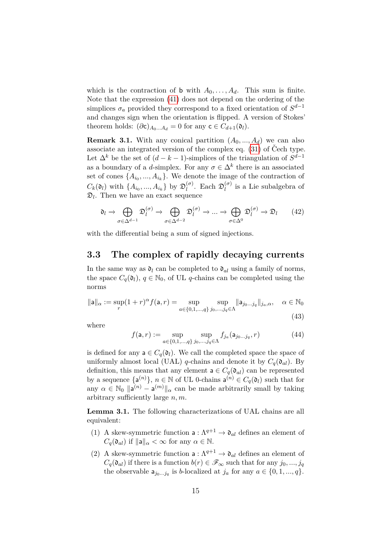which is the contraction of **b** with  $A_0, \ldots, A_d$ . This sum is finite. Note that the expression [\(41\)](#page-13-1) does not depend on the ordering of the simplices  $\sigma_a$  provided they correspond to a fixed orientation of  $S^{d-1}$ and changes sign when the orientation is flipped. A version of Stokes' theorem holds:  $(\partial c)_{A_0...A_d} = 0$  for any  $c \in C_{d+1}(\mathfrak{d}_l)$ .

<span id="page-14-0"></span>**Remark 3.1.** With any conical partition  $(A_0, ..., A_d)$  we can also associate an integrated version of the complex eq.  $(31)$  of Čech type. Let  $\Delta^k$  be the set of  $(d - k - 1)$ -simplices of the triangulation of  $S^{d-1}$ as a boundary of a *d*-simplex. For any  $\sigma \in \Delta^k$  there is an associated set of cones  $\{A_{i_0},...,A_{i_k}\}$ . We denote the image of the contraction of  $C_k(\mathfrak{d}_l)$  with  $\{A_{i_0},...,A_{i_k}\}$  by  $\mathfrak{D}_l^{(\sigma)}$  $\varrho_l^{(\sigma)}$ . Each  $\mathfrak{D}_l^{(\sigma)}$  $\binom{0}{l}$  is a Lie subalgebra of  $\mathfrak{D}_l$ . Then we have an exact sequence

<span id="page-14-1"></span>
$$
\mathfrak{d}_l \to \bigoplus_{\sigma \in \Delta^{d-1}} \mathfrak{D}_l^{(\sigma)} \to \bigoplus_{\sigma \in \Delta^{d-2}} \mathfrak{D}_l^{(\sigma)} \to \dots \to \bigoplus_{\sigma \in \Delta^0} \mathfrak{D}_l^{(\sigma)} \to \mathfrak{D}_l \tag{42}
$$

with the differential being a sum of signed injections.

### **3.3 The complex of rapidly decaying currents**

In the same way as  $\mathfrak{d}_l$  can be completed to  $\mathfrak{d}_{al}$  using a family of norms, the space  $C_q(\mathfrak{d}_l)$ ,  $q \in \mathbb{N}_0$ , of UL *q*-chains can be completed using the norms

$$
\|\mathbf{a}\|_{\alpha} := \sup_{r} (1+r)^{\alpha} f(\mathbf{a}, r) = \sup_{a \in \{0, 1, \dots, q\}} \sup_{j_0, \dots, j_q \in \Lambda} \|\mathbf{a}_{j_0 \dots j_q}\|_{j_a, \alpha}, \quad \alpha \in \mathbb{N}_0
$$
\n(43)

where

$$
f(\mathsf{a},r) := \sup_{a \in \{0,1,\dots,q\}} \sup_{j_0,\dots,j_q \in \Lambda} f_{j_a}(\mathsf{a}_{j_0\dots j_q},r) \tag{44}
$$

is defined for any  $a \in C_q(\mathfrak{d}_l)$ . We call the completed space the space of uniformly almost local (UAL) *q*-chains and denote it by  $C_q(\mathfrak{d}_{al})$ . By definition, this means that any element  $a \in C_q(\mathfrak{d}_{al})$  can be represented by a sequence  $\{a^{(n)}\}, n \in \mathbb{N}$  of UL 0-chains  $a^{(n)} \in C_q(\mathfrak{d}_l)$  such that for any  $\alpha \in \mathbb{N}_0$   $\|\mathsf{a}^{(n)} - \mathsf{a}^{(m)}\|_{\alpha}$  can be made arbitrarily small by taking arbitrary sufficiently large *n, m*.

**Lemma 3.1.** The following characterizations of UAL chains are all equivalent:

- (1) A skew-symmetric function  $\mathsf{a}: \Lambda^{q+1} \to \mathfrak{d}_{al}$  defines an element of  $C_q(\mathfrak{d}_{al})$  if  $\|\mathfrak{a}\|_{\alpha} < \infty$  for any  $\alpha \in \mathbb{N}$ .
- (2) A skew-symmetric function  $a: \Lambda^{q+1} \to \mathfrak{d}_{al}$  defines an element of  $C_q(\mathfrak{d}_{al})$  if there is a function  $b(r) \in \mathscr{F}_{\infty}$  such that for any  $j_0, ..., j_q$ the observable  $a_{j_0...j_q}$  is *b*-localized at  $j_a$  for any  $a \in \{0,1,...,q\}$ .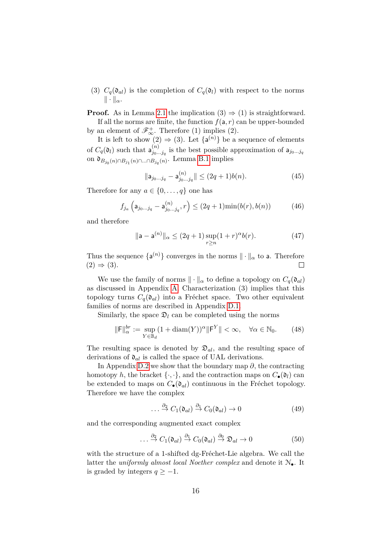(3)  $C_q(\mathfrak{d}_{al})$  is the completion of  $C_q(\mathfrak{d}_l)$  with respect to the norms  $\|\cdot\|_{\alpha}$ .

**Proof.** As in Lemma [2.1](#page-6-0) the implication  $(3) \Rightarrow (1)$  is straightforward. If all the norms are finite, the function  $f(a, r)$  can be upper-bounded by an element of  $\mathscr{F}_{\infty}^{+}$ . Therefore (1) implies (2).

It is left to show  $(2) \Rightarrow (3)$ . Let  $\{a^{(n)}\}$  be a sequence of elements of  $C_q(\mathfrak{d}_l)$  such that  $\mathfrak{a}_{j_0}^{(n)}$ .  $j_0^{(n)}$  is the best possible approximation of  $a_{j_0...j_q}$ on  $\mathfrak{d}_{B_{j_0}(n) \cap B_{j_1}(n) \cap ... \cap B_{j_q}(n)}$ . Lemma [B.1](#page-35-1) implies

$$
\|\mathsf{a}_{j_0...j_q} - \mathsf{a}_{j_0...j_q}^{(n)}\| \le (2q+1)b(n). \tag{45}
$$

Therefore for any  $a \in \{0, \ldots, q\}$  one has

$$
f_{j_a}\left(\mathsf{a}_{j_0...j_q}-\mathsf{a}_{j_0...j_q}^{(n)},r\right) \le (2q+1)\min(b(r),b(n))\tag{46}
$$

and therefore

$$
\|\mathbf{a} - \mathbf{a}^{(n)}\|_{\alpha} \le (2q+1) \sup_{r \ge n} (1+r)^{\alpha} b(r). \tag{47}
$$

Thus the sequence  $\{a^{(n)}\}$  converges in the norms  $\|\cdot\|_{\alpha}$  to a. Therefore  $(2) \Rightarrow (3)$ .  $\Box$ 

We use the family of norms  $\|\cdot\|_{\alpha}$  to define a topology on  $C_q(\mathfrak{d}_{al})$ as discussed in Appendix [A.](#page-33-0) Characterization (3) implies that this topology turns  $C_q(\mathfrak{d}_{al})$  into a Fréchet space. Two other equivalent families of norms are described in Appendix [D.1.](#page-38-0)

Similarly, the space  $\mathfrak{D}_l$  can be completed using the norms

$$
\|\mathsf{F}\|_{\alpha}^{br} := \sup_{Y \in \mathbb{B}_d} (1 + \operatorname{diam}(Y))^{\alpha} \|\mathsf{F}^Y\| < \infty, \quad \forall \alpha \in \mathbb{N}_0. \tag{48}
$$

The resulting space is denoted by  $\mathfrak{D}_{al}$ , and the resulting space of derivations of  $\mathfrak{d}_{al}$  is called the space of UAL derivations.

In Appendix [D.2](#page-39-0) we show that the boundary map *∂*, the contracting homotopy *h*, the bracket  $\{\cdot, \cdot\}$ , and the contraction maps on  $C_{\bullet}(\mathfrak{d}_l)$  can be extended to maps on  $C_{\bullet}(\mathfrak{d}_{al})$  continuous in the Fréchet topology. Therefore we have the complex

$$
\dots \stackrel{\partial_2}{\rightarrow} C_1(\mathfrak{d}_{al}) \stackrel{\partial_1}{\rightarrow} C_0(\mathfrak{d}_{al}) \rightarrow 0 \tag{49}
$$

and the corresponding augmented exact complex

$$
\dots \stackrel{\partial_2}{\rightarrow} C_1(\mathfrak{d}_{al}) \stackrel{\partial_1}{\rightarrow} C_0(\mathfrak{d}_{al}) \stackrel{\partial_0}{\rightarrow} \mathfrak{D}_{al} \rightarrow 0 \tag{50}
$$

with the structure of a 1-shifted dg-Fréchet-Lie algebra. We call the latter the *uniformly almost local Noether complex* and denote it N•. It is graded by integers  $q \geq -1$ .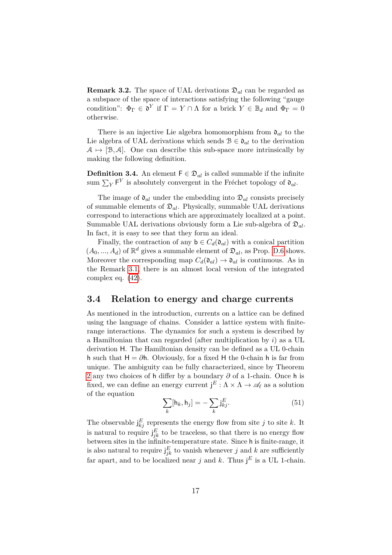**Remark 3.2.** The space of UAL derivations  $\mathfrak{D}_{al}$  can be regarded as a subspace of the space of interactions satisfying the following "gauge condition":  $\Phi_{\Gamma} \in \mathfrak{d}^Y$  if  $\Gamma = Y \cap \Lambda$  for a brick  $Y \in \mathbb{B}_d$  and  $\Phi_{\Gamma} = 0$ otherwise.

There is an injective Lie algebra homomorphism from  $\mathfrak{d}_{al}$  to the Lie algebra of UAL derivations which sends  $\mathcal{B} \in \mathfrak{d}_{al}$  to the derivation  $A \mapsto [\mathcal{B}, \mathcal{A}]$ . One can describe this sub-space more intrinsically by making the following definition.

**Definition 3.4.** An element  $\mathsf{F} \in \mathcal{D}_{al}$  is called summable if the infinite sum  $\sum_{Y} \mathsf{F}^{Y}$  is absolutely convergent in the Fréchet topology of  $\mathfrak{d}_{al}$ .

The image of  $\mathfrak{d}_{al}$  under the embedding into  $\mathfrak{D}_{al}$  consists precisely of summable elements of  $\mathfrak{D}_{al}$ . Physically, summable UAL derivations correspond to interactions which are approximately localized at a point. Summable UAL derivations obviously form a Lie sub-algebra of  $\mathfrak{D}_{al}$ . In fact, it is easy to see that they form an ideal.

Finally, the contraction of any  $\mathbf{b} \in C_d(\mathfrak{d}_{al})$  with a conical partition  $(A_0, ..., A_d)$  of  $\mathbb{R}^d$  gives a summable element of  $\mathfrak{D}_{al}$ , as Prop. [D.6](#page-42-0) shows. Moreover the corresponding map  $C_d(\mathfrak{d}_{al}) \to \mathfrak{d}_{al}$  is continuous. As in the Remark [3.1,](#page-14-0) there is an almost local version of the integrated complex eq. [\(42\)](#page-14-1).

### **3.4 Relation to energy and charge currents**

As mentioned in the introduction, currents on a lattice can be defined using the language of chains. Consider a lattice system with finiterange interactions. The dynamics for such a system is described by a Hamiltonian that can regarded (after multiplication by *i*) as a UL derivation H. The Hamiltonian density can be defined as a UL 0-chain h such that  $H = \partial h$ . Obviously, for a fixed H the 0-chain h is far from unique. The ambiguity can be fully characterized, since by Theorem [2](#page-10-0) any two choices of h differ by a boundary *∂* of a 1-chain. Once h is fixed, we can define an energy current  $j^E : \Lambda \times \Lambda \to \mathscr{A}_{\ell}$  as a solution of the equation

<span id="page-16-0"></span>
$$
\sum_{k} [\mathsf{h}_k, \mathsf{h}_j] = -\sum_{k} \mathsf{j}^E_{kj}.
$$
 (51)

The observable  $j_{kj}^E$  represents the energy flow from site *j* to site *k*. It is natural to require  $j_{jk}^E$  to be traceless, so that there is no energy flow between sites in the infinite-temperature state. Since h is finite-range, it is also natural to require  $j_{jk}^E$  to vanish whenever *j* and *k* are sufficiently far apart, and to be localized near *j* and *k*. Thus  $j^E$  is a UL 1-chain.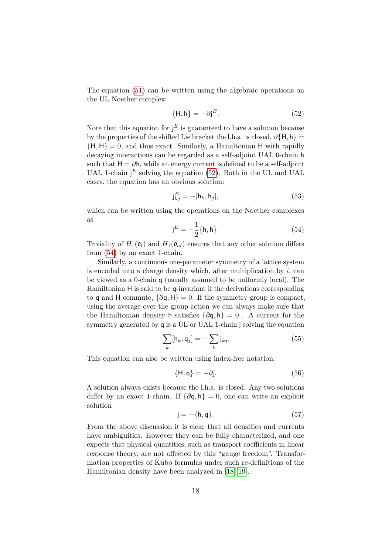The equation [\(51\)](#page-16-0) can be written using the algebraic operations on the UL Noether complex:

<span id="page-17-0"></span>
$$
\{\mathsf{H}, \mathsf{h}\} = -\partial \mathsf{j}^E. \tag{52}
$$

Note that this equation for  $j^E$  is guaranteed to have a solution because by the properties of the shifted Lie bracket the l.h.s. is closed,  $\partial\{H, h\}$  =  ${H, H} = 0$ , and thus exact. Similarly, a Hamiltonian H with rapidly decaying interactions can be regarded as a self-adjoint UAL 0-chain h such that  $H = \partial h$ , while an energy current is defined to be a self-adjoint UAL 1-chain  $j^E$  solving the equation [\(52\)](#page-17-0). Both in the UL and UAL cases, the equation has an obvious solution:

$$
\mathbf{j}_{kj}^E = -[\mathbf{h}_k, \mathbf{h}_j],\tag{53}
$$

which can be written using the operations on the Noether complexes as

<span id="page-17-1"></span>
$$
j^{E} = -\frac{1}{2} \{h, h\}. \tag{54}
$$

Triviality of  $H_1(\mathfrak{d}_l)$  and  $H_1(\mathfrak{d}_{al})$  ensures that any other solution differs from [\(54\)](#page-17-1) by an exact 1-chain.

Similarly, a continuous one-parameter symmetry of a lattice system is encoded into a charge density which, after multiplication by *i*, can be viewed as a 0-chain q (usually assumed to be uniformly local). The Hamiltonian H is said to be q-invariant if the derivations corresponding to q and H commute,  $\{\partial q, H\} = 0$ . If the symmetry group is compact, using the average over the group action we can always make sure that the Hamiltonian density h satisfies  $\{\partial q, h\} = 0$ . A current for the symmetry generated by q is a UL or UAL 1-chain j solving the equation

$$
\sum_{k} [\mathsf{h}_k, \mathsf{q}_j] = -\sum_{k} \mathsf{j}_{kj}.\tag{55}
$$

This equation can also be written using index-free notation:

$$
\{\mathsf{H},\mathsf{q}\}=-\partial\mathsf{j}.\tag{56}
$$

A solution always exists because the l.h.s. is closed. Any two solutions differ by an exact 1-chain. If  $\{\partial q, h\} = 0$ , one can write an explicit solution

$$
\mathbf{j} = -\{\mathbf{h}, \mathbf{q}\}. \tag{57}
$$

From the above discussion it is clear that all densities and currents have ambiguities. However they can be fully characterized, and one expects that physical quantities, such as transport coefficients in linear response theory, are not affected by this "gauge freedom". Transformation properties of Kubo formulas under such re-definitions of the Hamiltonian density have been analyzed in [\[18,](#page-50-8) [19\]](#page-50-9).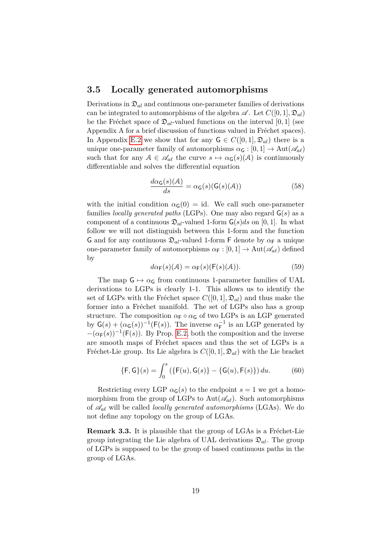### **3.5 Locally generated automorphisms**

Derivations in  $\mathfrak{D}_{al}$  and continuous one-parameter families of derivations can be integrated to automorphisms of the algebra  $\mathscr A$ . Let  $C([0,1], \mathfrak{D}_{al})$ be the Fréchet space of  $\mathfrak{D}_{al}$ -valued functions on the interval [0, 1] (see Appendix A for a brief discussion of functions valued in Fréchet spaces). In Appendix [E.2](#page-43-0) we show that for any  $G \in C([0,1], \mathfrak{D}_{al})$  there is a unique one-parameter family of automorphisms  $\alpha_{\mathsf{G}} : [0,1] \to \text{Aut}(\mathscr{A}_{\text{alt}})$ such that for any  $A \in \mathscr{A}_{\alpha\ell}$  the curve  $s \mapsto \alpha_{\mathsf{G}}(s)(A)$  is continuously differentiable and solves the differential equation

$$
\frac{d\alpha_{\mathsf{G}}(s)(\mathcal{A})}{ds} = \alpha_{\mathsf{G}}(s)(\mathsf{G}(s)(\mathcal{A}))\tag{58}
$$

with the initial condition  $\alpha_{\mathsf{G}}(0) = id$ . We call such one-parameter families *locally generated paths* (LGPs). One may also regard G(*s*) as a component of a continuous  $\mathfrak{D}_{al}$ -valued 1-form  $\mathsf{G}(s)ds$  on [0, 1]. In what follow we will not distinguish between this 1-form and the function G and for any continuous  $\mathfrak{D}_{al}$ -valued 1-form F denote by  $\alpha_F$  a unique one-parameter family of automorphisms  $\alpha_F : [0,1] \to \text{Aut}(\mathscr{A}_{al})$  defined by

$$
d\alpha_{\mathsf{F}}(s)(\mathcal{A}) = \alpha_{\mathsf{F}}(s)(\mathsf{F}(s)(\mathcal{A})). \tag{59}
$$

The map  $\mathsf{G} \mapsto \alpha_{\mathsf{G}}$  from continuous 1-parameter families of UAL derivations to LGPs is clearly 1-1. This allows us to identify the set of LGPs with the Fréchet space  $C([0,1], \mathfrak{D}_{al})$  and thus make the former into a Fréchet manifold. The set of LGPs also has a group structure. The composition  $\alpha_F \circ \alpha_G$  of two LGPs is an LGP generated by  $G(s) + (\alpha_G(s))^{-1}(F(s))$ . The inverse  $\alpha_F^{-1}$  is an LGP generated by  $-(\alpha_F(s))^{-1}(F(s))$ . By Prop. [E.2,](#page-46-0) both the composition and the inverse are smooth maps of Fréchet spaces and thus the set of LGPs is a Fréchet-Lie group. Its Lie algebra is  $C([0,1], \mathcal{D}_{al})$  with the Lie bracket

$$
\{\mathsf{F},\mathsf{G}\}(s) = \int_0^s \left( \{\mathsf{F}(u),\mathsf{G}(s)\} - \{\mathsf{G}(u),\mathsf{F}(s)\} \right) du. \tag{60}
$$

Restricting every LGP  $\alpha_{\mathsf{G}}(s)$  to the endpoint  $s = 1$  we get a homomorphism from the group of LGPs to  $Aut(\mathcal{A}_{a\ell})$ . Such automorphisms of  $\mathcal{A}_{\alpha\ell}$  will be called *locally generated automorphisms* (LGAs). We do not define any topology on the group of LGAs.

**Remark 3.3.** It is plausible that the group of LGAs is a Fréchet-Lie group integrating the Lie algebra of UAL derivations  $\mathfrak{D}_{al}$ . The group of LGPs is supposed to be the group of based continuous paths in the group of LGAs.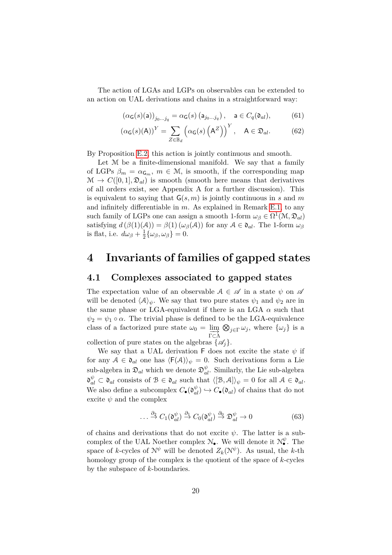The action of LGAs and LGPs on observables can be extended to an action on UAL derivations and chains in a straightforward way:

$$
(\alpha_{\mathsf{G}}(s)(\mathsf{a}))_{j_0...j_q} = \alpha_{\mathsf{G}}(s) \left( \mathsf{a}_{j_0...j_q} \right), \quad \mathsf{a} \in C_q(\mathfrak{d}_{al}), \tag{61}
$$

$$
(\alpha_{\mathsf{G}}(s)(\mathsf{A}))^{Y} = \sum_{Z \in \mathbb{B}_{d}} \left( \alpha_{\mathsf{G}}(s) \left( \mathsf{A}^{Z} \right) \right)^{Y}, \quad \mathsf{A} \in \mathfrak{D}_{al}. \tag{62}
$$

By Proposition [E.2,](#page-46-0) this action is jointly continuous and smooth.

Let M be a finite-dimensional manifold. We say that a family of LGPs  $\beta_m = \alpha_{\mathsf{G}_m}, m \in \mathcal{M}$ , is smooth, if the corresponding map  $\mathcal{M} \to C([0,1], \mathfrak{D}_{al})$  is smooth (smooth here means that derivatives of all orders exist, see Appendix A for a further discussion). This is equivalent to saying that G(*s, m*) is jointly continuous in *s* and *m* and infinitely differentiable in *m*. As explained in Remark [E.1,](#page-46-1) to any such family of LGPs one can assign a smooth 1-form  $\omega_{\beta} \in \Omega^1(\mathcal{M}, \mathfrak{D}_{al})$ satisfying  $d(\beta(1)(\mathcal{A})) = \beta(1)(\omega_{\beta}(\mathcal{A}))$  for any  $\mathcal{A} \in \mathfrak{d}_{al}$ . The 1-form  $\omega_{\beta}$ is flat, i.e.  $d\omega_{\beta} + \frac{1}{2}$  $\frac{1}{2} \{\omega_{\beta}, \omega_{\beta}\} = 0.$ 

### **4 Invariants of families of gapped states**

#### **4.1 Complexes associated to gapped states**

The expectation value of an observable  $A \in \mathscr{A}$  in a state  $\psi$  on  $\mathscr{A}$ will be denoted  $\langle A \rangle_{\psi}$ . We say that two pure states  $\psi_1$  and  $\psi_2$  are in the same phase or LGA-equivalent if there is an LGA  $\alpha$  such that  $\psi_2 = \psi_1 \circ \alpha$ . The trivial phase is defined to be the LGA-equivalence class of a factorized pure state  $\omega_0 = \underline{\lim}_{\Gamma \subset \Lambda}$  $\bigotimes_{j\in\Gamma}\omega_j$ , where  $\{\omega_j\}$  is a collection of pure states on the algebras  $\{\mathscr{A}_i\}.$ 

We say that a UAL derivation F does not excite the state  $\psi$  if for any  $A \in \mathfrak{d}_{al}$  one has  $\langle \mathsf{F}(A) \rangle_{\psi} = 0$ . Such derivations form a Lie sub-algebra in  $\mathfrak{D}_{al}$  which we denote  $\mathfrak{D}_{al}^{\psi}$ . Similarly, the Lie sub-algebra  $\mathfrak{d}^{\psi}_{al} \subset \mathfrak{d}_{al}$  consists of  $\mathcal{B} \in \mathfrak{d}_{al}$  such that  $\langle [\mathcal{B}, \mathcal{A}] \rangle_{\psi} = 0$  for all  $\mathcal{A} \in \mathfrak{d}_{al}$ . We also define a subcomplex  $C_{\bullet}(\mathfrak{d}_{al}^{\psi}) \hookrightarrow C_{\bullet}(\mathfrak{d}_{al})$  of chains that do not excite  $\psi$  and the complex

$$
\dots \stackrel{\partial_2}{\rightarrow} C_1(\mathfrak{d}^{\psi}_{al}) \stackrel{\partial_1}{\rightarrow} C_0(\mathfrak{d}^{\psi}_{al}) \stackrel{\partial_0}{\rightarrow} \mathfrak{D}^{\psi}_{al} \rightarrow 0 \tag{63}
$$

of chains and derivations that do not excite  $\psi$ . The latter is a subcomplex of the UAL Noether complex  $\mathcal{N}_{\bullet}$ . We will denote it  $\mathcal{N}_{\bullet}^{\psi}$ . The space of *k*-cycles of  $\mathcal{N}^{\psi}$  will be denoted  $Z_k(\mathcal{N}^{\psi})$ . As usual, the *k*-th homology group of the complex is the quotient of the space of *k*-cycles by the subspace of *k*-boundaries.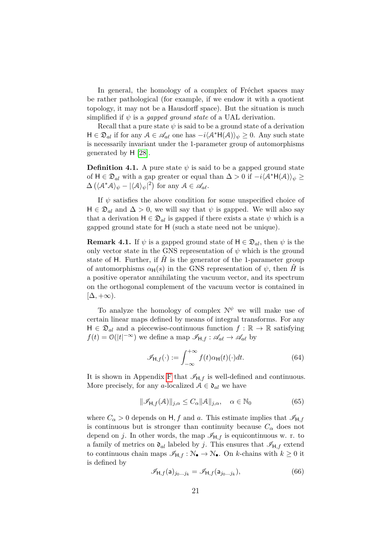In general, the homology of a complex of Fréchet spaces may be rather pathological (for example, if we endow it with a quotient topology, it may not be a Hausdorff space). But the situation is much simplified if  $\psi$  is a *gapped ground state* of a UAL derivation.

Recall that a pure state  $\psi$  is said to be a ground state of a derivation  $H \in \mathfrak{D}_{al}$  if for any  $A \in \mathscr{A}_{al}$  one has  $-i\langle A^*H(A) \rangle_{\psi} \geq 0$ . Any such state is necessarily invariant under the 1-parameter group of automorphisms generated by H [\[28\]](#page-51-8).

**Definition 4.1.** A pure state  $\psi$  is said to be a gapped ground state of  $H \in \mathfrak{D}_{al}$  with a gap greater or equal than  $\Delta > 0$  if  $-i\langle A^*H(A) \rangle_{\psi} \ge$  $\Delta \left( \langle A^* A \rangle_{\psi} - |\langle A \rangle_{\psi}|^2 \right)$  for any  $A \in \mathscr{A}_{a\ell}$ .

If  $\psi$  satisfies the above condition for some unspecified choice of  $H \in \mathfrak{D}_{al}$  and  $\Delta > 0$ , we will say that  $\psi$  is gapped. We will also say that a derivation  $H \in \mathfrak{D}_{al}$  is gapped if there exists a state  $\psi$  which is a gapped ground state for H (such a state need not be unique).

**Remark 4.1.** If  $\psi$  is a gapped ground state of  $H \in \mathcal{D}_{al}$ , then  $\psi$  is the only vector state in the GNS representation of  $\psi$  which is the ground state of H. Further, if  $\hat{H}$  is the generator of the 1-parameter group of automorphisms  $\alpha_H(s)$  in the GNS representation of  $\psi$ , then  $\hat{H}$  is a positive operator annihilating the vacuum vector, and its spectrum on the orthogonal complement of the vacuum vector is contained in  $[\Delta, +\infty).$ 

To analyze the homology of complex  $\mathcal{N}^{\psi}$  we will make use of certain linear maps defined by means of integral transforms. For any  $H \in \mathfrak{D}_{al}$  and a piecewise-continuous function  $f : \mathbb{R} \to \mathbb{R}$  satisfying  $f(t) = O(|t|^{-\infty})$  we define a map  $\mathscr{I}_{H,f} : \mathscr{A}_{a\ell} \to \mathscr{A}_{a\ell}$  by

$$
\mathscr{I}_{\mathsf{H},f}(\cdot) := \int_{-\infty}^{+\infty} f(t)\alpha_{\mathsf{H}}(t)(\cdot)dt.
$$
 (64)

It is shown in Appendix [F](#page-47-0) that  $\mathcal{I}_{H,f}$  is well-defined and continuous. More precisely, for any *a*-localized  $A \in \mathfrak{d}_{al}$  we have

$$
\|\mathcal{I}_{H,f}(\mathcal{A})\|_{j,\alpha} \le C_{\alpha} \|\mathcal{A}\|_{j,\alpha}, \quad \alpha \in \mathbb{N}_0
$$
\n(65)

where  $C_{\alpha} > 0$  depends on H, f and a. This estimate implies that  $\mathscr{I}_{H, f}$ is continuous but is stronger than continuity because  $C_{\alpha}$  does not depend on *j*. In other words, the map  $\mathscr{I}_{H,f}$  is equicontinuous w. r. to a family of metrics on  $\mathfrak{d}_{al}$  labeled by *j*. This ensures that  $\mathcal{I}_{H,f}$  extend to continuous chain maps  $\mathscr{I}_{H,f}: \mathbb{N}_{\bullet} \to \mathbb{N}_{\bullet}$ . On *k*-chains with  $k \geq 0$  it is defined by

$$
\mathscr{I}_{\mathsf{H},f}(\mathsf{a})_{j_0...j_k} = \mathscr{I}_{\mathsf{H},f}(\mathsf{a}_{j_0...j_k}),\tag{66}
$$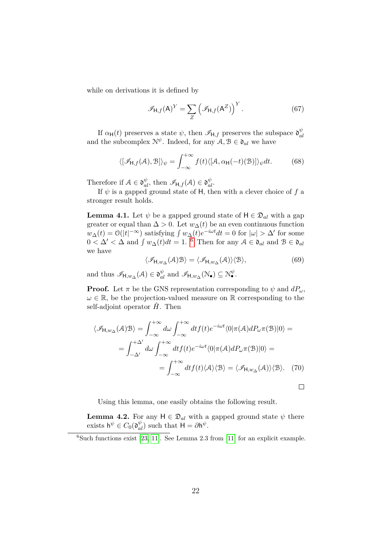while on derivations it is defined by

$$
\mathcal{I}_{H,f}(A)^{Y} = \sum_{Z} \left( \mathcal{I}_{H,f}(A^{Z}) \right)^{Y} . \tag{67}
$$

If  $\alpha_{\mathsf{H}}(t)$  preserves a state  $\psi$ , then  $\mathscr{I}_{\mathsf{H},f}$  preserves the subspace  $\mathfrak{d}_a^{\psi}$ *al* and the subcomplex  $\mathcal{N}^{\psi}$ . Indeed, for any  $A, B \in \mathfrak{d}_{al}$  we have

$$
\langle [\mathcal{I}_{\mathsf{H},f}(\mathcal{A}), \mathcal{B}] \rangle_{\psi} = \int_{-\infty}^{+\infty} f(t) \langle [\mathcal{A}, \alpha_{\mathsf{H}}(-t)(\mathcal{B})] \rangle_{\psi} dt.
$$
 (68)

Therefore if  $A \in \mathfrak{d}^{\psi}_{al}$ , then  $\mathscr{I}_{\mathsf{H},f}(\mathcal{A}) \in \mathfrak{d}^{\psi}_{al}$ .

If  $\psi$  is a gapped ground state of H, then with a clever choice of f a stronger result holds.

<span id="page-21-1"></span>**Lemma 4.1.** Let  $\psi$  be a gapped ground state of  $H \in \mathcal{D}_{al}$  with a gap greater or equal than  $\Delta > 0$ . Let  $w_{\Delta}(t)$  be an even continuous function  $w_{\Delta}(t) = \mathcal{O}(|t|^{-\infty})$  satisfying  $\int w_{\Delta}(t)e^{-i\omega t}dt = 0$  for  $|\omega| > \Delta'$  for some  $0 < \Delta' < \Delta$  and  $\int w_{\Delta}(t)dt = 1$ . <sup>[6](#page-21-0)</sup> Then for any  $\mathcal{A} \in \mathfrak{d}_{al}$  and  $\mathcal{B} \in \mathfrak{d}_{al}$ we have

$$
\langle \mathcal{I}_{H,w_{\Delta}}(\mathcal{A}) \mathcal{B} \rangle = \langle \mathcal{I}_{H,w_{\Delta}}(\mathcal{A}) \rangle \langle \mathcal{B} \rangle, \tag{69}
$$

and thus  $\mathscr{I}_{\mathsf{H},w_{\Delta}}(\mathcal{A}) \in \mathfrak{d}^{\psi}_{al}$  and  $\mathscr{I}_{\mathsf{H},w_{\Delta}}(\mathbb{N}_{\bullet}) \subseteq \mathbb{N}^{\psi}_{\bullet}$ .

**Proof.** Let  $\pi$  be the GNS representation corresponding to  $\psi$  and  $dP_{\omega}$ ,  $\omega \in \mathbb{R}$ , be the projection-valued measure on  $\mathbb{R}$  corresponding to the self-adjoint operator  $\hat{H}$ . Then

$$
\langle \mathcal{I}_{\mathsf{H},w_{\Delta}}(\mathcal{A})\mathcal{B}\rangle = \int_{-\infty}^{+\infty} d\omega \int_{-\infty}^{+\infty} dt f(t)e^{-i\omega t} \langle 0|\pi(\mathcal{A})dP_{\omega}\pi(\mathcal{B})|0\rangle =
$$
  

$$
= \int_{-\Delta'}^{+\Delta'} d\omega \int_{-\infty}^{+\infty} dt f(t)e^{-i\omega t} \langle 0|\pi(\mathcal{A})dP_{\omega}\pi(\mathcal{B})|0\rangle =
$$
  

$$
= \int_{-\infty}^{+\infty} dt f(t) \langle \mathcal{A}\rangle \langle \mathcal{B}\rangle = \langle \mathcal{I}_{\mathsf{H},w_{\Delta}}(\mathcal{A})\rangle \langle \mathcal{B}\rangle. \tag{70}
$$

Using this lemma, one easily obtains the following result.

<span id="page-21-2"></span>**Lemma 4.2.** For any  $H \in \mathcal{D}_{al}$  with a gapped ground state  $\psi$  there exists  $h^{\psi} \in C_0(\mathfrak{d}_{al}^{\psi})$  such that  $H = \partial h^{\psi}$ .

<span id="page-21-0"></span> $6Such$  functions exist [\[23,](#page-51-3) [11\]](#page-50-1). See Lemma 2.3 from [\[11\]](#page-50-1) for an explicit example.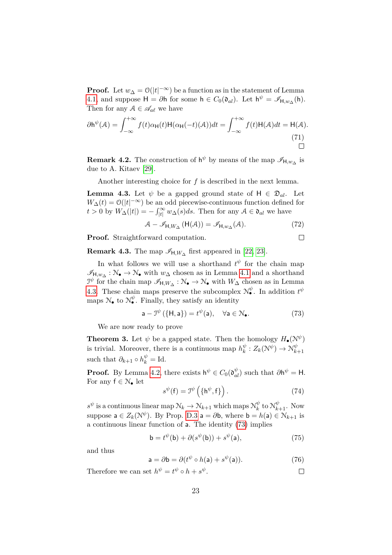**Proof.** Let  $w_{\Delta} = \mathcal{O}(|t|^{-\infty})$  be a function as in the statement of Lemma [4.1,](#page-21-1) and suppose  $H = \partial h$  for some  $h \in C_0(\mathfrak{d}_d)$ . Let  $h^{\psi} = \mathscr{I}_{H,w_{\Delta}}(h)$ . Then for any  $A \in \mathscr{A}_{a\ell}$  we have

$$
\partial \mathsf{h}^{\psi}(\mathcal{A}) = \int_{-\infty}^{+\infty} f(t) \alpha_{\mathsf{H}}(t) \mathsf{H}(\alpha_{\mathsf{H}}(-t)(\mathcal{A})) dt = \int_{-\infty}^{+\infty} f(t) \mathsf{H}(\mathcal{A}) dt = \mathsf{H}(\mathcal{A}).
$$
\n(71)

**Remark 4.2.** The construction of  $h^{\psi}$  by means of the map  $\mathscr{I}_{H,w_{\Delta}}$  is due to A. Kitaev [\[29\]](#page-51-9).

Another interesting choice for *f* is described in the next lemma.

<span id="page-22-0"></span>**Lemma 4.3.** Let  $\psi$  be a gapped ground state of  $H \in \mathcal{D}_{al}$ . Let  $W_{\Delta}(t) = O(|t|^{-\infty})$  be an odd piecewise-continuous function defined for  $t > 0$  by  $W_{\Delta}(|t|) = -\int_{|t|}^{\infty} w_{\Delta}(s)ds$ . Then for any  $A \in \mathfrak{d}_{al}$  we have

$$
\mathcal{A} - \mathcal{I}_{H,W_{\Delta}}(H(\mathcal{A})) = \mathcal{I}_{H,w_{\Delta}}(\mathcal{A}).
$$
\n(72)

**Proof.** Straightforward computation.

$$
\Box
$$

 $\Box$ 

**Remark 4.3.** The map  $\mathscr{I}_{H,W_{\Delta}}$  first appeared in [\[22,](#page-51-2) [23\]](#page-51-3).

In what follows we will use a shorthand  $t^{\psi}$  for the chain map  $\mathscr{I}_{H,w_{\Delta}}$ : N<sub>•</sub> → N• with  $w_{\Delta}$  chosen as in Lemma [4.1](#page-21-1) and a shorthand  $\mathcal{I}^{\psi}$  for the chain map  $\mathscr{I}_{H,W_{\Delta}} : \mathbb{N}_{\bullet} \to \mathbb{N}_{\bullet}$  with  $W_{\Delta}$  chosen as in Lemma [4.3.](#page-22-0) These chain maps preserve the subcomplex  $\mathcal{N}_{\bullet}^{\psi}$ . In addition  $t^{\psi}$ maps  $\mathcal{N}_{\bullet}$  to  $\mathcal{N}_{\bullet}^{\psi}$ . Finally, they satisfy an identity

<span id="page-22-1"></span>
$$
\mathsf{a} - \mathcal{I}^{\psi}\left(\{\mathsf{H}, \mathsf{a}\}\right) = t^{\psi}(\mathsf{a}), \quad \forall \mathsf{a} \in \mathcal{N}_{\bullet}.\tag{73}
$$

We are now ready to prove

<span id="page-22-2"></span>**Theorem 3.** Let  $\psi$  be a gapped state. Then the homology  $H_{\bullet}(\mathcal{N}^{\psi})$ is trivial. Moreover, there is a continuous map  $h_k^{\psi}$  $\frac{\psi}{k}: Z_k(\mathcal{N}^{\psi}) \to \mathcal{N}_k^{\psi}$ *k*+1 such that  $\partial_{k+1} \circ h_k^{\psi} = \text{Id}.$ 

**Proof.** By Lemma [4.2,](#page-21-2) there exists  $h^{\psi} \in C_0(\mathfrak{d}^{\psi}_{al})$  such that  $\partial h^{\psi} = H$ . For any  $f \in \mathcal{N}_{\bullet}$  let

$$
s^{\psi}(\mathsf{f}) = \mathcal{I}^{\psi}\left(\{\mathsf{h}^{\psi}, \mathsf{f}\}\right). \tag{74}
$$

 $s^{\psi}$  is a continuous linear map  $\mathcal{N}_k \to \mathcal{N}_{k+1}$  which maps  $\mathcal{N}_k^{\psi}$  $\frac{φ}{k}$  to  $\mathcal{N}_{k+1}^{\psi}$ . Now suppose  $a \in Z_k(\mathbb{N}^\psi)$ . By Prop. [D.3](#page-40-0)  $a = \partial b$ , where  $b = h(a) \in \mathbb{N}_{k+1}$  is a continuous linear function of a. The identity [\(73\)](#page-22-1) implies

$$
\mathsf{b} = t^{\psi}(\mathsf{b}) + \partial(s^{\psi}(\mathsf{b})) + s^{\psi}(\mathsf{a}),\tag{75}
$$

and thus

$$
\mathsf{a} = \partial \mathsf{b} = \partial (t^{\psi} \circ h(\mathsf{a}) + s^{\psi}(\mathsf{a})). \tag{76}
$$

Therefore we can set  $h^{\psi} = t^{\psi} \circ h + s^{\psi}$ .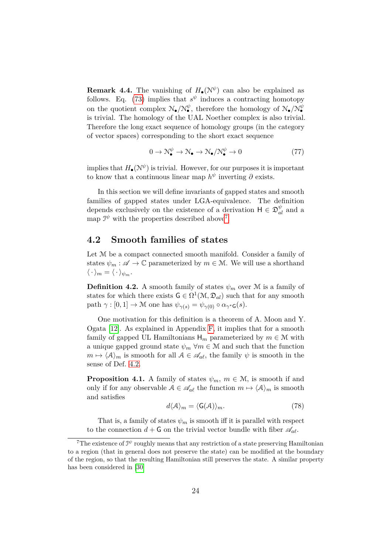**Remark 4.4.** The vanishing of  $H_{\bullet}(\mathcal{N}^{\psi})$  can also be explained as follows. Eq. [\(73\)](#page-22-1) implies that  $s^{\psi}$  induces a contracting homotopy on the quotient complex  $\mathcal{N}_{\bullet}/\mathcal{N}_{\bullet}^{\psi}$ , therefore the homology of  $\mathcal{N}_{\bullet}/\mathcal{N}_{\bullet}^{\psi}$ is trivial. The homology of the UAL Noether complex is also trivial. Therefore the long exact sequence of homology groups (in the category of vector spaces) corresponding to the short exact sequence

$$
0 \to \mathcal{N}_{\bullet}^{\psi} \to \mathcal{N}_{\bullet} \to \mathcal{N}_{\bullet}/\mathcal{N}_{\bullet}^{\psi} \to 0 \tag{77}
$$

implies that  $H_{\bullet}(\mathcal{N}^{\psi})$  is trivial. However, for our purposes it is important to know that a continuous linear map  $h^{\psi}$  inverting  $\partial$  exists.

In this section we will define invariants of gapped states and smooth families of gapped states under LGA-equivalence. The definition depends exclusively on the existence of a derivation  $H \in \mathfrak{D}_{al}^{\psi}$  and a map  $\mathfrak{I}^{\psi}$  with the properties described above<sup>[7](#page-23-0)</sup>.

#### **4.2 Smooth families of states**

Let M be a compact connected smooth manifold. Consider a family of states  $\psi_m : \mathscr{A} \to \mathbb{C}$  parameterized by  $m \in \mathcal{M}$ . We will use a shorthand  $\langle \cdot \rangle_m = \langle \cdot \rangle_{\psi_m}$ .

<span id="page-23-1"></span>**Definition 4.2.** A smooth family of states  $\psi_m$  over M is a family of states for which there exists  $\mathsf{G} \in \Omega^1(\mathcal{M}, \mathfrak{D}_{al})$  such that for any smooth path  $\gamma : [0, 1] \to \mathcal{M}$  one has  $\psi_{\gamma(s)} = \psi_{\gamma(0)} \circ \alpha_{\gamma^* \mathsf{G}}(s)$ .

One motivation for this definition is a theorem of A. Moon and Y. Ogata [\[12\]](#page-50-2). As explained in Appendix [F,](#page-47-0) it implies that for a smooth family of gapped UL Hamiltonians  $H_m$  parameterized by  $m \in \mathcal{M}$  with a unique gapped ground state  $\psi_m$   $\forall m \in \mathcal{M}$  and such that the function  $m \mapsto \langle A \rangle_m$  is smooth for all  $A \in \mathscr{A}_{a\ell}$ , the family  $\psi$  is smooth in the sense of Def. [4.2.](#page-23-1)

**Proposition 4.1.** A family of states  $\psi_m$ ,  $m \in \mathcal{M}$ , is smooth if and only if for any observable  $A \in \mathscr{A}_{\alpha\ell}$  the function  $m \mapsto \langle A \rangle_m$  is smooth and satisfies

<span id="page-23-2"></span>
$$
d\langle A \rangle_m = \langle \mathsf{G}(\mathcal{A}) \rangle_m. \tag{78}
$$

That is, a family of states  $\psi_m$  is smooth iff it is parallel with respect to the connection  $d + \mathsf{G}$  on the trivial vector bundle with fiber  $\mathscr{A}_{\alpha\ell}$ .

<span id="page-23-0"></span><sup>&</sup>lt;sup>7</sup>The existence of  $J^{\psi}$  roughly means that any restriction of a state preserving Hamiltonian to a region (that in general does not preserve the state) can be modified at the boundary of the region, so that the resulting Hamiltonian still preserves the state. A similar property has been considered in [\[30\]](#page-51-10)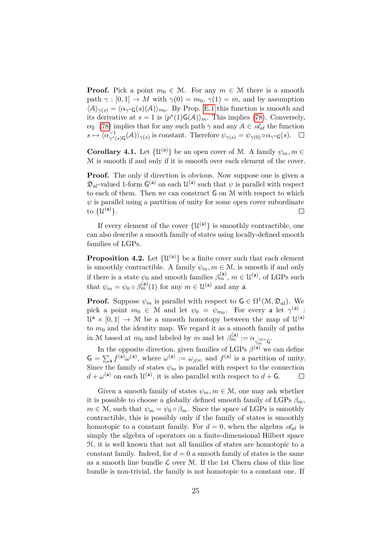**Proof.** Pick a point  $m_0 \in M$ . For any  $m \in M$  there is a smooth path  $\gamma : [0,1] \to M$  with  $\gamma(0) = m_0$ ,  $\gamma(1) = m$ , and by assumption  $\langle A \rangle_{\gamma(s)} = \langle \alpha_{\gamma^* \mathsf{G}}(s) (A) \rangle_{m_0}$ . By Prop. [E.1](#page-43-1) this function is smooth and its derivative at  $s = 1$  is  $\langle p^*(1)G(\mathcal{A})\rangle_m$ . This implies [\(78\)](#page-23-2). Conversely, eq. [\(78\)](#page-23-2) implies that for any such path  $\gamma$  and any  $A \in \mathcal{A}_{\alpha\ell}$  the function  $s \mapsto \langle \alpha_{\sim^*}^{-1}$ <sup>-1</sup><sub>γ<sup>\*</sup>(s)</sub><sub>G</sub>(*A*)<sup></sup><sub> $γ$ (*s*)</sub> is constant. Therefore  $\psi_{γ(s)} = \psi_{γ(0)} \circ \alpha_{γ} *$ <sub>G</sub>(*s*).

**Corollary 4.1.** Let  $\{\mathcal{U}^{(a)}\}$  be an open cover of M. A family  $\psi_m, m \in$ M is smooth if and only if it is smooth over each element of the cover.

**Proof.** The only if direction is obvious. Now suppose one is given a  $\mathfrak{D}_{al}$ -valued 1-form  $\mathsf{G}^{(a)}$  on each  $\mathcal{U}^{(a)}$  such that  $\psi$  is parallel with respect to each of them. Then we can construct G on M with respect to which  $\psi$  is parallel using a partition of unity for some open cover subordinate to  $\{\mathfrak{U}^{(\mathsf{a})}\}.$  $\Box$ 

If every element of the cover  $\{\mathcal{U}^{(a)}\}$  is smoothly contractible, one can also describe a smooth family of states using locally-defined smooth families of LGPs.

**Proposition 4.2.** Let  $\{\mathcal{U}^{(a)}\}$  be a finite cover such that each element is smoothly contractible. A family  $\psi_m, m \in \mathcal{M}$ , is smooth if and only if there is a state  $\psi_0$  and smooth families  $\beta_m^{(\mathsf{a})}$ ,  $m \in \mathcal{U}^{(\mathsf{a})}$ , of LGPs such that  $\psi_m = \psi_0 \circ \beta_m^{(\mathsf{a})}(1)$  for any  $m \in \mathcal{U}^{(\mathsf{a})}$  and any a.

**Proof.** Suppose  $\psi_m$  is parallel with respect to  $\mathsf{G} \in \Omega^1(\mathcal{M}, \mathfrak{D}_{al})$ . We pick a point  $m_0 \in \mathcal{M}$  and let  $\psi_0 = \psi_{m_0}$ . For every a let  $\gamma^{(a)}$ :  $\mathcal{U}^{\mathsf{a}} \times [0,1] \to \mathcal{M}$  be a smooth homotopy between the map of  $\mathcal{U}^{(\mathsf{a})}$ to  $m_0$  and the identity map. We regard it as a smooth family of paths in M based at  $m_0$  and labeled by  $m$  and let  $\beta_m^{(\mathsf{a})} := \alpha_{\gamma_m^{(\mathsf{a})}^* \mathsf{G}}$ .

In the opposite direction, given families of LGPs  $\beta^{(a)}$  we can define  $G = \sum_{a} f^{(a)} \omega^{(a)}$ , where  $\omega^{(a)} := \omega_{\beta^{(a)}}$  and  $f^{(a)}$  is a partition of unity. Since the family of states  $\psi_m$  is parallel with respect to the connection  $d + \omega^{(a)}$  on each  $\mathcal{U}^{(a)}$ , it is also parallel with respect to  $d + G$ .  $\Box$ 

Given a smooth family of states  $\psi_m, m \in \mathcal{M}$ , one may ask whether it is possible to choose a globally defined smooth family of LGPs  $\beta_m$ ,  $m \in \mathcal{M}$ , such that  $\psi_m = \psi_0 \circ \beta_m$ . Since the space of LGPs is smoothly contractible, this is possibly only if the family of states is smoothly homotopic to a constant family. For  $d = 0$ , when the algebra  $\mathscr{A}_{\alpha\ell}$  is simply the algebra of operators on a finite-dimensional Hilbert space H, it is well known that not all families of states are homotopic to a constant family. Indeed, for  $d = 0$  a smooth family of states is the same as a smooth line bundle  $\mathcal L$  over M. If the 1st Chern class of this line bundle is non-trivial, the family is not homotopic to a constant one. If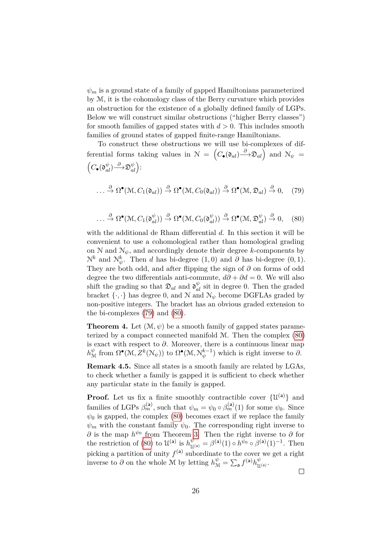$\psi_m$  is a ground state of a family of gapped Hamiltonians parameterized by M, it is the cohomology class of the Berry curvature which provides an obstruction for the existence of a globally defined family of LGPs. Below we will construct similar obstructions ("higher Berry classes") for smooth families of gapped states with  $d > 0$ . This includes smooth families of ground states of gapped finite-range Hamiltonians.

To construct these obstructions we will use bi-complexes of differential forms taking values in  $N = (C_{\bullet}(\mathfrak{d}_{al}) \longrightarrow 2\mathfrak{d}_{al})$  and  $N_{\psi} =$  $\left(C_{\bullet}(\mathfrak{d}^{\psi}_{al}) \stackrel{\partial}{\longrightarrow} \mathfrak{D}^{\psi}_{al}\right)$ :

<span id="page-25-0"></span>
$$
\ldots \xrightarrow{\partial} \Omega^{\bullet}(\mathcal{M}, C_1(\mathfrak{d}_{al})) \xrightarrow{\partial} \Omega^{\bullet}(\mathcal{M}, C_0(\mathfrak{d}_{al})) \xrightarrow{\partial} \Omega^{\bullet}(\mathcal{M}, \mathfrak{D}_{al}) \xrightarrow{\partial} 0, \quad (79)
$$

<span id="page-25-1"></span>
$$
\dots \stackrel{\partial}{\to} \Omega^{\bullet}(\mathcal{M}, C_1(\mathfrak{d}_{al}^{\psi})) \stackrel{\partial}{\to} \Omega^{\bullet}(\mathcal{M}, C_0(\mathfrak{d}_{al}^{\psi})) \stackrel{\partial}{\to} \Omega^{\bullet}(\mathcal{M}, \mathfrak{D}_{al}^{\psi}) \stackrel{\partial}{\to} 0, \quad (80)
$$

with the additional de Rham differential *d*. In this section it will be convenient to use a cohomological rather than homological grading on  $\mathcal N$  and  $\mathcal N_{\psi}$ , and accordingly denote their degree *k*-components by  $N^k$  and  $N^k_{\psi}$ . Then *d* has bi-degree  $(1,0)$  and  $\partial$  has bi-degree  $(0,1)$ . They are both odd, and after flipping the sign of *∂* on forms of odd degree the two differentials anti-commute,  $d\partial + \partial d = 0$ . We will also shift the grading so that  $\mathfrak{D}_{al}$  and  $\mathfrak{d}_{al}^{\psi}$  sit in degree 0. Then the graded bracket  $\{\cdot,\cdot\}$  has degree 0, and N and  $\mathcal{N}_{\psi}$  become DGFLAs graded by non-positive integers. The bracket has an obvious graded extension to the bi-complexes [\(79\)](#page-25-0) and [\(80\)](#page-25-1).

<span id="page-25-2"></span>**Theorem 4.** Let  $(\mathcal{M}, \psi)$  be a smooth family of gapped states parameterized by a compact connected manifold M. Then the complex [\(80\)](#page-25-1) is exact with respect to *∂*. Moreover, there is a continuous linear map  $h_{\mathcal{M}}^{\psi}$  from  $\Omega^{\bullet}(\mathcal{M}, Z^k(\mathcal{N}_{\psi}))$  to  $\Omega^{\bullet}(\mathcal{M}, \mathcal{N}_{\psi}^{k-1})$  which is right inverse to  $\partial$ .

**Remark 4.5.** Since all states is a smooth family are related by LGAs, to check whether a family is gapped it is sufficient to check whether any particular state in the family is gapped.

**Proof.** Let us fix a finite smoothly contractible cover  $\{\mathcal{U}^{(a)}\}$  and families of LGPs  $\beta_m^{(a)}$ , such that  $\psi_m = \psi_0 \circ \beta_m^{(a)}(1)$  for some  $\psi_0$ . Since  $\psi_0$  is gapped, the complex [\(80\)](#page-25-1) becomes exact if we replace the family  $\psi_m$  with the constant family  $\psi_0$ . The corresponding right inverse to  $\partial$  is the map  $h^{\psi_0}$  from Theorem [3.](#page-22-2) Then the right inverse to  $\partial$  for the restriction of [\(80\)](#page-25-1) to  $\mathcal{U}^{(\mathsf{a})}$  is  $h_{\mathcal{U}^{(\mathsf{a})}}^{\psi} = \beta^{(\mathsf{a})}(1) \circ h^{\bar{\psi}_0} \circ \beta^{(\mathsf{a})}(1)^{-1}$ . Then picking a partition of unity  $f^{(a)}$  subordinate to the cover we get a right inverse to  $\partial$  on the whole M by letting  $h_{\mathcal{M}}^{\psi} = \sum_{\mathsf{a}} f^{(\mathsf{a})} h_{\mathcal{U}}^{\psi}$  $\frac{\psi}{\mathfrak{U}^{(\mathsf{a})}}.$ 

 $\Box$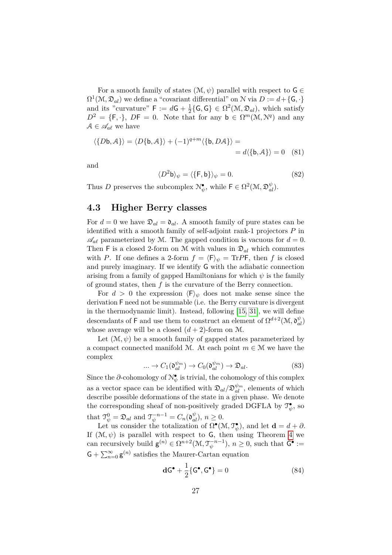For a smooth family of states  $(\mathcal{M}, \psi)$  parallel with respect to  $\mathsf{G} \in$  $\Omega^1(\mathcal{M}, \mathfrak{D}_{al})$  we define a "covariant differential" on  $\mathcal{N}$  via  $D := d + \{\mathsf{G}, \cdot\}$ and its "curvature"  $F := dG + \frac{1}{2}$  $\frac{1}{2}$ {**G**, **G**}  $\in \Omega^2(\mathcal{M}, \mathfrak{D}_{al})$ , which satisfy  $D^2 = \{F, \cdot\}, D F = 0$ . Note that for any  $b \in \Omega^m(\mathcal{M}, \mathcal{N}^q)$  and any  $A \in \mathscr{A}_{\textit{al}}$  we have

$$
\langle \{Db, \mathcal{A}\} \rangle = \langle D\{\mathbf{b}, \mathcal{A}\} \rangle + (-1)^{q+m} \langle \{\mathbf{b}, DA\} \rangle =
$$
  
=  $d \langle \{\mathbf{b}, \mathcal{A}\} \rangle = 0$  (81)

and

$$
\langle D^2 \mathsf{b} \rangle_{\psi} = \langle \{\mathsf{F}, \mathsf{b}\} \rangle_{\psi} = 0. \tag{82}
$$

Thus *D* preserves the subcomplex  $\mathcal{N}_{\psi}^{\bullet}$ , while  $\mathsf{F} \in \Omega^2(\mathcal{M}, \mathfrak{D}_{al}^{\psi})$ .

### **4.3 Higher Berry classes**

For  $d = 0$  we have  $\mathfrak{D}_{al} = \mathfrak{d}_{al}$ . A smooth family of pure states can be identified with a smooth family of self-adjoint rank-1 projectors *P* in  $\mathscr{A}_{a\ell}$  parameterized by M. The gapped condition is vacuous for  $d = 0$ . Then F is a closed 2-form on M with values in  $\mathfrak{D}_{al}$  which commutes with *P*. If one defines a 2-form  $f = \langle F \rangle_{\psi} = \text{Tr} F F$ , then *f* is closed and purely imaginary. If we identify G with the adiabatic connection arising from a family of gapped Hamiltonians for which  $\psi$  is the family of ground states, then *f* is the curvature of the Berry connection.

For  $d > 0$  the expression  $\langle F \rangle_{\psi}$  does not make sense since the derivation F need not be summable (i.e. the Berry curvature is divergent in the thermodynamic limit). Instead, following [\[15,](#page-50-5) [31\]](#page-51-11), we will define descendants of F and use them to construct an element of  $\Omega^{d+2}(\mathcal{M}, \mathfrak{d}_{al}^{\psi})$ whose average will be a closed  $(d+2)$ -form on M.

Let  $(\mathcal{M}, \psi)$  be a smooth family of gapped states parameterized by a compact connected manifold M. At each point  $m \in \mathcal{M}$  we have the complex

$$
\dots \to C_1(\mathfrak{d}_{al}^{\psi_m}) \to C_0(\mathfrak{d}_{al}^{\psi_m}) \to \mathfrak{D}_{al}. \tag{83}
$$

Since the  $\partial$ -cohomology of  $\mathcal{N}_{\psi}^{\bullet}$  is trivial, the cohomology of this complex as a vector space can be identified with  $\mathfrak{D}_{al}/\mathfrak{D}_{al}^{\psi_m}$ , elements of which describe possible deformations of the state in a given phase. We denote the corresponding sheaf of non-positively graded DGFLA by  $\mathcal{T}_{\psi}^{\bullet}$ , so that  $\mathfrak{T}_{\psi}^0 = \mathfrak{D}_{al}$  and  $\mathfrak{T}_{\psi}^{-n-1} = C_n(\mathfrak{d}_{al}^{\psi}), n \geq 0.$ 

Let us consider the totalization of  $\Omega^{\bullet}(\mathcal{M}, \mathcal{T}_{\psi}^{\bullet})$ , and let  $\mathbf{d} = d + \partial$ . If  $(\mathcal{M}, \psi)$  is parallel with respect to G, then using Theorem [4](#page-25-2) we can recursively build  $\mathbf{g}^{(n)} \in \Omega^{n+2}(\mathcal{M}, \mathcal{T}_{\psi}^{-n-1}), n \ge 0$ , such that  $\mathsf{G}^{\bullet} :=$  $G + \sum_{n=0}^{\infty} g^{(n)}$  satisfies the Maurer-Cartan equation

<span id="page-26-0"></span>
$$
\mathbf{d}\mathsf{G}^{\bullet} + \frac{1}{2} \{ \mathsf{G}^{\bullet}, \mathsf{G}^{\bullet} \} = 0 \tag{84}
$$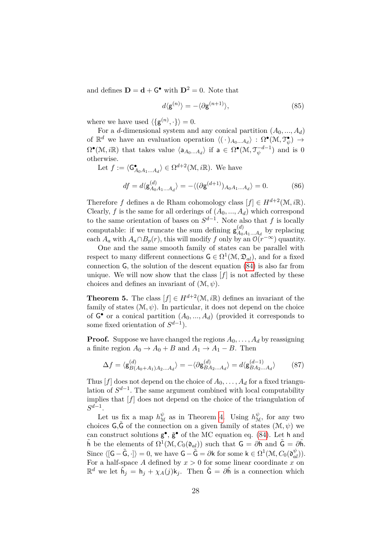and defines  $\mathbf{D} = \mathbf{d} + \mathbf{G}^{\bullet}$  with  $\mathbf{D}^2 = 0$ . Note that

$$
d\langle \mathbf{g}^{(n)}\rangle = -\langle \partial \mathbf{g}^{(n+1)}\rangle,\tag{85}
$$

where we have used  $\langle {\bf g}^{(n)}, {\bf \cdot} \rangle = 0.$ 

For a *d*-dimensional system and any conical partition  $(A_0, ..., A_d)$ of  $\mathbb{R}^d$  we have an evaluation operation  $\langle (\cdot)_{A_0...A_d} \rangle : \Omega^{\bullet}(\mathcal{M}, \mathcal{T}_{\psi}^{\bullet}) \to$  $\Omega^{\bullet}(\mathcal{M}, i\mathbb{R})$  that takes value  $\langle a_{A_0...A_d} \rangle$  if  $a \in \Omega^{\bullet}(\mathcal{M}, \mathcal{T}^{-d-1}_{\psi})$  and is 0 otherwise.

Let  $f := \langle G_{A_0A_1...A_d}^{\bullet} \rangle \in \Omega^{d+2}(\mathcal{M}, i\mathbb{R})$ . We have

$$
df = d\langle \mathbf{g}_{A_0 A_1 \dots A_d}^{(d)} \rangle = -\langle (\partial \mathbf{g}^{(d+1)})_{A_0 A_1 \dots A_d} \rangle = 0.
$$
 (86)

Therefore *f* defines a de Rham cohomology class  $[f] \in H^{d+2}(\mathcal{M}, i\mathbb{R})$ . Clearly,  $f$  is the same for all orderings of  $(A_0, ..., A_d)$  which correspond to the same orientation of bases on  $S^{d-1}$ . Note also that *f* is locally computable: if we truncate the sum defining  $g_{A_0}^{(d)}$  $A_0A_1...A_d$  by replacing each  $A_a$  with  $A_a \cap B_p(r)$ , this will modify *f* only by an  $\mathcal{O}(r^{-\infty})$  quantity.

One and the same smooth family of states can be parallel with respect to many different connections  $\mathsf{G} \in \Omega^1(\mathcal{M}, \mathfrak{D}_{al})$ , and for a fixed connection G, the solution of the descent equation [\(84\)](#page-26-0) is also far from unique. We will now show that the class  $[f]$  is not affected by these choices and defines an invariant of  $(\mathcal{M}, \psi)$ .

<span id="page-27-0"></span>**Theorem 5.** The class  $[f] \in H^{d+2}(\mathcal{M}, i\mathbb{R})$  defines an invariant of the family of states  $(\mathcal{M}, \psi)$ . In particular, it does not depend on the choice of  $G^{\bullet}$  or a conical partition  $(A_0, ..., A_d)$  (provided it corresponds to some fixed orientation of  $S^{d-1}$ ).

**Proof.** Suppose we have changed the regions  $A_0, \ldots, A_d$  by reassigning a finite region  $A_0 \to A_0 + B$  and  $A_1 \to A_1 - B$ . Then

$$
\Delta f = \langle \mathbf{g}_{B(A_0+A_1)A_2...A_d}^{(d)} \rangle = -\langle \partial \mathbf{g}_{BA_2...A_d}^{(d)} \rangle = d \langle \mathbf{g}_{BA_2...A_d}^{(d-1)} \rangle \tag{87}
$$

Thus [f] does not depend on the choice of  $A_0, \ldots, A_d$  for a fixed triangulation of  $S^{d-1}$ . The same argument combined with local computability implies that [*f*] does not depend on the choice of the triangulation of *S d*−1 .

Let us fix a map  $h_{\mathcal{M}}^{\psi}$  as in Theorem [4.](#page-25-2) Using  $h_{\mathcal{M}}^{\psi}$ , for any two choices G,G of the connection on a given family of states  $(\mathcal{M}, \psi)$  we can construct solutions  $g^{\bullet}$ ,  $\tilde{g}^{\bullet}$  of the MC equation eq. [\(84\)](#page-26-0). Let h and  $\tilde{h}$  be the elements of  $\Omega^{\bar{1}}(\mathcal{M}, C_0(\mathfrak{d}_a))$  such that  $\mathsf{G} = \partial h$  and  $\tilde{\mathsf{G}} = \partial \tilde{\mathsf{h}}$ . Since  $\langle [\mathsf{G} - \tilde{\mathsf{G}}, \cdot] \rangle = 0$ , we have  $\mathsf{G} - \tilde{\mathsf{G}} = \partial \mathsf{k}$  for some  $\mathsf{k} \in \Omega^1(\mathcal{M}, C_0(\mathfrak{d}_{al}^{\psi}))$ . For a half-space *A* defined by  $x > 0$  for some linear coordinate *x* on  $\mathbb{R}^d$  we let  $\hat{h}_j = h_j + \chi_A(j)k_j$ . Then  $\hat{G} = \partial \hat{h}$  is a connection which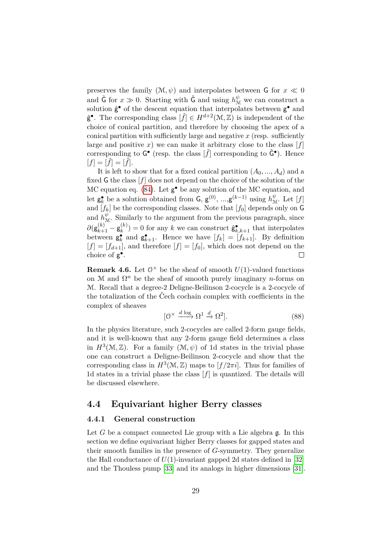preserves the family  $(\mathcal{M}, \psi)$  and interpolates between G for  $x \ll 0$ and  $\tilde{\mathsf{G}}$  for  $x \gg 0$ . Starting with  $\hat{\mathsf{G}}$  and using  $h_{\mathcal{M}}^{\psi}$  we can construct a solution  $\hat{\mathbf{g}}^{\bullet}$  of the descent equation that interpolates between  $\mathbf{g}^{\bullet}$  and  $\tilde{\mathbf{g}}^{\bullet}$ . The corresponding class  $[\hat{f}] \in H^{d+2}(\mathcal{M}, \mathbb{Z})$  is independent of the choice of conical partition, and therefore by choosing the apex of a conical partition with sufficiently large and negative *x* (resp. sufficiently large and positive  $x$ ) we can make it arbitrary close to the class  $[f]$ corresponding to  $G^{\bullet}$  (resp. the class  $[\tilde{f}]$  corresponding to  $\tilde{G}^{\bullet}$ ). Hence  $[f] = [\hat{f}] = [\tilde{f}].$ 

It is left to show that for a fixed conical partition  $(A_0, ..., A_d)$  and a fixed G the class [*f*] does not depend on the choice of the solution of the MC equation eq. [\(84\)](#page-26-0). Let  $g^{\bullet}$  be any solution of the MC equation, and let  $\mathbf{g}_k^{\bullet}$  be a solution obtained from  $\mathsf{G}, \mathbf{g}^{(0)}, ..., \mathbf{g}^{(k-1)}$  using  $h_{\mathcal{M}}^{\psi}$ . Let  $[f]$ and  $[f_k]$  be the corresponding classes. Note that  $[f_0]$  depends only on G and  $h_{\mathcal{M}}^{\psi}$ . Similarly to the argument from the previous paragraph, since  $\partial (\mathsf{g}^{(k)}_{k+1} - \mathsf{g}^{(k)}_k$  $\mathbf{g}_{k,k+1}^{(k)}$  that interpolates between  $\mathbf{g}_k^{\bullet}$  and  $\mathbf{g}_{k+1}^{\bullet}$ . Hence we have  $[f_k] = [f_{k+1}]$ . By definition  $[f] = [f_{d+1}]$ , and therefore  $[f] = [f_0]$ , which does not depend on the choice of  $g^{\bullet}$ .  $\Box$ 

**Remark 4.6.** Let  $0^{\times}$  be the sheaf of smooth  $U(1)$ -valued functions on  $\mathcal M$  and  $\Omega^n$  be the sheaf of smooth purely imaginary *n*-forms on M. Recall that a degree-2 Deligne-Beilinson 2-cocycle is a 2-cocycle of the totalization of the Cech cochain complex with coefficients in the complex of sheaves

$$
[0^{\times} \xrightarrow{d \log} \Omega^1 \xrightarrow{d} \Omega^2]. \tag{88}
$$

In the physics literature, such 2-cocycles are called 2-form gauge fields, and it is well-known that any 2-form gauge field determines a class in  $H^3(\mathcal{M}, \mathbb{Z})$ . For a family  $(\mathcal{M}, \psi)$  of 1d states in the trivial phase one can construct a Deligne-Beilinson 2-cocycle and show that the corresponding class in  $H^3(\mathcal{M}, \mathbb{Z})$  maps to  $[f/2\pi i]$ . Thus for families of 1d states in a trivial phase the class [*f*] is quantized. The details will be discussed elsewhere.

### <span id="page-28-0"></span>**4.4 Equivariant higher Berry classes**

#### **4.4.1 General construction**

Let *G* be a compact connected Lie group with a Lie algebra **q**. In this section we define equivariant higher Berry classes for gapped states and their smooth families in the presence of *G*-symmetry. They generalize the Hall conductance of  $U(1)$ -invariant gapped 2d states defined in [\[32\]](#page-52-0) and the Thouless pump [\[33\]](#page-52-1) and its analogs in higher dimensions [\[31\]](#page-51-11).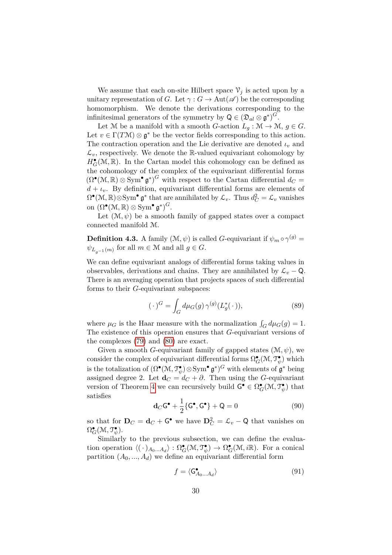We assume that each on-site Hilbert space  $\mathcal{V}_j$  is acted upon by a unitary representation of *G*. Let  $\gamma: G \to \text{Aut}(\mathscr{A})$  be the corresponding homomorphism. We denote the derivations corresponding to the infinitesimal generators of the symmetry by  $Q \in (\mathfrak{D}_{al} \otimes \mathfrak{g}^*)^G$ .

Let M be a manifold with a smooth *G*-action  $L_q : \mathcal{M} \to \mathcal{M}, q \in G$ . Let  $v \in \Gamma(T\mathcal{M}) \otimes \mathfrak{g}^*$  be the vector fields corresponding to this action. The contraction operation and the Lie derivative are denoted *ι<sup>v</sup>* and  $\mathcal{L}_v$ , respectively. We denote the R-valued equivariant cohomology by  $H_G^{\bullet}(\mathcal{M}, \mathbb{R})$ . In the Cartan model this cohomology can be defined as the cohomology of the complex of the equivariant differential forms  $(\Omega^{\bullet}(\mathcal{M}, \mathbb{R}) \otimes \text{Sym}^{\bullet} \mathfrak{g}^*)^G$  with respect to the Cartan differential  $d_C =$  $d + \iota_v$ . By definition, equivariant differential forms are elements of  $\Omega^{\bullet}(\mathcal{M}, \mathbb{R}) \otimes \text{Sym}^{\bullet} \mathfrak{g}^*$  that are annihilated by  $\mathcal{L}_v$ . Thus  $d_C^2 = \mathcal{L}_v$  vanishes on  $(\Omega^{\bullet}(\mathcal{M}, \mathbb{R}) \otimes \text{Sym}^{\bullet} \mathfrak{g}^*)^G$ .

Let  $(\mathcal{M}, \psi)$  be a smooth family of gapped states over a compact connected manifold M.

**Definition 4.3.** A family  $(\mathcal{M}, \psi)$  is called *G*-equivariant if  $\psi_m \circ \gamma^{(g)} =$  $\psi_{L_{g^{-1}}(m)}$  for all  $m \in \mathcal{M}$  and all  $g \in G$ .

We can define equivariant analogs of differential forms taking values in observables, derivations and chains. They are annihilated by  $\mathcal{L}_v - \mathsf{Q}$ . There is an averaging operation that projects spaces of such differential forms to their *G*-equivariant subspaces:

$$
(\cdot)^G = \int_G d\mu_G(g) \,\gamma^{(g)}(L_g^*(\cdot)),\tag{89}
$$

where  $\mu_G$  is the Haar measure with the normalization  $\int_G d\mu_G(g) = 1$ . The existence of this operation ensures that *G*-equivariant versions of the complexes [\(79\)](#page-25-0) and [\(80\)](#page-25-1) are exact.

Given a smooth *G*-equivariant family of gapped states  $(\mathcal{M}, \psi)$ , we consider the complex of equivariant differential forms  $\Omega_G^{\bullet}(\mathcal{M}, \mathcal{T}_{\psi}^{\bullet})$  which is the totalization of  $(\Omega^{\bullet}(\mathcal{M}, \mathcal{T}_{\psi}^{\bullet}) \otimes \text{Sym}^{\bullet} \mathfrak{g}^{*})^G$  with elements of  $\mathfrak{g}^{*}$  being assigned degree 2. Let  $\mathbf{d}_C = d_C + \partial$ . Then using the *G*-equivariant version of Theorem [4](#page-25-2) we can recursively build  $G^{\bullet} \in \Omega_G^{\bullet}(\mathcal{M}, \mathcal{T}_{\psi}^{\bullet})$  that satisfies

<span id="page-29-0"></span>
$$
\mathbf{d}_C \mathsf{G}^{\bullet} + \frac{1}{2} \{ \mathsf{G}^{\bullet}, \mathsf{G}^{\bullet} \} + \mathsf{Q} = 0 \tag{90}
$$

so that for  $D_C = d_C + G^{\bullet}$  we have  $D_C^2 = \mathcal{L}_v - Q$  that vanishes on  $\Omega_G^{\bullet}(\mathcal{M}, \mathfrak{T}_{\psi}^{\bullet}).$ 

Similarly to the previous subsection, we can define the evaluation operation  $\langle (\cdot)_{A_0...A_d} \rangle : \Omega_G^{\bullet}(\mathcal{M}, \mathcal{T}_{\psi}^{\bullet}) \to \Omega_G^{\bullet}(\mathcal{M}, i\mathbb{R})$ . For a conical partition  $(A_0, ..., A_d)$  we define an equivariant differential form

$$
f = \langle \mathsf{G}_{A_0...A_d}^{\bullet} \rangle \tag{91}
$$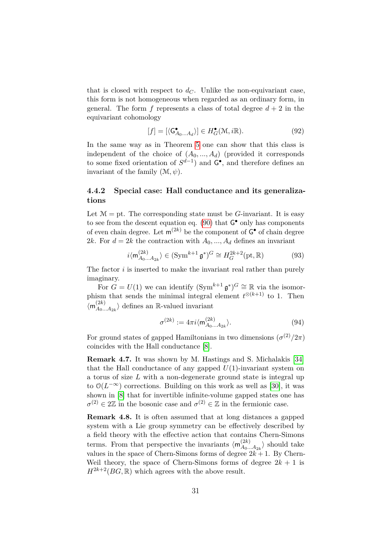that is closed with respect to  $d_C$ . Unlike the non-equivariant case, this form is not homogeneous when regarded as an ordinary form, in general. The form f represents a class of total degree  $d + 2$  in the equivariant cohomology

$$
[f] = [\langle \mathsf{G}^{\bullet}_{A_0...A_d} \rangle] \in H^{\bullet}_G(\mathcal{M}, i\mathbb{R}). \tag{92}
$$

In the same way as in Theorem [5](#page-27-0) one can show that this class is independent of the choice of  $(A_0, ..., A_d)$  (provided it corresponds to some fixed orientation of  $S^{d-1}$ ) and  $G^{\bullet}$ , and therefore defines an invariant of the family (M*, ψ*).

#### **4.4.2 Special case: Hall conductance and its generalizations**

Let  $\mathcal{M} =$  pt. The corresponding state must be *G*-invariant. It is easy to see from the descent equation eq.  $(90)$  that  $G^{\bullet}$  only has components of even chain degree. Let  $m^{(2k)}$  be the component of  $G^{\bullet}$  of chain degree 2*k*. For  $d = 2k$  the contraction with  $A_0, \ldots, A_d$  defines an invariant

$$
i\langle \mathsf{m}_{A_0\ldots A_{2k}}^{(2k)}\rangle \in (\operatorname{Sym}^{k+1}\mathfrak{g}^*)^G \cong H_G^{2k+2}(\mathrm{pt}, \mathbb{R})\tag{93}
$$

The factor *i* is inserted to make the invariant real rather than purely imaginary.

For  $G = U(1)$  we can identify  $(\text{Sym}^{k+1} \mathfrak{g}^*)^G \cong \mathbb{R}$  via the isomorphism that sends the minimal integral element  $t^{\otimes (k+1)}$  to 1. Then  $\langle m_{A_0}^{(2k)} \rangle$  $\binom{(2k)}{A_0...A_{2k}}$  defines an R-valued invariant

<span id="page-30-0"></span>
$$
\sigma^{(2k)} := 4\pi i \langle \mathsf{m}_{A_0...A_{2k}}^{(2k)} \rangle.
$$
\n(94)

For ground states of gapped Hamiltonians in two dimensions  $(\sigma^{(2)}/2\pi)$ coincides with the Hall conductance [\[8\]](#page-49-7).

**Remark 4.7.** It was shown by M. Hastings and S. Michalakis [\[34\]](#page-52-2) that the Hall conductance of any gapped *U*(1)-invariant system on a torus of size *L* with a non-degenerate ground state is integral up to  $O(L^{-\infty})$  corrections. Building on this work as well as [\[30\]](#page-51-10), it was shown in [\[8\]](#page-49-7) that for invertible infinite-volume gapped states one has  $\sigma^{(2)} \in 2\mathbb{Z}$  in the bosonic case and  $\sigma^{(2)} \in \mathbb{Z}$  in the fermionic case.

**Remark 4.8.** It is often assumed that at long distances a gapped system with a Lie group symmetry can be effectively described by a field theory with the effective action that contains Chern-Simons terms. From that perspective the invariants  $\langle m_{A_0}^{(2k)} \rangle$  $\langle A_0...A_{2k} \rangle$  should take values in the space of Chern-Simons forms of degree  $2k + 1$ . By Chern-Weil theory, the space of Chern-Simons forms of degree  $2k + 1$  is  $H^{2k+2}(BG,\mathbb{R})$  which agrees with the above result.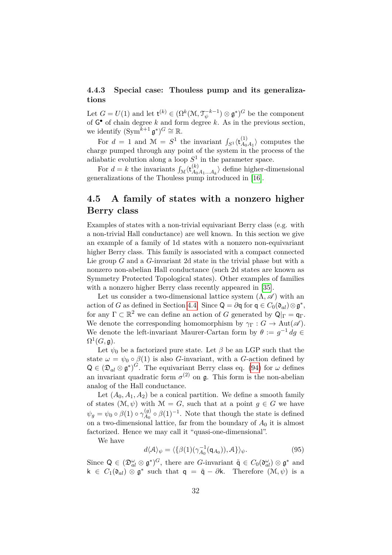### **4.4.3 Special case: Thouless pump and its generalizations**

Let  $G = U(1)$  and let  $\mathbf{t}^{(k)} \in (\Omega^k(\mathcal{M}, \mathcal{T}_{\psi}^{-k-1}) \otimes \mathfrak{g}^*)^G$  be the component of  $G^{\bullet}$  of chain degree *k* and form degree *k*. As in the previous section, we identify  $(\mathrm{Sym}^{\tilde{k}+1} \mathfrak{g}^*)^G \cong \mathbb{R}$ .

For  $d = 1$  and  $\mathcal{M} = S^1$  the invariant  $\int_{S^1} \langle \mathbf{t}_{A_0}^{(1)} \rangle$  $\langle A_0 A_1 \rangle$  computes the charge pumped through any point of the system in the process of the adiabatic evolution along a loop  $S<sup>1</sup>$  in the parameter space.

For  $d = k$  the invariants  $\int_{\mathcal{M}} \langle \mathbf{t}_{A_0}^{(k)} \rangle$  $\binom{k}{A_0A_1...A_k}$  define higher-dimensional generalizations of the Thouless pump introduced in [\[16\]](#page-50-6).

### **4.5 A family of states with a nonzero higher Berry class**

Examples of states with a non-trivial equivariant Berry class (e.g. with a non-trivial Hall conductance) are well known. In this section we give an example of a family of 1d states with a nonzero non-equivariant higher Berry class. This family is associated with a compact connected Lie group *G* and a *G*-invariant 2d state in the trivial phase but with a nonzero non-abelian Hall conductance (such 2d states are known as Symmetry Protected Topological states). Other examples of families with a nonzero higher Berry class recently appeared in [\[35\]](#page-52-3).

Let us consider a two-dimensional lattice system  $(\Lambda, \mathscr{A})$  with an action of *G* as defined in Section [4.4.](#page-28-0) Since  $Q = \partial q$  for  $q \in C_0(\mathfrak{d}_{al}) \otimes \mathfrak{g}^*$ , for any  $\Gamma \subset \mathbb{R}^2$  we can define an action of *G* generated by  $\mathsf{Q}_{|\Gamma} = \mathsf{q}_{\Gamma}$ . We denote the corresponding homomorphism by  $\gamma_{\Gamma}: G \to \text{Aut}(\mathscr{A})$ . We denote the left-invariant Maurer-Cartan form by  $\theta := g^{-1} dg$  $\Omega^1(G,\mathfrak{g}).$ 

Let  $\psi_0$  be a factorized pure state. Let  $\beta$  be an LGP such that the state  $\omega = \psi_0 \circ \beta(1)$  is also *G*-invariant, with a *G*-action defined by  $Q \in (\mathfrak{D}_{al} \otimes \mathfrak{g}^*)^G$ . The equivariant Berry class eq. [\(94\)](#page-30-0) for  $\omega$  defines an invariant quadratic form  $\sigma^{(2)}$  on  $\mathfrak{g}$ . This form is the non-abelian analog of the Hall conductance.

Let  $(A_0, A_1, A_2)$  be a conical partition. We define a smooth family of states  $(\mathcal{M}, \psi)$  with  $\mathcal{M} = G$ , such that at a point  $g \in G$  we have  $ψ$ *g* =  $ψ$ <sub>0</sub> ◦  $β(1) ∘ γ$ <sup>(*g*)</sup></sup>  $\beta_{A_0}^{(g)}$  ∘  $\beta(1)^{-1}$ . Note that though the state is defined on a two-dimensional lattice, far from the boundary of  $A_0$  it is almost factorized. Hence we may call it "quasi-one-dimensional".

We have

$$
d\langle A \rangle_{\psi} = \langle \{ \beta(1)(\gamma_{A_0}^{-1}(\mathbf{q}_{A_0})), A \} \rangle_{\psi}.
$$
 (95)

Since  $Q \in (\mathfrak{D}_{al}^{\omega} \otimes \mathfrak{g}^*)^G$ , there are *G*-invariant  $\tilde{q} \in C_0(\mathfrak{d}_{al}^{\omega}) \otimes \mathfrak{g}^*$  and  $k \in C_1(\mathfrak{d}_{al}) \otimes \mathfrak{g}^*$  such that  $\mathfrak{q} = \tilde{\mathfrak{q}} - \partial \mathsf{k}$ . Therefore  $(\mathcal{M}, \psi)$  is a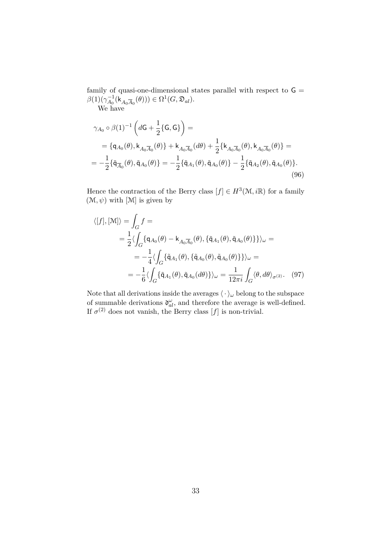family of quasi-one-dimensional states parallel with respect to  $G =$  $\beta(1)(\gamma_{A_0}^{-1}(\mathsf{k}_{A_0\overline{A}_0}(\theta)))\in \Omega^1(G,\mathfrak{D}_{al}).$ 

We have

$$
\gamma_{A_0} \circ \beta(1)^{-1} \left( d\mathsf{G} + \frac{1}{2} \{ \mathsf{G}, \mathsf{G} \} \right) =
$$
\n
$$
= \{ \mathsf{q}_{A_0}(\theta), \mathsf{k}_{A_0 \overline{A}_0}(\theta) \} + \mathsf{k}_{A_0 \overline{A}_0} (d\theta) + \frac{1}{2} \{ \mathsf{k}_{A_0 \overline{A}_0}(\theta), \mathsf{k}_{A_0 \overline{A}_0}(\theta) \} =
$$
\n
$$
= -\frac{1}{2} \{ \tilde{\mathsf{q}}_{\overline{A}_0}(\theta), \tilde{\mathsf{q}}_{A_0}(\theta) \} = -\frac{1}{2} \{ \tilde{\mathsf{q}}_{A_1}(\theta), \tilde{\mathsf{q}}_{A_0}(\theta) \} - \frac{1}{2} \{ \tilde{\mathsf{q}}_{A_2}(\theta), \tilde{\mathsf{q}}_{A_0}(\theta) \}. \tag{96}
$$

Hence the contraction of the Berry class  $[f] \in H^3(\mathcal{M}, i\mathbb{R})$  for a family  $(\mathcal{M}, \psi)$  with  $[\mathcal{M}]$  is given by

$$
\langle [f], [\mathcal{M}] \rangle = \int_G f =
$$
  
=  $\frac{1}{2} \langle \int_G \{ \mathsf{q}_{A_0}(\theta) - \mathsf{k}_{A_0 \overline{A}_0}(\theta), \{ \tilde{\mathsf{q}}_{A_1}(\theta), \tilde{\mathsf{q}}_{A_0}(\theta) \} \} \rangle_\omega =$   
=  $-\frac{1}{4} \langle \int_G \{ \tilde{\mathsf{q}}_{A_1}(\theta), \{ \tilde{\mathsf{q}}_{A_0}(\theta), \tilde{\mathsf{q}}_{A_0}(\theta) \} \} \rangle_\omega =$   
=  $-\frac{1}{6} \langle \int_G \{ \tilde{\mathsf{q}}_{A_1}(\theta), \tilde{\mathsf{q}}_{A_0}(d\theta) \} \rangle_\omega = \frac{1}{12\pi i} \int_G \langle \theta, d\theta \rangle_{\sigma^{(2)}}.$  (97)

Note that all derivations inside the averages  $\langle \cdot \rangle_{\omega}$  belong to the subspace of summable derivations  $\mathfrak{d}_{al}^{\omega}$ , and therefore the average is well-defined. If  $\sigma^{(2)}$  does not vanish, the Berry class [f] is non-trivial.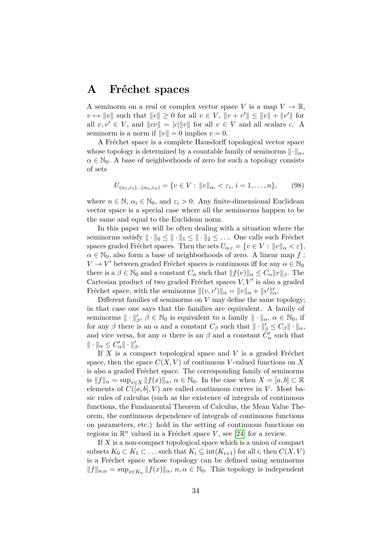### <span id="page-33-0"></span>A Fréchet spaces

A seminorm on a real or complex vector space V is a map  $V \to \mathbb{R}$ ,  $v \mapsto ||v||$  such that  $||v|| \ge 0$  for all  $v \in V$ ,  $||v + v'|| \le ||v|| + ||v'||$  for all  $v, v' \in V$ , and  $||cv|| = |c|| ||v||$  for all  $v \in V$  and all scalars *c*. A seminorm is a norm if  $||v|| = 0$  implies  $v = 0$ .

A Fréchet space is a complete Hausdorff topological vector space whose topology is determined by a countable family of seminorms  $\|\cdot\|_{\alpha}$ ,  $\alpha \in \mathbb{N}_0$ . A base of neighborhoods of zero for such a topology consists of sets

$$
U_{(\alpha_1,\varepsilon_1)\dots(\alpha_n,\varepsilon_n)} = \{v \in V : ||v||_{\alpha_i} < \varepsilon_i, i = 1,\dots,n\},\qquad(98)
$$

where  $n \in \mathbb{N}$ ,  $\alpha_i \in \mathbb{N}_0$ , and  $\varepsilon_i > 0$ . Any finite-dimensional Euclidean vector space is a special case where all the seminorms happen to be the same and equal to the Euclidean norm.

In this paper we will be often dealing with a situation where the seminorms satisfy  $\|\cdot\|_0 \leq \|\cdot\|_1 \leq \|\cdot\|_2 \leq \ldots$  One calls such Fréchet spaces graded Fréchet spaces. Then the sets  $U_{\alpha,\varepsilon} = \{v \in V : ||v||_{\alpha} < \varepsilon\},\$  $\alpha \in \mathbb{N}_0$ , also form a base of neighborhoods of zero. A linear map  $f$ :  $V \to V'$  between graded Fréchet spaces is continuous iff for any  $\alpha \in \mathbb{N}_0$ there is a  $\beta \in \mathbb{N}_0$  and a constant  $C_\alpha$  such that  $||f(v)||_{\alpha} \leq C_\alpha ||v||_{\beta}$ . The Cartesian product of two graded Fréchet spaces  $V, V'$  is also a graded Fréchet space, with the seminorms  $||(v, v')||_{\alpha} = ||v||_{\alpha} + ||v'||'_{\alpha}$ .

Different families of seminorms on *V* may define the same topology; in that case one says that the families are equivalent. A family of seminorms  $\|\cdot\|_{\beta}^{\prime}, \beta \in \mathbb{N}_0$  is equivalent to a family  $\|\cdot\|_{\alpha}, \alpha \in \mathbb{N}_0$ , if for any  $\beta$  there is an  $\alpha$  and a constant  $C_{\beta}$  such that  $\|\cdot\|_{\beta}^{\prime} \leq C_{\beta}\|\cdot\|_{\alpha}$ , and vice versa, for any  $\alpha$  there is an  $\beta$  and a constant  $C'_{\alpha}$  such that  $\|\cdot\|_{\alpha} \leq C'_{\alpha}\|\cdot\|_{\beta}'$ .

If  $X$  is a compact topological space and  $V$  is a graded Fréchet space, then the space  $C(X, V)$  of continuous *V*-valued functions on X is also a graded Fréchet space. The corresponding family of seminorms is  $||f||_{\alpha} = \sup_{x \in X} ||f(x)||_{\alpha}, \ \alpha \in \mathbb{N}_0$ . In the case when  $X = [a, b] \subset \mathbb{R}$ elements of  $C([a, b], V)$  are called continuous curves in *V*. Most basic rules of calculus (such as the existence of integrals of continuous functions, the Fundamental Theorem of Calculus, the Mean Value Theorem, the continuous dependence of integrals of continuous functions on parameters, etc.) hold in the setting of continuous functions on regions in  $\mathbb{R}^n$  valued in a Fréchet space *V*, see [\[24\]](#page-51-4) for a review.

If *X* is a non-compact topological space which is a union of compact subsets  $K_0 \subset K_1 \subset \ldots$  such that  $K_i \subseteq \text{int}(K_{i+1})$  for all *i*, then  $C(X, V)$ is a Fréchet space whose topology can be defined using seminorms  $||f||_{n,\alpha} = \sup_{x \in K_n} ||f(x)||_{\alpha}, n, \alpha \in \mathbb{N}_0$ . This topology is independent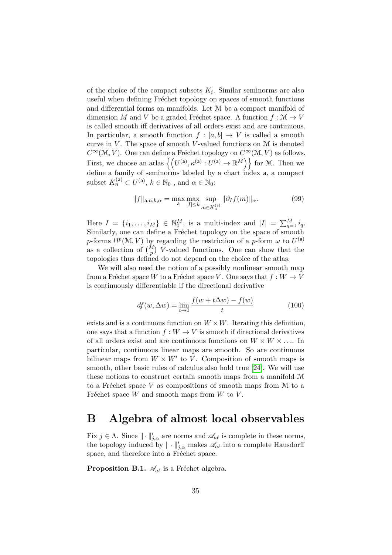of the choice of the compact subsets  $K_i$ . Similar seminorms are also useful when defining Fréchet topology on spaces of smooth functions and differential forms on manifolds. Let M be a compact manifold of dimension *M* and *V* be a graded Fréchet space. A function  $f : \mathcal{M} \to V$ is called smooth iff derivatives of all orders exist and are continuous. In particular, a smooth function  $f : [a, b] \to V$  is called a smooth curve in *V* . The space of smooth *V* -valued functions on M is denoted  $C^{\infty}(\mathcal{M}, V)$ . One can define a Fréchet topology on  $C^{\infty}(\mathcal{M}, V)$  as follows. First, we choose an atlas  $\{(U^{(a)}, \kappa^{(a)} : U^{(a)} \to \mathbb{R}^M) \}$  for M. Then we define a family of seminorms labeled by a chart index a, a compact subset  $K_n^{(\mathsf{a})} \subset U^{(\mathsf{a})}, k \in \mathbb{N}_0$ , and  $\alpha \in \mathbb{N}_0$ :

$$
||f||_{\mathsf{a},n,k,\alpha} = \max_{\mathsf{a}} \max_{|I| \le k} \sup_{m \in K_n^{(\mathsf{a})}} ||\partial_I f(m)||_{\alpha}.
$$
 (99)

Here  $I = \{i_1, \ldots, i_M\} \in \mathbb{N}_0^M$ , is a multi-index and  $|I| = \sum_{q=1}^M i_q$ . Similarly, one can define a Fréchet topology on the space of smooth *p*-forms  $\Omega^p(\mathcal{M}, V)$  by regarding the restriction of a *p*-form  $\omega$  to  $U^{(a)}$ as a collection of  $\binom{M}{p}$  *V*-valued functions. One can show that the topologies thus defined do not depend on the choice of the atlas.

We will also need the notion of a possibly nonlinear smooth map from a Fréchet space *W* to a Fréchet space *V*. One says that  $f: W \to V$ is continuously differentiable if the directional derivative

$$
df(w, \Delta w) = \lim_{t \to 0} \frac{f(w + t\Delta w) - f(w)}{t}
$$
\n(100)

exists and is a continuous function on  $W \times W$ . Iterating this definition, one says that a function  $f: W \to V$  is smooth if directional derivatives of all orders exist and are continuous functions on  $W \times W \times \ldots$ . In particular, continuous linear maps are smooth. So are continuous bilinear maps from  $W \times W'$  to *V*. Composition of smooth maps is smooth, other basic rules of calculus also hold true [\[24\]](#page-51-4). We will use these notions to construct certain smooth maps from a manifold M to a Fréchet space  $V$  as compositions of smooth maps from  $M$  to a Fréchet space  $W$  and smooth maps from  $W$  to  $V$ .

## <span id="page-34-0"></span>**B Algebra of almost local observables**

Fix  $j \in \Lambda$ . Since  $\|\cdot\|'_{j,\alpha}$  are norms and  $\mathscr{A}_{a\ell}$  is complete in these norms, the topology induced by  $\|\cdot\|'_{j,\alpha}$  makes  $\mathscr{A}_{a\ell}$  into a complete Hausdorff space, and therefore into a Fréchet space.

**Proposition B.1.**  $\mathscr{A}_{a\ell}$  is a Fréchet algebra.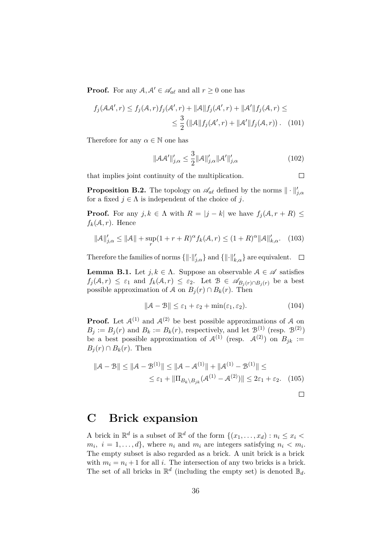**Proof.** For any  $A, A' \in \mathcal{A}_{\text{a}\ell}$  and all  $r \geq 0$  one has

$$
f_j(\mathcal{A}\mathcal{A}',r) \le f_j(\mathcal{A},r)f_j(\mathcal{A}',r) + ||\mathcal{A}||f_j(\mathcal{A}',r) + ||\mathcal{A}'||f_j(\mathcal{A},r) \le
$$
  

$$
\le \frac{3}{2} (||\mathcal{A}||f_j(\mathcal{A}',r) + ||\mathcal{A}'||f_j(\mathcal{A},r)) . \quad (101)
$$

Therefore for any  $\alpha \in \mathbb{N}$  one has

$$
\|\mathcal{A}\mathcal{A}'\|_{j,\alpha}' \le \frac{3}{2} \|\mathcal{A}\|_{j,\alpha}' \|\mathcal{A}'\|_{j,\alpha}'\tag{102}
$$

that implies joint continuity of the multiplication.

 $\Box$ 

**Proposition B.2.** The topology on  $\mathscr{A}_{a\ell}$  defined by the norms  $\|\cdot\|'_{j,\alpha}$ for a fixed  $j \in \Lambda$  is independent of the choice of *j*.

**Proof.** For any  $j, k \in \Lambda$  with  $R = |j - k|$  we have  $f_i(\mathcal{A}, r + R) \leq$  $f_k(\mathcal{A}, r)$ . Hence

$$
\|\mathcal{A}\|'_{j,\alpha} \le \|\mathcal{A}\| + \sup_r (1+r+R)^{\alpha} f_k(\mathcal{A}, r) \le (1+R)^{\alpha} \|\mathcal{A}\|'_{k,\alpha}.
$$
 (103)

Therefore the families of norms  $\{\|\cdot\|'_{j,\alpha}\}$  and  $\{\|\cdot\|'_{k,\alpha}\}$  are equivalent.  $\Box$ 

<span id="page-35-1"></span>**Lemma B.1.** Let  $j, k \in \Lambda$ . Suppose an observable  $A \in \mathcal{A}$  satisfies  $f_j(\mathcal{A}, r) \leq \varepsilon_1$  and  $f_k(\mathcal{A}, r) \leq \varepsilon_2$ . Let  $\mathcal{B} \in \mathscr{A}_{B_j(r) \cap B_j(r)}$  be a best possible approximation of A on  $B_i(r) \cap B_k(r)$ . Then

$$
\|\mathcal{A} - \mathcal{B}\| \le \varepsilon_1 + \varepsilon_2 + \min(\varepsilon_1, \varepsilon_2). \tag{104}
$$

**Proof.** Let  $\mathcal{A}^{(1)}$  and  $\mathcal{A}^{(2)}$  be best possible approximations of A on  $B_j := B_j(r)$  and  $B_k := B_k(r)$ , respectively, and let  $\mathcal{B}^{(1)}$  (resp.  $\mathcal{B}^{(2)}$ ) be a best possible approximation of  $\mathcal{A}^{(1)}$  (resp.  $\mathcal{A}^{(2)}$ ) on  $B_{ik}$  :=  $B_i(r) \cap B_k(r)$ . Then

$$
\|\mathcal{A} - \mathcal{B}\| \le \|\mathcal{A} - \mathcal{B}^{(1)}\| \le \|\mathcal{A} - \mathcal{A}^{(1)}\| + \|\mathcal{A}^{(1)} - \mathcal{B}^{(1)}\| \le
$$
  

$$
\le \varepsilon_1 + \|\Pi_{B_k \setminus B_{jk}}(\mathcal{A}^{(1)} - \mathcal{A}^{(2)})\| \le 2\varepsilon_1 + \varepsilon_2. \tag{105}
$$

## <span id="page-35-0"></span>**C Brick expansion**

A brick in  $\mathbb{R}^d$  is a subset of  $\mathbb{R}^d$  of the form  $\{(x_1, \ldots, x_d) : n_i \leq x_i$  $m_i$ ,  $i = 1, \ldots, d$ , where  $n_i$  and  $m_i$  are integers satisfying  $n_i < m_i$ . The empty subset is also regarded as a brick. A unit brick is a brick with  $m_i = n_i + 1$  for all *i*. The intersection of any two bricks is a brick. The set of all bricks in  $\mathbb{R}^d$  (including the empty set) is denoted  $\mathbb{B}_d$ .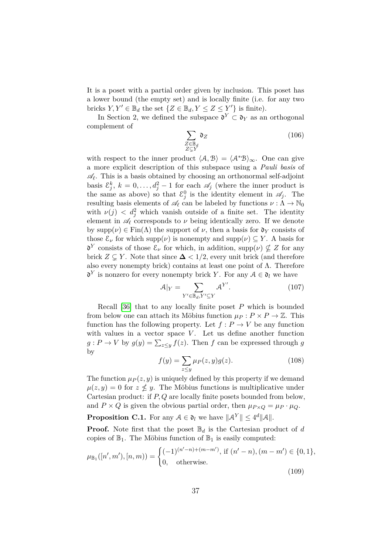It is a poset with a partial order given by inclusion. This poset has a lower bound (the empty set) and is locally finite (i.e. for any two bricks  $Y, Y' \in \mathbb{B}_d$  the set  $\{Z \in \mathbb{B}_d, Y \leq Z \leq Y'\}$  is finite).

In Section 2, we defined the subspace  $\mathfrak{d}^Y \subset \mathfrak{d}_Y$  as an orthogonal complement of

$$
\sum_{\substack{Z \in \mathbb{B}_d \\ Z \subsetneq Y}} \mathfrak{d}_Z \tag{106}
$$

with respect to the inner product  $\langle A, B \rangle = \langle A^* B \rangle_{\infty}$ . One can give a more explicit description of this subspace using a *Pauli basis* of  $\mathcal{A}_l$ . This is a basis obtained by choosing an orthonormal self-adjoint basis  $\mathcal{E}_j^k$ ,  $k = 0, \ldots, d_j^2 - 1$  for each  $\mathscr{A}_j$  (where the inner product is the same as above) so that  $\mathcal{E}_j^0$  is the identity element in  $\mathscr{A}_j$ . The resulting basis elements of  $\mathcal{A}_{\ell}$  can be labeled by functions  $\nu : \Lambda \to \mathbb{N}_0$ with  $\nu(j) < d_j^2$  which vanish outside of a finite set. The identity element in  $\mathscr{A}_{\ell}$  corresponds to  $\nu$  being identically zero. If we denote by  $\text{supp}(\nu) \in \text{Fin}(\Lambda)$  the support of  $\nu$ , then a basis for  $\mathfrak{d}_Y$  consists of those  $\mathcal{E}_{\nu}$  for which supp $(\nu)$  is nonempty and supp $(\nu) \subseteq Y$ . A basis for  $\mathfrak{d}^Y$  consists of those  $\mathcal{E}_{\nu}$  for which, in addition, supp $(\nu) \nsubseteq Z$  for any brick  $Z \subseteq Y$ . Note that since  $\Delta < 1/2$ , every unit brick (and therefore also every nonempty brick) contains at least one point of  $\Lambda$ . Therefore  $\mathfrak{d}^Y$  is nonzero for every nonempty brick *Y*. For any  $\mathcal{A} \in \mathfrak{d}_l$  we have

<span id="page-36-0"></span>
$$
\mathcal{A}|_Y = \sum_{Y' \in \mathbb{B}_d, Y' \subseteq Y} \mathcal{A}^{Y'}.
$$
 (107)

Recall [\[36\]](#page-52-4) that to any locally finite poset *P* which is bounded from below one can attach its Möbius function  $\mu_P : P \times P \to \mathbb{Z}$ . This function has the following property. Let  $f: P \to V$  be any function with values in a vector space  $V$ . Let us define another function  $g: P \to V$  by  $g(y) = \sum_{z \le y} f(z)$ . Then *f* can be expressed through *g* by

$$
f(y) = \sum_{z \le y} \mu_P(z, y) g(z). \tag{108}
$$

The function  $\mu_P(z, y)$  is uniquely defined by this property if we demand  $\mu(z, y) = 0$  for  $z \nleq y$ . The Möbius functions is multiplicative under Cartesian product: if *P, Q* are locally finite posets bounded from below, and  $P \times Q$  is given the obvious partial order, then  $\mu_{P \times Q} = \mu_P \cdot \mu_Q$ .

<span id="page-36-1"></span>**Proposition C.1.** For any  $A \in \mathfrak{d}_l$  we have  $||A^Y|| \le 4^d ||A||$ .

**Proof.** Note first that the poset  $\mathbb{B}_d$  is the Cartesian product of *d* copies of  $\mathbb{B}_1$ . The Möbius function of  $\mathbb{B}_1$  is easily computed:

$$
\mu_{\mathbb{B}_1}([n',m'),[n,m)) = \begin{cases} (-1)^{(n'-n)+(m-m')}, \text{ if } (n'-n), (m-m') \in \{0,1\}, \\ 0, \text{ otherwise.} \end{cases}
$$

(109)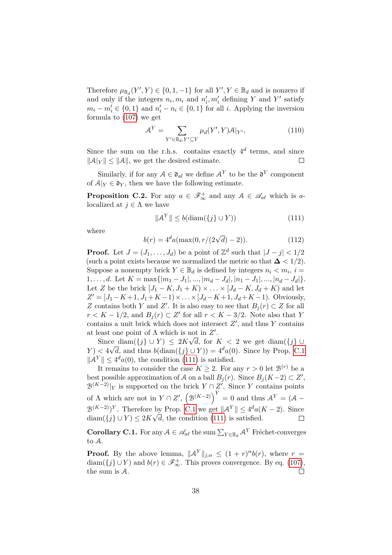Therefore  $\mu_{\mathbb{B}_d}(Y', Y) \in \{0, 1, -1\}$  for all  $Y', Y \in \mathbb{B}_d$  and is nonzero if and only if the integers  $n_i, m_i$  and  $n'_i, m'_i$  defining Y and Y' satisfy  $m_i - m'_i \in \{0, 1\}$  and  $n'_i - n_i \in \{0, 1\}$  for all *i*. Applying the inversion formula to [\(107\)](#page-36-0) we get

$$
\mathcal{A}^Y = \sum_{Y' \in \mathbb{B}_d, Y' \subseteq Y} \mu_d(Y', Y) \mathcal{A}|_{Y'},\tag{110}
$$

Since the sum on the r.h.s. contains exactly  $4^d$  terms, and since  $||A|_Y|| \le ||A||$ , we get the desired estimate.  $\Box$ 

Similarly, if for any  $A \in \mathfrak{d}_{al}$  we define  $A^Y$  to be the  $\mathfrak{d}^Y$  component of  $\mathcal{A}|_Y \in \mathfrak{d}_Y$ , then we have the following estimate.

<span id="page-37-1"></span>**Proposition C.2.** For any  $a \in \mathcal{F}^+_{\infty}$  and any  $A \in \mathcal{A}_{a\ell}$  which is *a*localized at  $j \in \Lambda$  we have

<span id="page-37-0"></span>
$$
\|\mathcal{A}^Y\| \le b(\text{diam}(\{j\} \cup Y))\tag{111}
$$

where

$$
b(r) = 4d a(\max(0, r/(2\sqrt{d}) - 2)).
$$
 (112)

**Proof.** Let  $J = (J_1, \ldots, J_d)$  be a point of  $\mathbb{Z}^d$  such that  $|J - j| < 1/2$ (such a point exists because we normalized the metric so that  $\Delta < 1/2$ ). Suppose a nonempty brick  $Y \in \mathbb{B}_d$  is defined by integers  $n_i < m_i$ ,  $i =$  $1, \ldots, d$ . Let  $K = \max\{|m_1 - J_1|, \ldots, |m_d - J_d|, |n_1 - J_1|, \ldots, |n_d - J_d|\}.$ Let *Z* be the brick  $[J_1 - K, J_1 + K) \times \ldots \times [J_d - K, J_d + K)$  and let  $Z' = [J_1 - K + 1, J_1 + K - 1] \times \ldots \times [J_d - K + 1, J_d + K - 1]$ . Obviously, *Z* contains both *Y* and *Z*'. It is also easy to see that  $B_j(r) \subset Z$  for all  $r < K - 1/2$ , and  $B_j(r) \subset Z'$  for all  $r < K - 3/2$ . Note also that *Y* contains a unit brick which does not intersect  $Z'$ , and thus  $Y$  contains at least one point of  $\Lambda$  which is not in  $Z'$ .

Since diam( $\{j\} \cup Y$ )  $\leq 2K\sqrt{d}$ , for  $K < 2$  we get diam( $\{j\} \cup$  $Y$   $(4\sqrt{d}, \text{ and thus } b(\text{diam}(\{j\} \cup Y)) = 4^d a(0).$  Since by Prop. [C.1](#page-36-1)  $\|\mathcal{A}^Y\| \leq 4^d a(0)$ , the condition [\(111\)](#page-37-0) is satisfied.

It remains to consider the case  $K \geq 2$ . For any  $r > 0$  let  $\mathcal{B}^{(r)}$  be a best possible approximation of A on a ball  $B_j(r)$ . Since  $B_j(K-2) \subset Z'$ ,  $\mathcal{B}^{(K-2)}|_Y$  is supported on the brick  $Y \cap Z'$ . Since *Y* contains points of  $\Lambda$  which are not in  $Y \cap Z'$ ,  $(\mathcal{B}^{(K-2)})^Y = 0$  and thus  $\mathcal{A}^Y = (\mathcal{A} - \mathcal{A})^Y$  $\mathcal{B}^{(K-2)}$ <sup>*Y*</sup>. Therefore by Prop. [C.1](#page-36-1) we get  $\|\mathcal{A}^Y\| \leq 4^d a(K-2)$ . Since  $\text{diam}(\lbrace j \rbrace \cup Y) \leq 2K\sqrt{d}$ , the condition [\(111\)](#page-37-0) is satisfied.  $\Box$ 

**Corollary C.1.** For any  $A \in \mathscr{A}_{a\ell}$  the sum  $\sum_{Y \in \mathbb{B}_d} A^Y$  Fréchet-converges to A.

**Proof.** By the above lemma,  $||A^Y||_{j,\alpha} \leq (1+r)^{\alpha}b(r)$ , where  $r =$ diam( ${j} \cup Y$ ) and  $b(r) \in \mathscr{F}_{\infty}^+$ . This proves convergence. By eq. [\(107\)](#page-36-0), the sum is A.  $\Box$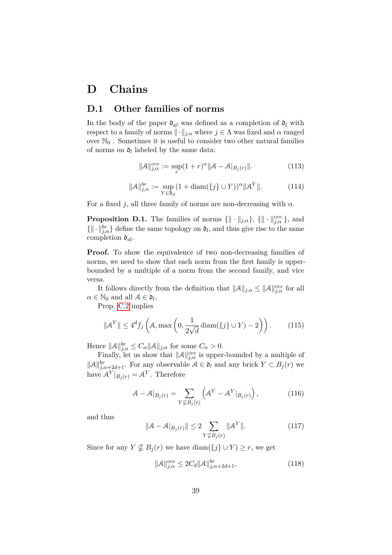## **D Chains**

### <span id="page-38-0"></span>**D.1 Other families of norms**

In the body of the paper  $\mathfrak{d}_{al}$  was defined as a completion of  $\mathfrak{d}_l$  with respect to a family of norms  $\|\cdot\|_{j,\alpha}$  where  $j \in \Lambda$  was fixed and  $\alpha$  ranged over  $\mathbb{N}_0$ . Sometimes it is useful to consider two other natural families of norms on  $\mathfrak{d}_l$  labeled by the same data:

$$
\|\mathcal{A}\|_{j,\alpha}^{cev} := \sup_{r} (1+r)^{\alpha} \|\mathcal{A} - \mathcal{A}|_{B_j(r)}\|.
$$
 (113)

$$
\|\mathcal{A}\|_{j,\alpha}^{br} := \sup_{Y \in \mathbb{B}_d} (1 + \operatorname{diam}(\{j\} \cup Y))^{\alpha} \|\mathcal{A}^Y\|.
$$
 (114)

For a fixed *j*, all three family of norms are non-decreasing with  $\alpha$ .

<span id="page-38-1"></span>**Proposition D.1.** The families of norms  $\{\|\cdot\|_{j,\alpha}\}, \{\|\cdot\|_{j,\alpha}^{cev.}\},\$  and  $\{\|\cdot\|_{j,\alpha}^{br}\}$  define the same topology on  $\mathfrak{d}_l$ , and thus give rise to the same completion  $\mathfrak{d}_{al}$ .

**Proof.** To show the equivalence of two non-decreasing families of norms, we need to show that each norm from the first family is upperbounded by a multiple of a norm from the second family, and vice versa.

It follows directly from the definition that  $||A||_{j,\alpha} \le ||A||_{j,\alpha}^{cev}$  for all  $\alpha \in \mathbb{N}_0$  and all  $\mathcal{A} \in \mathfrak{d}_l$ .

Prop. [C.2](#page-37-1) implies

$$
\|\mathcal{A}^Y\| \le 4^d f_j\left(\mathcal{A}, \max\left(0, \frac{1}{2\sqrt{d}} \operatorname{diam}(\{j\} \cup Y) - 2\right)\right). \tag{115}
$$

Hence  $||A||_{j,\alpha}^{br} \leq C_{\alpha} ||A||_{j,\alpha}$  for some  $C_{\alpha} > 0$ .

Finally, let us show that  $\|\mathcal{A}\|_{j,\alpha}^{cev}$  is upper-bounded by a multiple of  $||\mathcal{A}||_{j,\alpha+2d+1}^{br}$ . For any observable  $\mathcal{A} \in \mathfrak{d}_l$  and any brick  $Y \subset B_j(r)$  we have  $\mathcal{A}^Y|_{B_j(r)} = \mathcal{A}^Y$ . Therefore

$$
\mathcal{A} - \mathcal{A}|_{B_j(r)} = \sum_{Y \nsubseteq B_j(r)} \left( \mathcal{A}^Y - \mathcal{A}^Y|_{B_j(r)} \right),\tag{116}
$$

and thus

$$
\|\mathcal{A} - \mathcal{A}\|_{B_j(r)}\| \le 2 \sum_{Y \nsubseteq B_j(r)} \|\mathcal{A}^Y\|.
$$
 (117)

Since for any *Y*  $\nsubseteq B_i(r)$  we have diam( $\{j\} \cup Y$ ) ≥ *r*, we get

$$
\|\mathcal{A}\|_{j,\alpha}^{cev} \le 2C_d \|\mathcal{A}\|_{j,\alpha+2d+1}^{br},\tag{118}
$$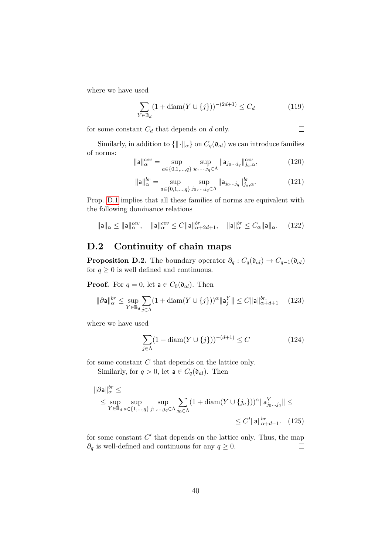where we have used

$$
\sum_{Y \in \mathbb{B}_d} (1 + \operatorname{diam}(Y \cup \{j\}))^{-(2d+1)} \le C_d \tag{119}
$$

 $\Box$ 

for some constant  $C_d$  that depends on  $d$  only.

Similarly, in addition to  $\{\|\cdot\|_{\alpha}\}$  on  $C_q(\mathfrak{d}_{al})$  we can introduce families of norms:

$$
\|\mathbf{a}\|_{\alpha}^{cev} = \sup_{a \in \{0, 1, \dots, q\}} \sup_{j_0, \dots, j_q \in \Lambda} \|\mathbf{a}_{j_0 \dots j_q}\|_{j_a, \alpha}^{cev}, \tag{120}
$$

$$
\|\mathsf{a}\|_{\alpha}^{br} = \sup_{a \in \{0, 1, \dots, q\}} \sup_{j_0, \dots, j_q \in \Lambda} \|\mathsf{a}_{j_0 \dots j_q}\|_{j_a, \alpha}^{br}.
$$
 (121)

Prop. [D.1](#page-38-1) implies that all these families of norms are equivalent with the following dominance relations

$$
\|\mathsf{a}\|_{\alpha} \le \|\mathsf{a}\|_{\alpha}^{cev}, \quad \|\mathsf{a}\|_{\alpha}^{cev} \le C \|\mathsf{a}\|_{\alpha+2d+1}^{br}, \quad \|\mathsf{a}\|_{\alpha}^{br} \le C_{\alpha} \|\mathsf{a}\|_{\alpha}.
$$
 (122)

### <span id="page-39-0"></span>**D.2 Continuity of chain maps**

<span id="page-39-2"></span>**Proposition D.2.** The boundary operator  $\partial_q$  :  $C_q(\mathfrak{d}_{al}) \to C_{q-1}(\mathfrak{d}_{al})$ for  $q\geq 0$  is well defined and continuous.

**Proof.** For  $q = 0$ , let  $a \in C_0(\mathfrak{d}_{al})$ . Then

$$
\|\partial \mathbf{a}\|_{\alpha}^{br} \le \sup_{Y \in \mathbb{B}_d} \sum_{j \in \Lambda} (1 + \operatorname{diam}(Y \cup \{j\}))^{\alpha} \|\mathbf{a}_j^Y\| \le C \|\mathbf{a}\|_{\alpha + d + 1}^{br} \tag{123}
$$

where we have used

<span id="page-39-1"></span>
$$
\sum_{j \in \Lambda} (1 + \operatorname{diam}(Y \cup \{j\}))^{-(d+1)} \le C \tag{124}
$$

for some constant *C* that depends on the lattice only.

Similarly, for  $q > 0$ , let  $a \in C_q(\mathfrak{d}_{al})$ . Then

$$
\|\partial \mathsf{a}\|_{\alpha}^{br} \le
$$
  
\$\leq\$ sup  

$$
Y \in \mathbb{B}_d \text{ a} \in \{1, \dots, q\} \text{ j} \text{ j}, \dots, \text{j} \in \Lambda$ } \sum_{j_0 \in \Lambda} (1 + \operatorname{diam}(Y \cup \{j_a\}))^{\alpha} \|\mathsf{a}_{j_0 \dots j_q}^Y\| \le
$$
  
\$\leq C' \|\mathsf{a}\|\_{\alpha + d + 1}^{br}. (125)

for some constant  $C'$  that depends on the lattice only. Thus, the map *∂*<sup>*q*</sup> is well-defined and continuous for any *q* ≥ 0.  $\Box$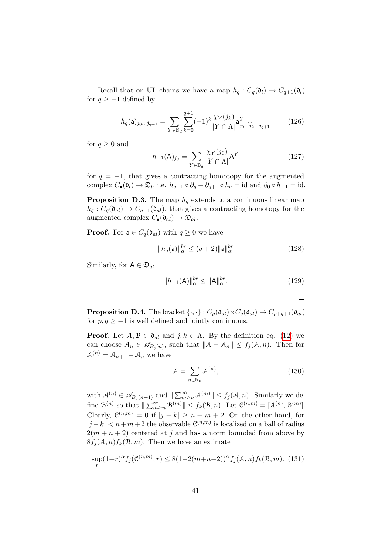Recall that on UL chains we have a map  $h_q: C_q(\mathfrak{d}_l) \to C_{q+1}(\mathfrak{d}_l)$ for  $q \geq -1$  defined by

$$
h_q(\mathbf{a})_{j_0...j_{q+1}} = \sum_{Y \in \mathbb{B}_d} \sum_{k=0}^{q+1} (-1)^k \frac{\chi_Y(j_k)}{|Y \cap \Lambda|} \mathbf{a}_{j_0...j_k...j_{q+1}}^Y
$$
 (126)

for  $q > 0$  and

$$
h_{-1}(\mathbf{A})_{j_0} = \sum_{Y \in \mathbb{B}_d} \frac{\chi_Y(j_0)}{|Y \cap \Lambda|} \mathbf{A}^Y \tag{127}
$$

for  $q = -1$ , that gives a contracting homotopy for the augmented complex  $C_{\bullet}(\mathfrak{d}_l) \to \mathfrak{D}_l$ , i.e.  $h_{q-1} \circ \partial_q + \partial_{q+1} \circ h_q = \text{id}$  and  $\partial_0 \circ h_{-1} = \text{id}$ .

<span id="page-40-0"></span>**Proposition D.3.** The map  $h_q$  extends to a continuous linear map  $h_q: C_q(\mathfrak{d}_{al}) \to C_{q+1}(\mathfrak{d}_{al})$ , that gives a contracting homotopy for the augmented complex  $C_{\bullet}(\mathfrak{d}_{al}) \to \mathfrak{D}_{al}$ .

**Proof.** For  $a \in C_q(\mathfrak{d}_{al})$  with  $q \geq 0$  we have

$$
||h_q(\mathsf{a})||_{\alpha}^{br} \le (q+2)||\mathsf{a}||_{\alpha}^{br} \tag{128}
$$

Similarly, for  $A \in \mathfrak{D}_{al}$ 

$$
||h_{-1}(A)||_{\alpha}^{br} \le ||A||_{\alpha}^{br}.
$$
 (129)

 $\Box$ 

<span id="page-40-1"></span>**Proposition D.4.** The bracket  $\{\cdot, \cdot\}: C_p(\mathfrak{d}_{al}) \times C_q(\mathfrak{d}_{al}) \to C_{p+q+1}(\mathfrak{d}_{al})$ for  $p, q \ge -1$  is well defined and jointly continuous.

**Proof.** Let  $A, B \in \mathfrak{d}_{al}$  and  $j, k \in \Lambda$ . By the definition eq. [\(12\)](#page-5-0) we can choose  $A_n \in \mathscr{A}_{B_j(n)}$ , such that  $||A - A_n|| \leq f_j(A, n)$ . Then for  $A^{(n)} = A_{n+1} - A_n$  we have

$$
\mathcal{A} = \sum_{n \in \mathbb{N}_0} \mathcal{A}^{(n)},\tag{130}
$$

with  $\mathcal{A}^{(n)} \in \mathscr{A}_{B_j(n+1)}$  and  $\|\sum_{m \geq n}^{\infty} \mathcal{A}^{(m)}\| \leq f_j(\mathcal{A}, n)$ . Similarly we define  $\mathcal{B}^{(n)}$  so that  $\|\sum_{m\geq n}^{\infty} \mathcal{B}^{(m)}\| \leq f_k(\mathcal{B}, n)$ . Let  $\mathcal{C}^{(n,m)} = [\mathcal{A}^{(n)}, \mathcal{B}^{(m)}]$ . Clearly,  $\mathcal{C}^{(n,m)} = 0$  if  $|j - k| \geq n + m + 2$ . On the other hand, for  $|j - k| < n + m + 2$  the observable  $\mathcal{C}^{(n,m)}$  is localized on a ball of radius  $2(m + n + 2)$  centered at *j* and has a norm bounded from above by  $8f_j(\mathcal{A}, n)f_k(\mathcal{B}, m)$ . Then we have an estimate

$$
\sup_{r} (1+r)^{\alpha} f_j(\mathcal{C}^{(n,m)}, r) \le 8(1+2(m+n+2))^{\alpha} f_j(\mathcal{A}, n) f_k(\mathcal{B}, m). \tag{131}
$$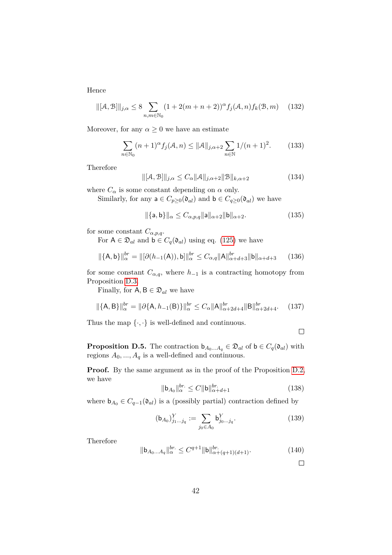Hence

$$
\|[\mathcal{A}, \mathcal{B}]\|_{j,\alpha} \le 8 \sum_{n,m \in \mathbb{N}_0} (1 + 2(m+n+2))^{\alpha} f_j(\mathcal{A}, n) f_k(\mathcal{B}, m) \quad (132)
$$

Moreover, for any  $\alpha \geq 0$  we have an estimate

$$
\sum_{n \in \mathbb{N}_0} (n+1)^{\alpha} f_j(\mathcal{A}, n) \le ||\mathcal{A}||_{j, \alpha+2} \sum_{n \in \mathbb{N}} 1/(n+1)^2.
$$
 (133)

Therefore

$$
\|[\mathcal{A}, \mathcal{B}]\|_{j,\alpha} \le C_{\alpha} \|\mathcal{A}\|_{j,\alpha+2} \|\mathcal{B}\|_{k,\alpha+2}
$$
 (134)

where  $C_{\alpha}$  is some constant depending on  $\alpha$  only.

Similarly, for any  $a \in C_{p \geq 0}(\mathfrak{d}_{al})$  and  $b \in C_{q \geq 0}(\mathfrak{d}_{al})$  we have

$$
\|\{\mathsf{a},\mathsf{b}\}\|_{\alpha} \le C_{\alpha,p,q} \|\mathsf{a}\|_{\alpha+2} \|\mathsf{b}\|_{\alpha+2}.\tag{135}
$$

for some constant *Cα,p,q*.

For  $A \in \mathfrak{D}_{al}$  and  $b \in C_q(\mathfrak{d}_{al})$  using eq. [\(125\)](#page-39-1) we have

<span id="page-41-0"></span>
$$
\|\{A, b\}\|_{\alpha}^{br} = \|[{\partial (h_{-1}(A))}, b]\|_{\alpha}^{br} \le C_{\alpha, q} \|A\|_{\alpha+d+3}^{br} \|b\|_{\alpha+d+3} \qquad (136)
$$

for some constant  $C_{\alpha,q}$ , where  $h_{-1}$  is a contracting homotopy from Proposition [D.3.](#page-40-0)

Finally, for  $A, B \in \mathfrak{D}_{al}$  we have

$$
\|\{\mathbf{A},\mathbf{B}\}\|_{\alpha}^{br} = \|\partial \{\mathbf{A}, h_{-1}(\mathbf{B})\}\|_{\alpha}^{br} \le C_{\alpha} \|\mathbf{A}\|_{\alpha+2d+4}^{br} \|\mathbf{B}\|_{\alpha+2d+4}^{br}.
$$
 (137)

Thus the map  $\{\cdot,\cdot\}$  is well-defined and continuous.

 $\Box$ 

**Proposition D.5.** The contraction  $b_{A_0...A_q} \in \mathfrak{D}_{al}$  of  $b \in C_q(\mathfrak{d}_{al})$  with regions  $A_0, ..., A_q$  is a well-defined and continuous.

**Proof.** By the same argument as in the proof of the Proposition [D.2,](#page-39-2) we have

$$
\|\mathbf{b}_{A_0}\|_{\alpha}^{br.} \le C \|\mathbf{b}\|_{\alpha+d+1}^{br.} \tag{138}
$$

where  $\mathbf{b}_{A_0} \in C_{q-1}(\mathfrak{d}_{al})$  is a (possibly partial) contraction defined by

$$
(\mathbf{b}_{A_0})_{j_1...j_q}^Y := \sum_{j_0 \in A_0} \mathbf{b}_{j_0...j_q}^Y.
$$
 (139)

Therefore

$$
\|\mathbf{b}_{A_0\ldots A_q}\|_{\alpha}^{br} \le C^{q+1} \|\mathbf{b}\|_{\alpha+(q+1)(d+1)}^{br}.
$$
 (140)

 $\Box$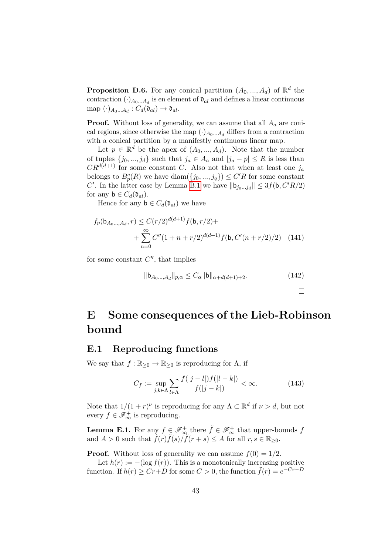<span id="page-42-0"></span>**Proposition D.6.** For any conical partition  $(A_0, ..., A_d)$  of  $\mathbb{R}^d$  the contraction  $(\cdot)_{A_0...A_d}$  is en element of  $\mathfrak{d}_{al}$  and defines a linear continuous  $\text{map } (\cdot)_{A_0...A_d}: C_d(\mathfrak{d}_{al}) \to \mathfrak{d}_{al}.$ 

**Proof.** Without loss of generality, we can assume that all  $A_a$  are conical regions, since otherwise the map  $(\cdot)_{A_0...A_d}$  differs from a contraction with a conical partition by a manifestly continuous linear map.

Let  $p \in \mathbb{R}^d$  be the apex of  $(A_0, ..., A_d)$ . Note that the number of tuples  $\{j_0, ..., j_d\}$  such that  $j_a \in A_a$  and  $|j_a - p| \leq R$  is less than  $CR^{d(d+1)}$  for some constant *C*. Also not that when at least one *j<sub>a</sub>* belongs to  $B_p^c(R)$  we have diam $(\{j_0, ..., j_q\}) \le C'R$  for some constant *C*'. In the latter case by Lemma [B.1](#page-35-1) we have  $||b_{j_0...j_d}|| \leq 3f(b, C'R/2)$ for any  $b \in C_d(\mathfrak{d}_{al})$ .

Hence for any  $\mathbf{b} \in C_d(\mathfrak{d}_{al})$  we have

$$
f_p(\mathbf{b}_{A_0...A_d}, r) \le C(r/2)^{d(d+1)} f(\mathbf{b}, r/2) +
$$
  
+ 
$$
\sum_{n=0}^{\infty} C''(1+n+r/2)^{d(d+1)} f(\mathbf{b}, C'(n+r/2)/2)
$$
 (141)

for some constant  $C''$ , that implies

$$
\|\mathbf{b}_{A_0...A_d}\|_{p,\alpha} \le C_{\alpha} \|\mathbf{b}\|_{\alpha+d(d+1)+2}.
$$
 (142)

 $\Box$ 

## **E Some consequences of the Lieb-Robinson bound**

#### **E.1 Reproducing functions**

We say that  $f : \mathbb{R}_{\geq 0} \to \mathbb{R}_{\geq 0}$  is reproducing for  $\Lambda$ , if

$$
C_f := \sup_{j,k \in \Lambda} \sum_{l \in \Lambda} \frac{f(|j-l|)f(|l-k|)}{f(|j-k|)} < \infty. \tag{143}
$$

Note that  $1/(1+r)^{\nu}$  is reproducing for any  $\Lambda \subset \mathbb{R}^d$  if  $\nu > d$ , but not every  $f \in \mathscr{F}^+_\infty$  is reproducing.

<span id="page-42-1"></span>**Lemma E.1.** For any  $f \in \mathscr{F}_{\infty}^+$  there  $\tilde{f} \in \mathscr{F}_{\infty}^+$  that upper-bounds  $f$ and  $A > 0$  such that  $\tilde{f}(r)\tilde{f}(s)/\tilde{f}(r+s) \leq A$  for all  $r, s \in \mathbb{R}_{\geq 0}$ .

**Proof.** Without loss of generality we can assume  $f(0) = 1/2$ .

Let  $h(r) := -(\log f(r))$ . This is a monotonically increasing positive function. If  $h(r) \geq Cr+D$  for some  $C > 0$ , the function  $\tilde{f}(r) = e^{-Cr-D}$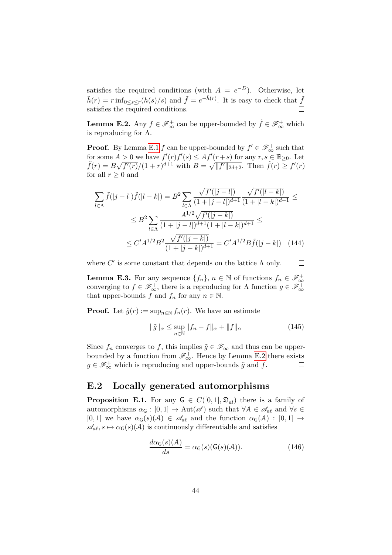satisfies the required conditions (with  $A = e^{-D}$ ). Otherwise, let  $\tilde{h}(r) = r \inf_{0 \le s \le r} (h(s)/s)$  and  $\tilde{f} = e^{-\tilde{h}(r)}$ . It is easy to check that  $\tilde{f}$ satisfies the required conditions.  $\Box$ 

<span id="page-43-2"></span>**Lemma E.2.** Any  $f \in \mathscr{F}_{\infty}^+$  can be upper-bounded by  $\tilde{f} \in \mathscr{F}_{\infty}^+$  which is reproducing for  $\Lambda$ .

**Proof.** By Lemma [E.1](#page-42-1) *f* can be upper-bounded by  $f' \in \mathcal{F}^+_{\infty}$  such that for some  $A > 0$  we have  $f'(r)f'(s) \leq Af'(r+s)$  for any  $r, s \in \mathbb{R}_{\geq 0}$ . Let  $\tilde{f}(r) = B\sqrt{f'(r)}/(1+r)^{d+1}$  with  $B = \sqrt{||f'||_{2d+2}}$ . Then  $\tilde{f}(r) \ge f'(r)$ for all  $r \geq 0$  and

$$
\sum_{l \in \Lambda} \tilde{f}(|j - l|) \tilde{f}(|l - k|) = B^2 \sum_{l \in \Lambda} \frac{\sqrt{f'(|j - l|)}}{(1 + |j - l|)^{d+1}} \frac{\sqrt{f'(|l - k|)}}{(1 + |l - k|)^{d+1}} \le
$$
  

$$
\leq B^2 \sum_{l \in \Lambda} \frac{A^{1/2} \sqrt{f'(|j - k|)}}{(1 + |j - l|)^{d+1}(1 + |l - k|)^{d+1}} \leq
$$
  

$$
\leq C' A^{1/2} B^2 \frac{\sqrt{f'(|j - k|)}}{(1 + |j - k|)^{d+1}} = C' A^{1/2} B \tilde{f}(|j - k|) \quad (144)
$$

where  $C'$  is some constant that depends on the lattice  $\Lambda$  only.  $\Box$ 

<span id="page-43-3"></span>**Lemma E.3.** For any sequence  $\{f_n\}$ ,  $n \in \mathbb{N}$  of functions  $f_n \in \mathscr{F}_{\infty}^+$ converging to  $f \in \mathscr{F}_{\infty}^+$ , there is a reproducing for  $\Lambda$  function  $g \in \mathscr{F}_{\infty}^+$  that upper-bounds  $f$  and  $f_n$  for any  $n \in \mathbb{N}$ .

**Proof.** Let  $\tilde{g}(r) := \sup_{n \in \mathbb{N}} f_n(r)$ . We have an estimate

$$
\|\tilde{g}\|_{\alpha} \le \sup_{n \in \mathbb{N}} \|f_n - f\|_{\alpha} + \|f\|_{\alpha} \tag{145}
$$

Since  $f_n$  converges to  $f$ , this implies  $\tilde{g} \in \mathscr{F}_{\infty}$  and thus can be upperbounded by a function from  $\mathscr{F}_{\infty}^+$ . Hence by Lemma [E.2](#page-43-2) there exists  $g \in \mathscr{F}^+_\infty$  which is reproducing and upper-bounds  $\tilde{g}$  and  $f$ .  $\Box$ 

#### <span id="page-43-0"></span>**E.2 Locally generated automorphisms**

<span id="page-43-1"></span>**Proposition E.1.** For any  $G \in C([0,1], \mathcal{D}_{al})$  there is a family of automorphisms  $\alpha_{\mathsf{G}} : [0,1] \to \text{Aut}(\mathscr{A})$  such that  $\forall A \in \mathscr{A}_{\text{ad}}$  and  $\forall s \in \mathscr{A}_{\text{ad}}$  $[0,1]$  we have  $\alpha_{\mathsf{G}}(s)(\mathcal{A}) \in \mathscr{A}_{\alpha\ell}$  and the function  $\alpha_{\mathsf{G}}(\mathcal{A}) : [0,1] \rightarrow$  $\mathscr{A}_{a\ell}, s \mapsto \alpha_{\mathsf{G}}(s)(\mathcal{A})$  is continuously differentiable and satisfies

$$
\frac{d\alpha_{\mathsf{G}}(s)(\mathcal{A})}{ds} = \alpha_{\mathsf{G}}(s)(\mathsf{G}(s)(\mathcal{A})).
$$
\n(146)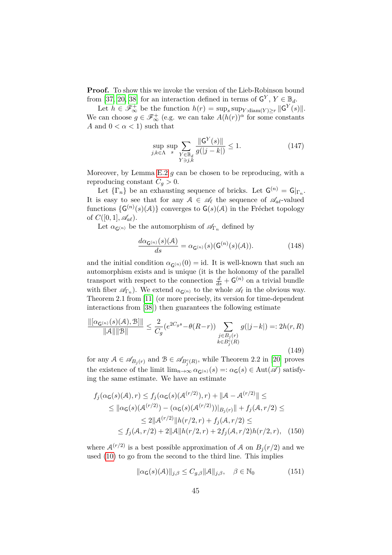**Proof.** To show this we invoke the version of the Lieb-Robinson bound from [\[37,](#page-52-5) [20,](#page-51-0) [38\]](#page-52-6) for an interaction defined in terms of  $G^Y$ ,  $Y \in \mathbb{B}_d$ .

Let  $h \in \mathscr{F}_{\infty}^+$  be the function  $h(r) = \sup_s \sup_{Y : \text{diam}(Y) \ge r} \|G^Y(s)\|$ . We can choose  $g \in \mathscr{F}^+_{\infty}$  (e.g. we can take  $A(h(r))^{\alpha}$  for some constants *A* and  $0 < \alpha < 1$  such that

<span id="page-44-1"></span>
$$
\sup_{j,k\in\Lambda} \sup_s \sum_{\substack{Y\in\mathbb{B}_d\\Y\ni j,k}} \frac{\|G^Y(s)\|}{g(|j-k|)} \le 1.
$$
\n(147)

Moreover, by Lemma [E.2](#page-43-2) *g* can be chosen to be reproducing, with a reproducing constant  $C_q > 0$ .

Let  $\{\Gamma_n\}$  be an exhausting sequence of bricks. Let  $G^{(n)} = G|_{\Gamma_n}$ . It is easy to see that for any  $A \in \mathcal{A}_{\ell}$  the sequence of  $\mathcal{A}_{a\ell}$ -valued functions  $\{G^{(n)}(s)(A)\}$  converges to  $G(s)(A)$  in the Fréchet topology of  $C([0,1], \mathscr{A}_{a\ell})$ .

Let  $\alpha_{\mathsf{G}(n)}$  be the automorphism of  $\mathscr{A}_{\Gamma_n}$  defined by

<span id="page-44-0"></span>
$$
\frac{d\alpha_{\mathsf{G}^{(n)}}(s)(\mathcal{A})}{ds} = \alpha_{\mathsf{G}^{(n)}}(s)(\mathsf{G}^{(n)}(s)(\mathcal{A})).\tag{148}
$$

and the initial condition  $\alpha_{\mathsf{G}(n)}(0) = id$ . It is well-known that such an automorphism exists and is unique (it is the holonomy of the parallel transport with respect to the connection  $\frac{d}{ds} + \mathsf{G}^{(n)}$  on a trivial bundle with fiber  $\mathscr{A}_{\Gamma_n}$ ). We extend  $\alpha_{\mathsf{G}^{(n)}}$  to the whole  $\mathscr{A}_{\ell}$  in the obvious way. Theorem 2.1 from [\[11\]](#page-50-1) (or more precisely, its version for time-dependent interactions from [\[38\]](#page-52-6)) then guarantees the following estimate

$$
\frac{\|[\alpha_{\mathsf{G}^{(n)}}(s)(\mathcal{A}), \mathcal{B}]]\|}{\|\mathcal{A}\| \|\mathcal{B}\|} \le \frac{2}{C_g} (e^{2C_g s} - \theta(R-r)) \sum_{\substack{j \in B_j(r) \\ k \in B_j^c(R)}} g(|j-k|) =: 2h(r, R)
$$
\n(149)

for any  $A \in \mathscr{A}_{B_j(r)}$  and  $B \in \mathscr{A}_{B_j^c(R)}$ , while Theorem 2.2 in [\[20\]](#page-51-0) proves the existence of the limit  $\lim_{n\to\infty} \alpha_{\mathsf{G}(n)}(s) =: \alpha_{\mathsf{G}}(s) \in \text{Aut}(\mathscr{A})$  satisfying the same estimate. We have an estimate

$$
f_j(\alpha_{\mathsf{G}}(s)(\mathcal{A}), r) \le f_j(\alpha_{\mathsf{G}}(s)(\mathcal{A}^{(r/2)}), r) + ||\mathcal{A} - \mathcal{A}^{(r/2)}|| \le
$$
  
\n
$$
\le ||\alpha_{\mathsf{G}}(s)(\mathcal{A}^{(r/2)}) - (\alpha_{\mathsf{G}}(s)(\mathcal{A}^{(r/2)}))||_{B_j(r)}|| + f_j(\mathcal{A}, r/2) \le
$$
  
\n
$$
\le 2||\mathcal{A}^{(r/2)}||h(r/2, r) + f_j(\mathcal{A}, r/2) \le
$$
  
\n
$$
\le f_j(\mathcal{A}, r/2) + 2||\mathcal{A}||h(r/2, r) + 2f_j(\mathcal{A}, r/2)h(r/2, r), \quad (150)
$$

where  $A^{(r/2)}$  is a best possible approximation of A on  $B_i(r/2)$  and we used [\(10\)](#page-5-1) to go from the second to the third line. This implies

<span id="page-44-2"></span>
$$
\|\alpha_{\mathsf{G}}(s)(\mathcal{A})\|_{j,\beta} \le C_{g,\beta} \|\mathcal{A}\|_{j,\beta}, \quad \beta \in \mathbb{N}_0 \tag{151}
$$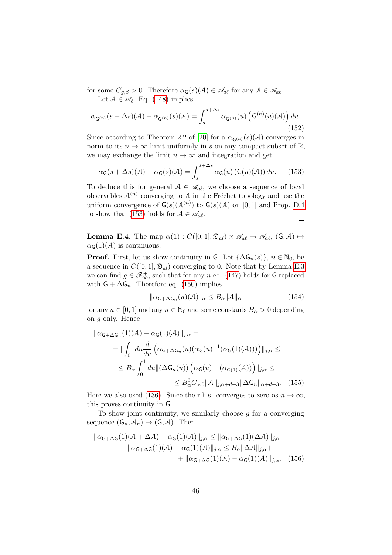for some  $C_{g,\beta} > 0$ . Therefore  $\alpha_{\mathsf{G}}(s)(\mathcal{A}) \in \mathscr{A}_{a\ell}$  for any  $\mathcal{A} \in \mathscr{A}_{a\ell}$ . Let  $A \in \mathcal{A}_{\ell}$ . Eq. [\(148\)](#page-44-0) implies

$$
\alpha_{\mathsf{G}^{(n)}}(s+\Delta s)(\mathcal{A}) - \alpha_{\mathsf{G}^{(n)}}(s)(\mathcal{A}) = \int_s^{s+\Delta s} \alpha_{\mathsf{G}^{(n)}}(u) \left(\mathsf{G}^{(n)}(u)(\mathcal{A})\right) du.
$$
\n(152)

Since according to Theorem 2.2 of [\[20\]](#page-51-0) for a  $\alpha_{\mathsf{G}^{(n)}}(s)(\mathcal{A})$  converges in norm to its  $n \to \infty$  limit uniformly in *s* on any compact subset of R, we may exchange the limit  $n \to \infty$  and integration and get

<span id="page-45-0"></span>
$$
\alpha_{\mathsf{G}}(s+\Delta s)(\mathcal{A}) - \alpha_{\mathsf{G}}(s)(\mathcal{A}) = \int_{s}^{s+\Delta s} \alpha_{\mathsf{G}}(u) \left(\mathsf{G}(u)(\mathcal{A})\right) du. \tag{153}
$$

To deduce this for general  $A \in \mathscr{A}_{\alpha\ell}$ , we choose a sequence of local observables  $A^{(n)}$  converging to A in the Fréchet topology and use the uniform convergence of  $G(s)(\mathcal{A}^{(n)})$  to  $G(s)(\mathcal{A})$  on [0, 1] and Prop. [D.4](#page-40-1) to show that [\(153\)](#page-45-0) holds for  $A \in \mathscr{A}_{a\ell}$ .

 $\Box$ 

<span id="page-45-1"></span>**Lemma E.4.** The map  $\alpha(1)$ :  $C([0,1], \mathfrak{D}_{al}) \times \mathcal{A}_{al} \rightarrow \mathcal{A}_{al}$ ,  $(G, \mathcal{A}) \mapsto$  $\alpha$ <sub>G</sub>(1)(A) is continuous.

**Proof.** First, let us show continuity in G. Let  $\{\Delta \mathsf{G}_n(s)\}\text{, } n \in \mathbb{N}_0$ , be a sequence in  $C([0,1], \mathfrak{D}_{al})$  converging to 0. Note that by Lemma [E.3](#page-43-3) we can find  $g \in \mathscr{F}^+_{\infty}$ , such that for any *n* eq. [\(147\)](#page-44-1) holds for **G** replaced with  $G + \Delta G_n$ . Therefore eq. [\(150\)](#page-44-2) implies

$$
\|\alpha_{\mathsf{G}+\Delta\mathsf{G}_n}(u)(\mathcal{A})\|_{\alpha} \le B_{\alpha} \|\mathcal{A}\|_{\alpha} \tag{154}
$$

for any  $u \in [0, 1]$  and any  $n \in \mathbb{N}_0$  and some constants  $B_\alpha > 0$  depending on *g* only. Hence

$$
\|\alpha_{\mathsf{G}+\Delta\mathsf{G}_n}(1)(\mathcal{A}) - \alpha_{\mathsf{G}}(1)(\mathcal{A})\|_{j,\alpha} =
$$
  
\n
$$
= \|\int_0^1 du \frac{d}{du} \left( \alpha_{\mathsf{G}+\Delta\mathsf{G}_n}(u) (\alpha_{\mathsf{G}}(u)^{-1} (\alpha_{\mathsf{G}}(1)(\mathcal{A}))) \right) \|_{j,\alpha} \le
$$
  
\n
$$
\leq B_\alpha \int_0^1 du \| (\Delta\mathsf{G}_n(u)) \left( \alpha_{\mathsf{G}}(u)^{-1} (\alpha_{\mathsf{G}}(1)(\mathcal{A})) \right) \|_{j,\alpha} \le
$$
  
\n
$$
\leq B_\alpha^3 C_{\alpha,0} \|\mathcal{A}\|_{j,\alpha+d+3} \|\Delta\mathsf{G}_n\|_{\alpha+d+3}.
$$
 (155)

Here we also used [\(136\)](#page-41-0). Since the r.h.s. converges to zero as  $n \to \infty$ , this proves continuity in G.

To show joint continuity, we similarly choose *g* for a converging sequence  $(G_n, \mathcal{A}_n) \to (G, \mathcal{A})$ . Then

$$
\|\alpha_{\mathsf{G}+\Delta\mathsf{G}}(1)(\mathcal{A}+\Delta\mathcal{A})-\alpha_{\mathsf{G}}(1)(\mathcal{A})\|_{j,\alpha} \le \|\alpha_{\mathsf{G}+\Delta\mathsf{G}}(1)(\Delta\mathcal{A})\|_{j,\alpha} ++ \|\alpha_{\mathsf{G}+\Delta\mathsf{G}}(1)(\mathcal{A})-\alpha_{\mathsf{G}}(1)(\mathcal{A})\|_{j,\alpha} \le B_{\alpha}\|\Delta\mathcal{A}\|_{j,\alpha} ++ \|\alpha_{\mathsf{G}+\Delta\mathsf{G}}(1)(\mathcal{A})-\alpha_{\mathsf{G}}(1)(\mathcal{A})\|_{j,\alpha}.
$$
 (156)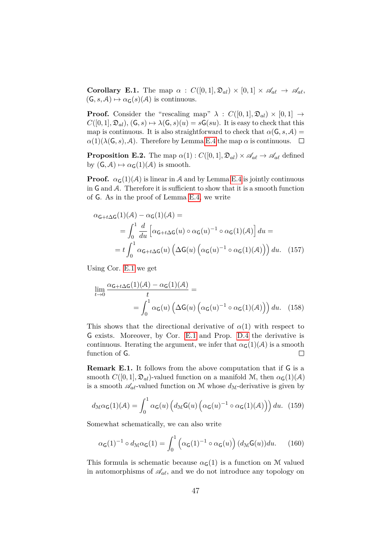<span id="page-46-2"></span>**Corollary E.1.** The map  $\alpha$  :  $C([0,1], \mathfrak{D}_{al}) \times [0,1] \times \mathfrak{A}_{al} \rightarrow \mathfrak{A}_{al}$ ,  $(G, s, A) \mapsto \alpha_G(s)(A)$  is continuous.

**Proof.** Consider the "rescaling map"  $\lambda$  :  $C([0,1], \mathfrak{D}_{al}) \times [0,1] \rightarrow$  $C([0,1], \mathfrak{D}_{al})$ ,  $(G, s) \mapsto \lambda(G, s)(u) = sG(su)$ . It is easy to check that this map is continuous. It is also straightforward to check that  $\alpha(\mathsf{G}, s, \mathcal{A}) =$  $\alpha(1)(\lambda(\mathsf{G}, s), \mathcal{A})$ . Therefore by Lemma [E.4](#page-45-1) the map  $\alpha$  is continuous.  $\square$ 

<span id="page-46-0"></span>**Proposition E.2.** The map  $\alpha(1)$ :  $C([0,1], \mathfrak{D}_{al}) \times \mathfrak{A}_{al} \rightarrow \mathfrak{A}_{al}$  defined by  $(G, \mathcal{A}) \mapsto \alpha_G(1)(\mathcal{A})$  is smooth.

**Proof.**  $\alpha_{\mathsf{G}}(1)(\mathcal{A})$  is linear in A and by Lemma [E.4](#page-45-1) is jointly continuous in G and A. Therefore it is sufficient to show that it is a smooth function of G. As in the proof of Lemma [E.4,](#page-45-1) we write

$$
\alpha_{\mathsf{G}+t\Delta\mathsf{G}}(1)(\mathcal{A}) - \alpha_{\mathsf{G}}(1)(\mathcal{A}) =
$$
\n
$$
= \int_0^1 \frac{d}{du} \left[ \alpha_{\mathsf{G}+t\Delta\mathsf{G}}(u) \circ \alpha_{\mathsf{G}}(u)^{-1} \circ \alpha_{\mathsf{G}}(1)(\mathcal{A}) \right] du =
$$
\n
$$
= t \int_0^1 \alpha_{\mathsf{G}+t\Delta\mathsf{G}}(u) \left( \Delta \mathsf{G}(u) \left( \alpha_{\mathsf{G}}(u)^{-1} \circ \alpha_{\mathsf{G}}(1)(\mathcal{A}) \right) \right) du. \quad (157)
$$

Using Cor. [E.1](#page-46-2) we get

$$
\lim_{t \to 0} \frac{\alpha_{\mathsf{G} + t\Delta\mathsf{G}}(1)(\mathcal{A}) - \alpha_{\mathsf{G}}(1)(\mathcal{A})}{t} =
$$
\n
$$
= \int_0^1 \alpha_{\mathsf{G}}(u) \left( \Delta \mathsf{G}(u) \left( \alpha_{\mathsf{G}}(u)^{-1} \circ \alpha_{\mathsf{G}}(1)(\mathcal{A}) \right) \right) du. \quad (158)
$$

This shows that the directional derivative of  $\alpha(1)$  with respect to G exists. Moreover, by Cor. [E.1](#page-46-2) and Prop. [D.4](#page-40-1) the derivative is continuous. Iterating the argument, we infer that  $\alpha_{\mathsf{G}}(1)(\mathcal{A})$  is a smooth function of G.  $\Box$ 

<span id="page-46-1"></span>**Remark E.1.** It follows from the above computation that if G is a smooth  $C([0,1], \mathfrak{D}_{al})$ -valued function on a manifold M, then  $\alpha_{\mathsf{G}}(1)(\mathcal{A})$ is a smooth  $\mathcal{A}_{\alpha\ell}$ -valued function on M whose  $d_M$ -derivative is given by

$$
d_{\mathcal{M}}\alpha_{\mathsf{G}}(1)(\mathcal{A}) = \int_0^1 \alpha_{\mathsf{G}}(u) \left( d_{\mathcal{M}}\mathsf{G}(u) \left( \alpha_{\mathsf{G}}(u)^{-1} \circ \alpha_{\mathsf{G}}(1)(\mathcal{A}) \right) \right) du. (159)
$$

Somewhat schematically, we can also write

<span id="page-46-3"></span>
$$
\alpha_{\mathsf{G}}(1)^{-1} \circ d_{\mathsf{M}} \alpha_{\mathsf{G}}(1) = \int_0^1 \left( \alpha_{\mathsf{G}}(1)^{-1} \circ \alpha_{\mathsf{G}}(u) \right) (d_{\mathsf{M}} \mathsf{G}(u)) du. \tag{160}
$$

This formula is schematic because  $\alpha_{\mathsf{G}}(1)$  is a function on M valued in automorphisms of  $\mathscr{A}_{a\ell}$ , and we do not introduce any topology on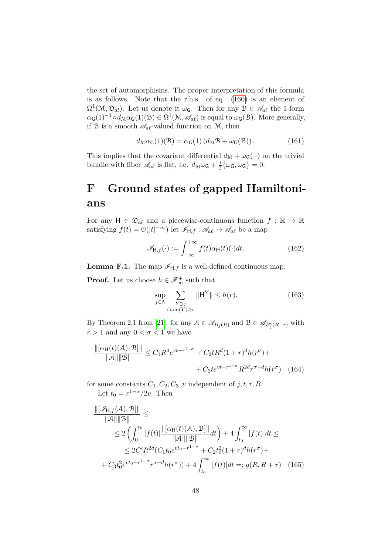the set of automorphisms. The proper interpretation of this formula is as follows. Note that the r.h.s. of eq. [\(160\)](#page-46-3) is an element of  $\Omega^1(\mathcal{M}, \mathfrak{D}_{al})$ . Let us denote it  $\omega_{\mathsf{G}}$ . Then for any  $\mathfrak{B} \in \mathscr{A}_{al}$  the 1-form  $\alpha_{\mathsf{G}}(1)^{-1} \circ d_{\mathcal{M}}\alpha_{\mathsf{G}}(1)(\mathcal{B}) \in \Omega^1(\mathcal{M}, \mathscr{A}_{a\ell})$  is equal to  $\omega_{\mathsf{G}}(\mathcal{B})$ . More generally, if  $B$  is a smooth  $\mathscr{A}_{a\ell}$ -valued function on M, then

$$
d_{\mathcal{M}}\alpha_{\mathsf{G}}(1)(\mathcal{B}) = \alpha_{\mathsf{G}}(1) \left( d_{\mathcal{M}}\mathcal{B} + \omega_{\mathsf{G}}(\mathcal{B}) \right). \tag{161}
$$

This implies that the covariant differential  $d_M + \omega_G(\cdot)$  on the trivial bundle with fiber  $\mathscr{A}_{a\ell}$  is flat, i.e.  $d_{\mathcal{M}}\omega_{\mathsf{G}} + \frac{1}{2}$  $\frac{1}{2}\{\omega_{\mathsf{G}}, \omega_{\mathsf{G}}\}=0.$ 

## <span id="page-47-0"></span>**F Ground states of gapped Hamiltonians**

For any  $H \in \mathfrak{D}_{al}$  and a piecewise-continuous function  $f : \mathbb{R} \to \mathbb{R}$ satisfying  $f(t) = O(|t|^{-\infty})$  let  $\mathscr{I}_{H,f} : \mathscr{A}_{a\ell} \to \mathscr{A}_{a\ell}$  be a map

$$
\mathscr{I}_{\mathsf{H},f}(\cdot) := \int_{-\infty}^{+\infty} f(t)\alpha_{\mathsf{H}}(t)(\cdot)dt.
$$
 (162)

**Lemma F.1.** The map  $\mathscr{I}_{H,f}$  is a well-defined continuous map.

**Proof.** Let us choose  $h \in \mathscr{F}_{\infty}^+$  such that

$$
\sup_{j \in \Lambda} \sum_{\substack{Y \ni j \\ \text{diam}(Y) \ge r}} \| \mathsf{H}^Y \| \le h(r). \tag{163}
$$

By Theorem 2.1 from [\[21\]](#page-51-1), for any  $A \in \mathscr{A}_{B_j(R)}$  and  $B \in \mathscr{A}_{B_j^c(R+r)}$  with  $r>1$  and any  $0<\sigma<1$  we have

$$
\frac{\|[\alpha_{\mathsf{H}}(t)(\mathcal{A}), \mathcal{B}]\|}{\|\mathcal{A}\| \|\mathcal{B}\|} \le C_1 R^d e^{vt - r^{1-\sigma}} + C_2 t R^d (1+r)^d h(r^{\sigma}) +
$$
  
+  $C_3 t e^{vt - r^{1-\sigma}} R^{2d} r^{\sigma + d} h(r^{\sigma})$  (164)

for some constants  $C_1, C_2, C_3, v$  independent of  $j, t, r, R$ . Let  $t_0 = r^{1-\sigma}/2v$ . Then

$$
\frac{\|[\mathcal{I}_{H,f}(\mathcal{A}), \mathcal{B}]\|}{\|\mathcal{A}\| \|\mathcal{B}\|} \le
$$
\n
$$
\leq 2 \left( \int_0^{t_0} |f(t)| \frac{\|[\alpha_H(t)(\mathcal{A}), \mathcal{B}]\|}{\|\mathcal{A}\| \|\mathcal{B}\|} dt \right) + 4 \int_{t_0}^{\infty} |f(t)| dt \le
$$
\n
$$
\leq 2C'R^{2d} (C_1 t_0 e^{vt_0 - r^{1-\sigma}} + C_2 t_0^2 (1+r)^d h(r^{\sigma}) + C_3 t_0^2 e^{vt_0 - r^{1-\sigma}} r^{\sigma + d} h(r^{\sigma})) + 4 \int_{t_0}^{\infty} |f(t)| dt =: g(R, R+r) \quad (165)
$$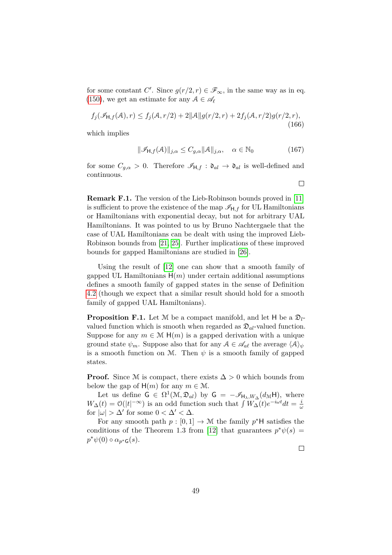for some constant *C'*. Since  $g(r/2, r) \in \mathscr{F}_{\infty}$ , in the same way as in eq. [\(150\)](#page-44-2), we get an estimate for any  $A \in \mathcal{A}_{\ell}$ 

$$
f_j(\mathcal{I}_{H,f}(\mathcal{A}),r) \le f_j(\mathcal{A},r/2) + 2\|\mathcal{A}\|g(r/2,r) + 2f_j(\mathcal{A},r/2)g(r/2,r),
$$
\n(166)

which implies

$$
\|\mathcal{I}_{\mathsf{H},f}(\mathcal{A})\|_{j,\alpha} \le C_{g,\alpha} \|\mathcal{A}\|_{j,\alpha}, \quad \alpha \in \mathbb{N}_0 \tag{167}
$$

for some  $C_{q,\alpha} > 0$ . Therefore  $\mathscr{I}_{H,f} : \mathfrak{d}_{al} \to \mathfrak{d}_{al}$  is well-defined and continuous.

**Remark F.1.** The version of the Lieb-Robinson bounds proved in [\[11\]](#page-50-1) is sufficient to prove the existence of the map  $\mathcal{I}_{H,f}$  for UL Hamiltonians or Hamiltonians with exponential decay, but not for arbitrary UAL Hamiltonians. It was pointed to us by Bruno Nachtergaele that the case of UAL Hamiltonians can be dealt with using the improved Lieb-Robinson bounds from [\[21,](#page-51-1) [25\]](#page-51-5). Further implications of these improved bounds for gapped Hamiltonians are studied in [\[26\]](#page-51-6).

Using the result of [\[12\]](#page-50-2) one can show that a smooth family of gapped UL Hamiltonians  $H(m)$  under certain additional assumptions defines a smooth family of gapped states in the sense of Definition [4.2](#page-23-1) (though we expect that a similar result should hold for a smooth family of gapped UAL Hamiltonians).

**Proposition F.1.** Let M be a compact manifold, and let H be a  $\mathfrak{D}_l$ valued function which is smooth when regarded as  $\mathcal{D}_{al}$ -valued function. Suppose for any  $m \in \mathcal{M}$  H(*m*) is a gapped derivation with a unique ground state  $\psi_m$ . Suppose also that for any  $A \in \mathscr{A}_{\alpha\ell}$  the average  $\langle A \rangle_{\psi}$ is a smooth function on M. Then  $\psi$  is a smooth family of gapped states.

**Proof.** Since M is compact, there exists  $\Delta > 0$  which bounds from below the gap of  $H(m)$  for any  $m \in \mathcal{M}$ .

Let us define  $G \in \Omega^1(\mathcal{M}, \mathfrak{D}_{al})$  by  $G = -\mathscr{I}_{H_\lambda, W_\Delta}(d_\mathcal{M} H)$ , where  $W_{\Delta}(t) = O(|t|^{-\infty})$  is an odd function such that  $\int W_{\Delta}(t)e^{-i\omega t}dt = \frac{i}{\omega}$ *ω* for  $|\omega| > \Delta'$  for some  $0 < \Delta' < \Delta$ .

For any smooth path  $p: [0,1] \to \mathcal{M}$  the family  $p^*$ **H** satisfies the conditions of the Theorem 1.3 from [\[12\]](#page-50-2) that guarantees  $p^*\psi(s)$  =  $p^*\psi(0) \circ \alpha_{p^*\mathsf{G}}(s)$ .

 $\Box$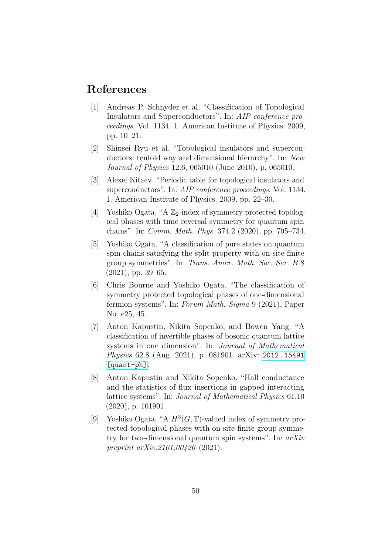## **References**

- <span id="page-49-0"></span>[1] Andreas P. Schnyder et al. "Classification of Topological Insulators and Superconductors". In: *AIP conference proceedings*. Vol. 1134. 1. American Institute of Physics. 2009, pp. 10–21.
- <span id="page-49-1"></span>[2] Shinsei Ryu et al. "Topological insulators and superconductors: tenfold way and dimensional hierarchy". In: *New Journal of Physics* 12.6, 065010 (June 2010), p. 065010.
- <span id="page-49-2"></span>[3] Alexei Kitaev. "Periodic table for topological insulators and superconductors". In: *AIP conference proceedings*. Vol. 1134. 1. American Institute of Physics. 2009, pp. 22–30.
- <span id="page-49-3"></span>[4] Yoshiko Ogata. "A  $\mathbb{Z}_2$ -index of symmetry protected topological phases with time reversal symmetry for quantum spin chains". In: *Comm. Math. Phys.* 374.2 (2020), pp. 705–734.
- <span id="page-49-4"></span>[5] Yoshiko Ogata. "A classification of pure states on quantum spin chains satisfying the split property with on-site finite group symmetries". In: *Trans. Amer. Math. Soc. Ser. B* 8 (2021), pp. 39–65.
- <span id="page-49-5"></span>[6] Chris Bourne and Yoshiko Ogata. "The classification of symmetry protected topological phases of one-dimensional fermion systems". In: *Forum Math. Sigma* 9 (2021), Paper No. e25, 45.
- <span id="page-49-6"></span>[7] Anton Kapustin, Nikita Sopenko, and Bowen Yang. "A classification of invertible phases of bosonic quantum lattice systems in one dimension". In: *Journal of Mathematical Physics* 62.8 (Aug. 2021), p. 081901. arXiv: [2012.15491](https://arxiv.org/abs/2012.15491) [\[quant-ph\]](https://arxiv.org/abs/2012.15491).
- <span id="page-49-7"></span>[8] Anton Kapustin and Nikita Sopenko. "Hall conductance and the statistics of flux insertions in gapped interacting lattice systems". In: *Journal of Mathematical Physics* 61.10 (2020), p. 101901.
- <span id="page-49-8"></span>[9] Yoshiko Ogata. "A  $H^3(G, \mathbb{T})$ -valued index of symmetry protected topological phases with on-site finite group symmetry for two-dimensional quantum spin systems". In: *arXiv preprint arXiv:2101.00426* (2021).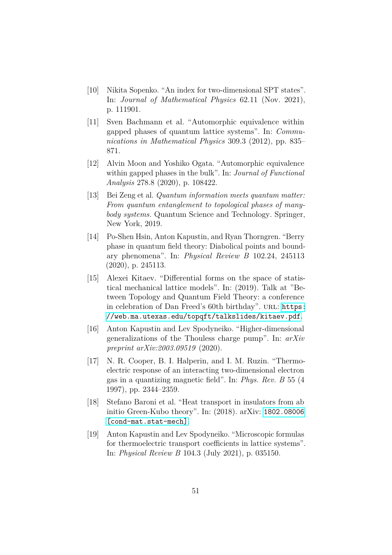- <span id="page-50-0"></span>[10] Nikita Sopenko. "An index for two-dimensional SPT states". In: *Journal of Mathematical Physics* 62.11 (Nov. 2021), p. 111901.
- <span id="page-50-1"></span>[11] Sven Bachmann et al. "Automorphic equivalence within gapped phases of quantum lattice systems". In: *Communications in Mathematical Physics* 309.3 (2012), pp. 835– 871.
- <span id="page-50-2"></span>[12] Alvin Moon and Yoshiko Ogata. "Automorphic equivalence within gapped phases in the bulk". In: *Journal of Functional Analysis* 278.8 (2020), p. 108422.
- <span id="page-50-3"></span>[13] Bei Zeng et al. *Quantum information meets quantum matter: From quantum entanglement to topological phases of manybody systems.* Quantum Science and Technology. Springer, New York, 2019.
- <span id="page-50-4"></span>[14] Po-Shen Hsin, Anton Kapustin, and Ryan Thorngren. "Berry phase in quantum field theory: Diabolical points and boundary phenomena". In: *Physical Review B* 102.24, 245113 (2020), p. 245113.
- <span id="page-50-5"></span>[15] Alexei Kitaev. "Differential forms on the space of statistical mechanical lattice models". In: (2019). Talk at "Between Topology and Quantum Field Theory: a conference in celebration of Dan Freed's 60th birthday". URL: [https:](https://web.ma.utexas.edu/topqft/talkslides/kitaev.pdf) [//web.ma.utexas.edu/topqft/talkslides/kitaev.pdf](https://web.ma.utexas.edu/topqft/talkslides/kitaev.pdf).
- <span id="page-50-6"></span>[16] Anton Kapustin and Lev Spodyneiko. "Higher-dimensional generalizations of the Thouless charge pump". In: *arXiv preprint arXiv:2003.09519* (2020).
- <span id="page-50-7"></span>[17] N. R. Cooper, B. I. Halperin, and I. M. Ruzin. "Thermoelectric response of an interacting two-dimensional electron gas in a quantizing magnetic field". In: *Phys. Rev. B* 55 (4 1997), pp. 2344–2359.
- <span id="page-50-8"></span>[18] Stefano Baroni et al. "Heat transport in insulators from ab initio Green-Kubo theory". In: (2018). arXiv: [1802.08006](https://arxiv.org/abs/1802.08006) [\[cond-mat.stat-mech\]](https://arxiv.org/abs/1802.08006).
- <span id="page-50-9"></span>[19] Anton Kapustin and Lev Spodyneiko. "Microscopic formulas for thermoelectric transport coefficients in lattice systems". In: *Physical Review B* 104.3 (July 2021), p. 035150.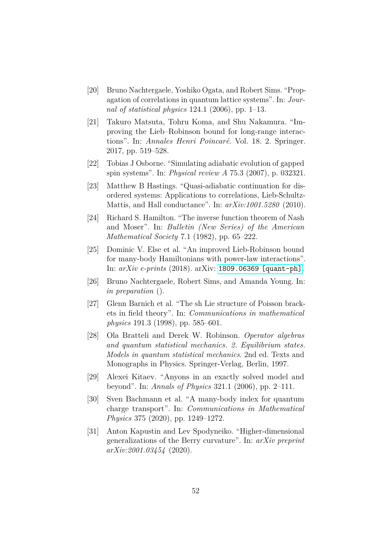- <span id="page-51-0"></span>[20] Bruno Nachtergaele, Yoshiko Ogata, and Robert Sims. "Propagation of correlations in quantum lattice systems". In: *Journal of statistical physics* 124.1 (2006), pp. 1–13.
- <span id="page-51-1"></span>[21] Takuro Matsuta, Tohru Koma, and Shu Nakamura. "Improving the Lieb–Robinson bound for long-range interactions". In: *Annales Henri Poincaré*. Vol. 18. 2. Springer. 2017, pp. 519–528.
- <span id="page-51-2"></span>[22] Tobias J Osborne. "Simulating adiabatic evolution of gapped spin systems". In: *Physical review A* 75.3 (2007), p. 032321.
- <span id="page-51-3"></span>[23] Matthew B Hastings. "Quasi-adiabatic continuation for disordered systems: Applications to correlations, Lieb-Schultz-Mattis, and Hall conductance". In: *arXiv:1001.5280* (2010).
- <span id="page-51-4"></span>[24] Richard S. Hamilton. "The inverse function theorem of Nash and Moser". In: *Bulletin (New Series) of the American Mathematical Society* 7.1 (1982), pp. 65–222.
- <span id="page-51-5"></span>[25] Dominic V. Else et al. "An improved Lieb-Robinson bound for many-body Hamiltonians with power-law interactions". In: *arXiv e-prints* (2018). arXiv: [1809.06369 \[quant-ph\]](https://arxiv.org/abs/1809.06369).
- <span id="page-51-6"></span>[26] Bruno Nachtergaele, Robert Sims, and Amanda Young. In: *in preparation* ().
- <span id="page-51-7"></span>[27] Glenn Barnich et al. "The sh Lie structure of Poisson brackets in field theory". In: *Communications in mathematical physics* 191.3 (1998), pp. 585–601.
- <span id="page-51-8"></span>[28] Ola Bratteli and Derek W. Robinson. *Operator algebras and quantum statistical mechanics. 2. Equilibrium states. Models in quantum statistical mechanics*. 2nd ed. Texts and Monographs in Physics. Springer-Verlag, Berlin, 1997.
- <span id="page-51-9"></span>[29] Alexei Kitaev. "Anyons in an exactly solved model and beyond". In: *Annals of Physics* 321.1 (2006), pp. 2–111.
- <span id="page-51-10"></span>[30] Sven Bachmann et al. "A many-body index for quantum charge transport". In: *Communications in Mathematical Physics* 375 (2020), pp. 1249–1272.
- <span id="page-51-11"></span>[31] Anton Kapustin and Lev Spodyneiko. "Higher-dimensional generalizations of the Berry curvature". In: *arXiv preprint arXiv:2001.03454* (2020).